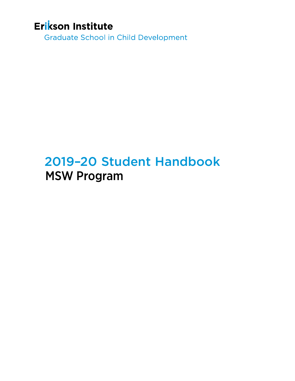# Erikson Institute

**Graduate School in Child Development** 

# 2019–20 Student Handbook MSW Program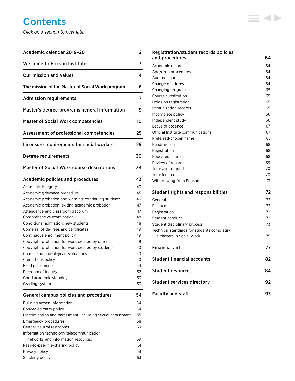# **Contents**

*Click on a section to navigate.*

| Academic calendar 2019-20                                  | 2  |
|------------------------------------------------------------|----|
| Welcome to Erikson Institute                               | 3  |
| Our mission and values                                     | 4  |
| The mission of the Master of Social Work program           | 6  |
| <b>Admission requirements</b>                              | 7  |
| Master's degree programs general information               | 9  |
| <b>Master of Social Work competencies</b>                  | 10 |
| Assessment of professional competencies                    | 25 |
| Licensure requirements for social workers                  | 29 |
| Degree requirements                                        | 30 |
| <b>Master of Social Work course descriptions</b>           | 34 |
| Academic policies and procedures                           | 43 |
| Academic integrity                                         | 43 |
| Academic grievance procedure                               | 45 |
| Academic probation and warning: continuing students        | 46 |
| Academic probation: exiting academic probation             | 47 |
| Attendance and classroom decorum                           | 47 |
| Comprehensive examination                                  | 48 |
| Conditional admission: new students                        | 48 |
| Conferral of degrees and certificates                      | 49 |
| Continuous enrollment policy                               | 49 |
| Copyright protection for work created by others            | 49 |
| Copyright protection for work created by students          | 50 |
| Course and end-of-year evaluations                         | 50 |
| Credit hour policy                                         | 50 |
| Field placements                                           | 51 |
| Freedom of inquiry                                         | 52 |
| Good academic standing                                     | 53 |
| Grading system                                             | 53 |
| General campus policies and procedures                     | 54 |
| Building access information                                | 54 |
| Concealed carry policy                                     | 54 |
| Discrimination and harassment, including sexual harassment | 55 |
| Emergency procedures                                       | 58 |
| Gender neutral restrooms                                   | 59 |
| Information technology telecommunication                   |    |
| networks and information resources                         | 59 |
| Peer-to-peer file-sharing policy                           | 61 |
| Privacy policy                                             | 61 |
| Smoking policy                                             | 63 |

| Registration/student records policies<br>and procedures | 64 |
|---------------------------------------------------------|----|
| Academic records                                        | 64 |
| Add/drop procedures                                     | 64 |
| <b>Audited courses</b>                                  | 64 |
| Change of address                                       | 64 |
| Changing programs                                       | 65 |
| Course substitution                                     | 65 |
| Holds on registration                                   | 65 |
| Immunization records                                    | 65 |
| Incomplete policy                                       | 66 |
| Independent study                                       | 66 |
| Leave of absence                                        | 67 |
| Official Institute communications                       | 67 |
| Preferred-chosen name                                   | 68 |
| Readmission                                             | 68 |
| Registration                                            | 68 |
| Repeated courses                                        | 68 |
| Review of records                                       | 69 |
| Transcript requests                                     | 70 |
| Transfer credit                                         | 70 |
| Withdrawing from Erikson                                | 71 |
| <b>Student rights and responsibilities</b>              | 72 |
| General                                                 | 72 |
| Finance                                                 | 72 |
| Registration                                            | 72 |
| Student conduct                                         | 72 |
| Student disciplinary process                            | 73 |
| Technical standards for students completing             |    |
| a Masters in Social Work                                | 75 |
| Financial aid                                           | 77 |
| <b>Student financial accounts</b>                       | 82 |
| <b>Student resources</b>                                | 84 |
| <b>Student services directory</b>                       | 92 |
| <b>Faculty and staff</b>                                | 93 |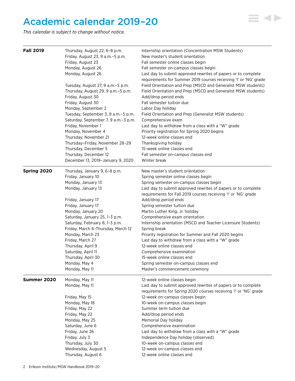# <span id="page-2-0"></span>Academic calendar 2019–20

*This calendar is subject to change without notice.*

| <b>Fall 2019</b> | Thursday, August 22, 6-8 p.m.<br>Friday, August 23, 9 a.m.-5 p.m.<br>Friday, August 23<br>Monday, August 26<br>Monday, August 26<br>Tuesday, August 27, 9 a.m. - 5 p.m.<br>Thursday, August 29, 9 a.m.-5 p.m.<br>Friday, August 30<br>Friday, August 30<br>Monday, September 2<br>Tuesday, September 3, 9 a.m.-5 p.m.<br>Saturday, September 7, 9 a.m.-3 p.m.<br>Friday, November 1<br>Monday, November 4<br>Thursday, November 21<br>Thursday-Friday, November 28-29<br>Thursday, December 5<br>Thursday, December 12<br>December 13, 2019-January 9, 2020 | Internship orientation (Concentration MSW Students)<br>New master's student orientation<br>Fall semester online classes begin<br>Fall semester on-campus classes begin<br>Last day to submit approved rewrites of papers or to complete<br>requirements for Summer 2019 courses receiving 'I' or 'NG' grade<br>Field Orientation and Prep (MSCD and Generalist MSW students)<br>Field Orientation and Prep (MSCD and Generalist MSW students)<br>Add/drop period ends<br>Fall semester tuition due<br>Labor Day holiday<br>Field Orientation and Prep (Generalist MSW students)<br>Comprehensive exam<br>Last day to withdraw from a class with a "W" grade<br>Priority registration for Spring 2020 begins<br>12-week online classes end<br>Thanksgiving holiday<br>15-week online classes end<br>Fall semester on-campus classes end<br>Winter break |
|------------------|-------------------------------------------------------------------------------------------------------------------------------------------------------------------------------------------------------------------------------------------------------------------------------------------------------------------------------------------------------------------------------------------------------------------------------------------------------------------------------------------------------------------------------------------------------------|--------------------------------------------------------------------------------------------------------------------------------------------------------------------------------------------------------------------------------------------------------------------------------------------------------------------------------------------------------------------------------------------------------------------------------------------------------------------------------------------------------------------------------------------------------------------------------------------------------------------------------------------------------------------------------------------------------------------------------------------------------------------------------------------------------------------------------------------------------|
| Spring 2020      | Thursday, January 9, 6-8 p.m.<br>Friday, January 10<br>Monday, January 13                                                                                                                                                                                                                                                                                                                                                                                                                                                                                   | New master's student orientation<br>Spring semester online classes begin<br>Spring semester on-campus classes begin                                                                                                                                                                                                                                                                                                                                                                                                                                                                                                                                                                                                                                                                                                                                    |
|                  | Monday, January 13                                                                                                                                                                                                                                                                                                                                                                                                                                                                                                                                          | Last day to submit approved rewrites of papers or to complete<br>requirements for Fall 2019 courses receiving 'I' or 'NG' grade                                                                                                                                                                                                                                                                                                                                                                                                                                                                                                                                                                                                                                                                                                                        |
|                  | Friday, January 17                                                                                                                                                                                                                                                                                                                                                                                                                                                                                                                                          | Add/drop period ends                                                                                                                                                                                                                                                                                                                                                                                                                                                                                                                                                                                                                                                                                                                                                                                                                                   |
|                  | Friday, January 17                                                                                                                                                                                                                                                                                                                                                                                                                                                                                                                                          | Spring semester tuition due                                                                                                                                                                                                                                                                                                                                                                                                                                                                                                                                                                                                                                                                                                                                                                                                                            |
|                  | Monday, January 20                                                                                                                                                                                                                                                                                                                                                                                                                                                                                                                                          | Martin Luther King, Jr. holiday                                                                                                                                                                                                                                                                                                                                                                                                                                                                                                                                                                                                                                                                                                                                                                                                                        |
|                  | Saturday, January 25, 1-3 p.m.                                                                                                                                                                                                                                                                                                                                                                                                                                                                                                                              | Comprehensive exam orientation                                                                                                                                                                                                                                                                                                                                                                                                                                                                                                                                                                                                                                                                                                                                                                                                                         |
|                  | Saturday, February 8, 1-3 p.m.                                                                                                                                                                                                                                                                                                                                                                                                                                                                                                                              | Internship orientation (MSCD and Teacher Licensure Students)                                                                                                                                                                                                                                                                                                                                                                                                                                                                                                                                                                                                                                                                                                                                                                                           |
|                  | Friday, March 6-Thursday, March 12                                                                                                                                                                                                                                                                                                                                                                                                                                                                                                                          | Spring break                                                                                                                                                                                                                                                                                                                                                                                                                                                                                                                                                                                                                                                                                                                                                                                                                                           |
|                  | Monday, March 23                                                                                                                                                                                                                                                                                                                                                                                                                                                                                                                                            | Priority registration for Summer and Fall 2020 begins                                                                                                                                                                                                                                                                                                                                                                                                                                                                                                                                                                                                                                                                                                                                                                                                  |
|                  | Friday, March 27                                                                                                                                                                                                                                                                                                                                                                                                                                                                                                                                            | Last day to withdraw from a class with a "W" grade                                                                                                                                                                                                                                                                                                                                                                                                                                                                                                                                                                                                                                                                                                                                                                                                     |
|                  | Thursday, April 9                                                                                                                                                                                                                                                                                                                                                                                                                                                                                                                                           | 12-week online classes end                                                                                                                                                                                                                                                                                                                                                                                                                                                                                                                                                                                                                                                                                                                                                                                                                             |
|                  | Saturday, April 11                                                                                                                                                                                                                                                                                                                                                                                                                                                                                                                                          | Comprehensive examination                                                                                                                                                                                                                                                                                                                                                                                                                                                                                                                                                                                                                                                                                                                                                                                                                              |
|                  | Thursday, April 30                                                                                                                                                                                                                                                                                                                                                                                                                                                                                                                                          | 15-week online classes end                                                                                                                                                                                                                                                                                                                                                                                                                                                                                                                                                                                                                                                                                                                                                                                                                             |
|                  | Monday, May 4                                                                                                                                                                                                                                                                                                                                                                                                                                                                                                                                               | Spring semester on-campus classes end                                                                                                                                                                                                                                                                                                                                                                                                                                                                                                                                                                                                                                                                                                                                                                                                                  |
|                  | Monday, May 11                                                                                                                                                                                                                                                                                                                                                                                                                                                                                                                                              | Master's commencement ceremony                                                                                                                                                                                                                                                                                                                                                                                                                                                                                                                                                                                                                                                                                                                                                                                                                         |
| Summer 2020      | Monday, May 11                                                                                                                                                                                                                                                                                                                                                                                                                                                                                                                                              | 12-week online classes begin                                                                                                                                                                                                                                                                                                                                                                                                                                                                                                                                                                                                                                                                                                                                                                                                                           |
|                  | Monday, May 11                                                                                                                                                                                                                                                                                                                                                                                                                                                                                                                                              | Last day to submit approved rewrites of papers or to complete                                                                                                                                                                                                                                                                                                                                                                                                                                                                                                                                                                                                                                                                                                                                                                                          |
|                  |                                                                                                                                                                                                                                                                                                                                                                                                                                                                                                                                                             | requirements for Spring 2020 courses receiving 'I' or 'NG' grade                                                                                                                                                                                                                                                                                                                                                                                                                                                                                                                                                                                                                                                                                                                                                                                       |
|                  | Friday, May 15                                                                                                                                                                                                                                                                                                                                                                                                                                                                                                                                              | 12-week on-campus classes begin                                                                                                                                                                                                                                                                                                                                                                                                                                                                                                                                                                                                                                                                                                                                                                                                                        |
|                  | Monday, May 18                                                                                                                                                                                                                                                                                                                                                                                                                                                                                                                                              | 10-week on-campus classes begin                                                                                                                                                                                                                                                                                                                                                                                                                                                                                                                                                                                                                                                                                                                                                                                                                        |
|                  | Friday, May 22                                                                                                                                                                                                                                                                                                                                                                                                                                                                                                                                              | Summer term tuition due                                                                                                                                                                                                                                                                                                                                                                                                                                                                                                                                                                                                                                                                                                                                                                                                                                |
|                  | Friday, May 22                                                                                                                                                                                                                                                                                                                                                                                                                                                                                                                                              | Add/drop period ends                                                                                                                                                                                                                                                                                                                                                                                                                                                                                                                                                                                                                                                                                                                                                                                                                                   |
|                  | Monday, May 25                                                                                                                                                                                                                                                                                                                                                                                                                                                                                                                                              | Memorial Day holiday                                                                                                                                                                                                                                                                                                                                                                                                                                                                                                                                                                                                                                                                                                                                                                                                                                   |
|                  | Saturday, June 6                                                                                                                                                                                                                                                                                                                                                                                                                                                                                                                                            | Comprehensive examination                                                                                                                                                                                                                                                                                                                                                                                                                                                                                                                                                                                                                                                                                                                                                                                                                              |
|                  | Friday, June 26                                                                                                                                                                                                                                                                                                                                                                                                                                                                                                                                             | Last day to withdraw from a class with a "W" grade                                                                                                                                                                                                                                                                                                                                                                                                                                                                                                                                                                                                                                                                                                                                                                                                     |
|                  | Friday, July 3                                                                                                                                                                                                                                                                                                                                                                                                                                                                                                                                              | Independence Day holiday (observed)                                                                                                                                                                                                                                                                                                                                                                                                                                                                                                                                                                                                                                                                                                                                                                                                                    |
|                  | Thursday, July 30                                                                                                                                                                                                                                                                                                                                                                                                                                                                                                                                           | 10-week on-campus classes end                                                                                                                                                                                                                                                                                                                                                                                                                                                                                                                                                                                                                                                                                                                                                                                                                          |
|                  | Wednesday, August 5                                                                                                                                                                                                                                                                                                                                                                                                                                                                                                                                         | 12-week on-campus classes end                                                                                                                                                                                                                                                                                                                                                                                                                                                                                                                                                                                                                                                                                                                                                                                                                          |
|                  | Thursday, August 6                                                                                                                                                                                                                                                                                                                                                                                                                                                                                                                                          | 12-week online classes end                                                                                                                                                                                                                                                                                                                                                                                                                                                                                                                                                                                                                                                                                                                                                                                                                             |

 $\equiv$  4>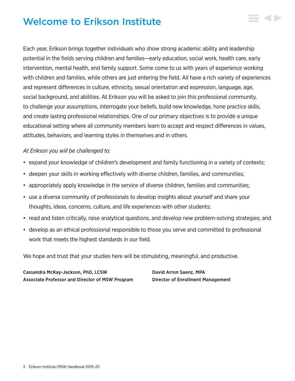# <span id="page-3-0"></span>Welcome to Erikson Institute

Each year, Erikson brings together individuals who show strong academic ability and leadership potential in the fields serving children and families—early education, social work, health care, early intervention, mental health, and family support. Some come to us with years of experience working with children and families, while others are just entering the field. All have a rich variety of experiences and represent differences in culture, ethnicity, sexual orientation and expression, language, age, social background, and abilities. At Erikson you will be asked to join this professional community, to challenge your assumptions, interrogate your beliefs, build new knowledge, hone practice skills, and create lasting professional relationships. One of our primary objectives is to provide a unique educational setting where all community members learn to accept and respect differences in values, attitudes, behaviors, and learning styles in themselves and in others.

## *At Erikson you will be challenged to:*

- expand your knowledge of children's development and family functioning in a variety of contexts;
- deepen your skills in working effectively with diverse children, families, and communities;
- appropriately apply knowledge in the service of diverse children, families and communities;
- use a diverse community of professionals to develop insights about yourself and share your thoughts, ideas, concerns, culture, and life experiences with other students;
- read and listen critically, raise analytical questions, and develop new problem-solving strategies; and
- develop as an ethical professional responsible to those you serve and committed to professional work that meets the highest standards in our field.

We hope and trust that your studies here will be stimulating, meaningful, and productive.

Cassandra McKay-Jackson, PhD, LCSW David Arron Saenz, MPA Associate Professor and Director of MSW Program Director of Enrollment Management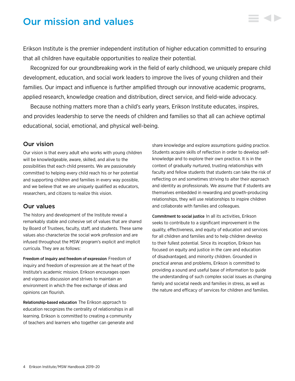# <span id="page-4-0"></span>Our mission and values

Erikson Institute is the premier independent institution of higher education committed to ensuring that all children have equitable opportunities to realize their potential.

Recognized for our groundbreaking work in the field of early childhood, we uniquely prepare child development, education, and social work leaders to improve the lives of young children and their families. Our impact and influence is further amplified through our innovative academic programs, applied research, knowledge creation and distribution, direct service, and field-wide advocacy.

Because nothing matters more than a child's early years, Erikson Institute educates, inspires, and provides leadership to serve the needs of children and families so that all can achieve optimal educational, social, emotional, and physical well-being.

## Our vision

Our vision is that every adult who works with young children will be knowledgeable, aware, skilled, and alive to the possibilities that each child presents. We are passionately committed to helping every child reach his or her potential and supporting children and families in every way possible, and we believe that we are uniquely qualified as educators, researchers, and citizens to realize this vision.

## Our values

The history and development of the Institute reveal a remarkably stable and cohesive set of values that are shared by Board of Trustees, faculty, staff, and students. These same values also characterize the social work profession and are infused throughout the MSW program's explicit and implicit curricula. They are as follows:

Freedom of inquiry and freedom of expression Freedom of inquiry and freedom of expression are at the heart of the Institute's academic mission. Erikson encourages open and vigorous discussion and strives to maintain an environment in which the free exchange of ideas and opinions can flourish.

Relationship-based education The Erikson approach to education recognizes the centrality of relationships in all learning. Erikson is committed to creating a community of teachers and learners who together can generate and

share knowledge and explore assumptions guiding practice. Students acquire skills of reflection in order to develop selfknowledge and to explore their own practice. It is in the context of gradually nurtured, trusting relationships with faculty and fellow students that students can take the risk of reflecting on and sometimes striving to alter their approach and identity as professionals. We assume that if students are themselves embedded in rewarding and growth-producing relationships, they will use relationships to inspire children and collaborate with families and colleagues.

Commitment to social justice In all its activities, Erikson seeks to contribute to a significant improvement in the quality, effectiveness, and equity of education and services for all children and families and to help children develop to their fullest potential. Since its inception, Erikson has focused on equity and justice in the care and education of disadvantaged, and minority children. Grounded in practical arenas and problems, Erikson is committed to providing a sound and useful base of information to guide the understanding of such complex social issues as changing family and societal needs and families in stress, as well as the nature and efficacy of services for children and families.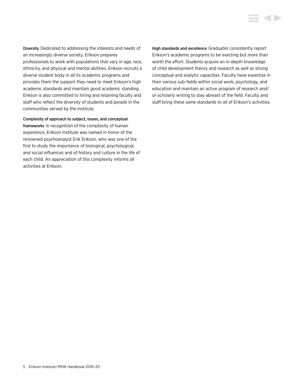Diversity Dedicated to addressing the interests and needs of an increasingly diverse society, Erikson prepares professionals to work with populations that vary in age, race, ethnicity, and physical and mental abilities. Erikson recruits a diverse student body in all its academic programs and provides them the support they need to meet Erikson's high academic standards and maintain good academic standing. Erikson is also committed to hiring and retaining faculty and staff who reflect the diversity of students and people in the communities served by the Institute.

Complexity of approach to subject, issues, and conceptual frameworks In recognition of the complexity of human experience, Erikson Institute was named in honor of the renowned psychoanalyst Erik Erikson, who was one of the first to study the importance of biological, psychological, and social influences and of history and culture in the life of each child. An appreciation of this complexity informs all activities at Erikson.

High standards and excellence Graduates consistently report Erikson's academic programs to be exacting but more than worth the effort. Students acquire an in-depth knowledge of child development theory and research as well as strong conceptual and analytic capacities. Faculty have expertise in their various sub-fields within social work, psychology, and education and maintain an active program of research and/ or scholarly writing to stay abreast of the field. Faculty and staff bring these same standards to all of Erikson's activities.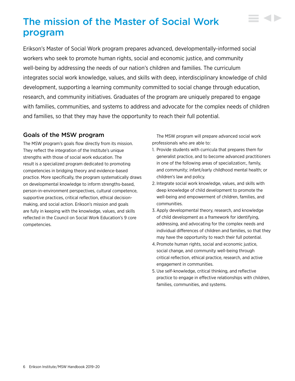# <span id="page-6-0"></span>The mission of the Master of Social Work program

Erikson's Master of Social Work program prepares advanced, developmentally-informed social workers who seek to promote human rights, social and economic justice, and community well-being by addressing the needs of our nation's children and families. The curriculum integrates social work knowledge, values, and skills with deep, interdisciplinary knowledge of child development, supporting a learning community committed to social change through education, research, and community initiatives. Graduates of the program are uniquely prepared to engage with families, communities, and systems to address and advocate for the complex needs of children and families, so that they may have the opportunity to reach their full potential.

## Goals of the MSW program

The MSW program's goals flow directly from its mission. They reflect the integration of the Institute's unique strengths with those of social work education. The result is a specialized program dedicated to promoting competencies in bridging theory and evidence-based practice. More specifically, the program systematically draws on developmental knowledge to inform strengths-based, person-in-environment perspectives, cultural competence, supportive practices, critical reflection, ethical decisionmaking, and social action. Erikson's mission and goals are fully in keeping with the knowledge, values, and skills reflected in the Council on Social Work Education's 9 core competencies.

The MSW program will prepare advanced social work professionals who are able to:

- 1. Provide students with curricula that prepares them for generalist practice, and to become advanced practitioners in one of the following areas of specialization:, family, and community; infant/early childhood mental health; or children's law and policy.
- 2. Integrate social work knowledge, values, and skills with deep knowledge of child development to promote the well-being and empowerment of children, families, and communities.
- 3. Apply developmental theory, research, and knowledge of child development as a framework for identifying, addressing, and advocating for the complex needs and individual differences of children and families, so that they may have the opportunity to reach their full potential.
- 4. Promote human rights, social and economic justice, social change, and community well-being through critical reflection, ethical practice, research, and active engagement in communities.
- 5. Use self-knowledge, critical thinking, and reflective practice to engage in effective relationships with children, families, communities, and systems.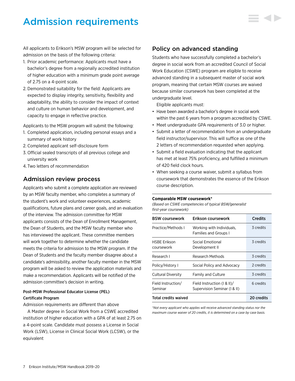# <span id="page-7-0"></span>Admission requirements

All applicants to Erikson's MSW program will be selected for admission on the basis of the following criteria:

- 1. Prior academic performance: Applicants must have a bachelor's degree from a regionally accredited institution of higher education with a minimum grade point average of 2.75 on a 4-point scale.
- 2. Demonstrated suitability for the field: Applicants are expected to display integrity, sensitivity, flexibility and adaptability, the ability to consider the impact of context and culture on human behavior and development, and capacity to engage in reflective practice.

Applicants to the MSW program will submit the following:

- 1. Completed application, including personal essays and a summary of work history
- 2. Completed applicant self-disclosure form
- 3. Official sealed transcripts of all previous college and university work
- 4. Two letters of recommendation

## Admission review process

Applicants who submit a complete application are reviewed by an MSW faculty member, who completes a summary of the student's work and volunteer experiences, academic qualifications, future plans and career goals, and an evaluation of the interview. The admission committee for MSW applicants consists of the Dean of Enrollment Management, the Dean of Students, and the MSW faculty member who has interviewed the applicant. These committee members will work together to determine whether the candidate meets the criteria for admission to the MSW program. If the Dean of Students and the faculty member disagree about a candidate's admissibility, another faculty member in the MSW program will be asked to review the application materials and make a recommendation. Applicants will be notified of the admission committee's decision in writing.

### Post-MSW Professional Educator License (PEL) Certificate Program

Admission requirements are different than above

A Master degree in Social Work from a CSWE accredited institution of higher education with a GPA of at least 2.75 on a 4-point scale. Candidate must possess a License in Social Work (LSW), License in Clinical Social Work (LCSW), or the equivalent

# Policy on advanced standing

Students who have successfully completed a bachelor's degree in social work from an accredited Council of Social Work Education (CSWE) program are eligible to receive advanced standing in a subsequent master of social work program, meaning that certain MSW courses are waived because similar coursework has been completed at the undergraduate level.

Eligible applicants must:

- Have been awarded a bachelor's degree in social work within the past 6 years from a program accredited by CSWE.
- Meet undergraduate GPA requirements of 3.0 or higher.
- Submit a letter of recommendation from an undergraduate field instructor/supervisor. This will suffice as one of the 2 letters of recommendation requested when applying.
- Submit a field evaluation indicating that the applicant has met at least 75% proficiency, and fulfilled a minimum of 420 field clock hours.
- When seeking a course waiver, submit a syllabus from coursework that demonstrates the essence of the Erikson course description.

#### **Comparable MSW coursework\***

*(Based on CSWE competencies of typical BSW/generalist first-year coursework)*

| <b>BSW coursework</b>             | Erikson coursework                                          | <b>Credits</b> |
|-----------------------------------|-------------------------------------------------------------|----------------|
| Practice/Methods I                | Working with Individuals,<br>Families and Groups I          | 3 credits      |
| <b>HSBE Erikson</b><br>coursework | Social Emotional<br>Development II                          | 3 credits      |
| Research I                        | Research Methods                                            | 3 credits      |
| Policy/History I                  | Social Policy and Advocacy                                  | 2 credits      |
| <b>Cultural Diversity</b>         | <b>Family and Culture</b>                                   | 3 credits      |
| Field Instruction/<br>Seminar     | Field Instruction (1 & II)/<br>Supervision Seminar (1 & II) | 6 credits      |
| <b>Total credits waived</b>       |                                                             | 20 credits     |

*\*Not every applicant who applies will receive advanced standing status nor the maximum course waiver of 20 credits, it is determined on a case by case basis.*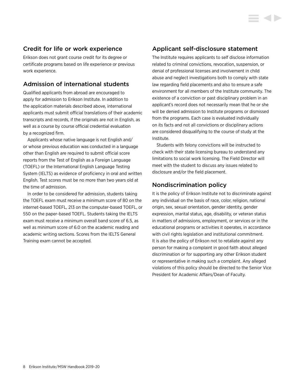# Credit for life or work experience

Erikson does not grant course credit for its degree or certificate programs based on life experience or previous work experience.

# Admission of international students

Qualified applicants from abroad are encouraged to apply for admission to Erikson Institute. In addition to the application materials described above, international applicants must submit official translations of their academic transcripts and records, if the originals are not in English, as well as a course by course official credential evaluation by a recognized firm.

Applicants whose native language is not English and/ or whose previous education was conducted in a language other than English are required to submit official score reports from the Test of English as a Foreign Language (TOEFL) or the International English Language Testing System (IELTS) as evidence of proficiency in oral and written English. Test scores must be no more than two years old at the time of admission.

In order to be considered for admission, students taking the TOEFL exam must receive a minimum score of 80 on the internet-based TOEFL, 213 on the computer-based TOEFL, or 550 on the paper-based TOEFL. Students taking the IELTS exam must receive a minimum overall band score of 6.5, as well as minimum score of 6.0 on the academic reading and academic writing sections. Scores from the IELTS General Training exam cannot be accepted.

# Applicant self-disclosure statement

The Institute requires applicants to self disclose information related to criminal convictions, revocation, suspension, or denial of professional licenses and involvement in child abuse and neglect investigations both to comply with state law regarding field placements and also to ensure a safe environment for all members of the Institute community. The existence of a conviction or past disciplinary problem in an applicant's record does not necessarily mean that he or she will be denied admission to Institute programs or dismissed from the programs. Each case is evaluated individually on its facts and not all convictions or disciplinary actions are considered disqualifying to the course of study at the Institute.

Students with felony convictions will be instructed to check with their state licensing bureau to understand any limitations to social work licensing. The Field Director will meet with the student to discuss any issues related to disclosure and/or the field placement.

## Nondiscrimination policy

It is the policy of Erikson Institute not to discriminate against any individual on the basis of race, color, religion, national origin, sex, sexual orientation, gender identity, gender expression, marital status, age, disability, or veteran status in matters of admissions, employment, or services or in the educational programs or activities it operates, in accordance with civil rights legislation and institutional commitment. It is also the policy of Erikson not to retaliate against any person for making a complaint in good faith about alleged discrimination or for supporting any other Erikson student or representative in making such a complaint. Any alleged violations of this policy should be directed to the Senior Vice President for Academic Affairs/Dean of Faculty.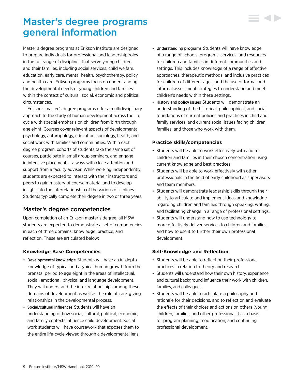# <span id="page-9-0"></span>Master's degree programs general information

Master's degree programs at Erikson Institute are designed to prepare individuals for professional and leadership roles in the full range of disciplines that serve young children and their families, including social services, child welfare, education, early care, mental health, psychotherapy, policy, and health care. Erikson programs focus on understanding the developmental needs of young children and families within the context of cultural, social, economic and political circumstances.

Erikson's master's degree programs offer a multidisciplinary approach to the study of human development across the life cycle with special emphasis on children from birth through age eight. Courses cover relevant aspects of developmental psychology, anthropology, education, sociology, health, and social work with families and communities. Within each degree program, cohorts of students take the same set of courses, participate in small group seminars, and engage in intensive placements—always with close attention and support from a faculty adviser. While working independently, students are expected to interact with their instructors and peers to gain mastery of course material and to develop insight into the interrelationship of the various disciplines. Students typically complete their degree in two or three years.

## Master's degree competencies

Upon completion of an Erikson master's degree, all MSW students are expected to demonstrate a set of competencies in each of three domains: knowledge, practice, and reflection. These are articulated below:

## **Knowledge Base Competencies**

- Developmental knowledge Students will have an in-depth knowledge of typical and atypical human growth from the prenatal period to age eight in the areas of intellectual, social, emotional, physical and language development. They will understand the inter-relationships among these domains of development as well as the role of care-giving relationships in the developmental process.
- Social/cultural influences Students will have an understanding of how social, cultural, political, economic, and family contexts influence child development. Social work students will have coursework that exposes them to the entire life-cycle viewed through a developmental lens.
- Understanding programs Students will have knowledge of a range of schools, programs, services, and resources for children and families in different communities and settings. This includes knowledge of a range of effective approaches, therapeutic methods, and inclusive practices for children of different ages, and the use of formal and informal assessment strategies to understand and meet children's needs within these settings.
- History and policy issues Students will demonstrate an understanding of the historical, philosophical, and social foundations of current policies and practices in child and family services, and current social issues facing children, families, and those who work with them.

## **Practice skills/competencies**

- Students will be able to work effectively with and for children and families in their chosen concentration using current knowledge and best practices.
- Students will be able to work effectively with other professionals in the field of early childhood as supervisors and team members.
- Students will demonstrate leadership skills through their ability to articulate and implement ideas and knowledge regarding children and families through speaking, writing, and facilitating change in a range of professional settings.
- Students will understand how to use technology to more effectively deliver services to children and families, and how to use it to further their own professional development.

## **Self-Knowledge and Reflection**

- Students will be able to reflect on their professional practices in relation to theory and research.
- Students will understand how their own history, experience, and cultural background influence their work with children, families, and colleagues.
- Students will be able to articulate a philosophy and rationale for their decisions, and to reflect on and evaluate the effects of their choices and actions on others (young children, families, and other professionals) as a basis for program planning, modification, and continuing professional development.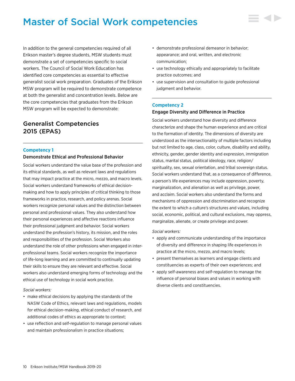# <span id="page-10-0"></span>Master of Social Work competencies

In addition to the general competencies required of all Erikson master's degree students, MSW students must demonstrate a set of competencies specific to social workers. The Council of Social Work Education has identified core competencies as essential to effective generalist social work preparation. Graduates of the Erikson MSW program will be required to demonstrate competence at both the generalist and concentration levels. Below are the core competencies that graduates from the Erikson MSW program will be expected to demonstrate:

# Generalist Competencies 2015 (EPAS)

### **Competency 1**

#### Demonstrate Ethical and Professional Behavior

Social workers understand the value base of the profession and its ethical standards, as well as relevant laws and regulations that may impact practice at the micro, mezzo, and macro levels. Social workers understand frameworks of ethical decisionmaking and how to apply principles of critical thinking to those frameworks in practice, research, and policy arenas. Social workers recognize personal values and the distinction between personal and professional values. They also understand how their personal experiences and affective reactions influence their professional judgment and behavior. Social workers understand the profession's history, its mission, and the roles and responsibilities of the profession. Social Workers also understand the role of other professions when engaged in interprofessional teams. Social workers recognize the importance of life-long learning and are committed to continually updating their skills to ensure they are relevant and effective. Social workers also understand emerging forms of technology and the ethical use of technology in social work practice.

#### *Social workers:*

- make ethical decisions by applying the standards of the NASW Code of Ethics, relevant laws and regulations, models for ethical decision-making, ethical conduct of research, and additional codes of ethics as appropriate to context;
- use reflection and self-regulation to manage personal values and maintain professionalism in practice situations;
- demonstrate professional demeanor in behavior; appearance; and oral, written, and electronic communication;
- use technology ethically and appropriately to facilitate practice outcomes; and
- use supervision and consultation to guide professional judgment and behavior.

#### **Competency 2**

#### Engage Diversity and Difference in Practice

Social workers understand how diversity and difference characterize and shape the human experience and are critical to the formation of identity. The dimensions of diversity are understood as the intersectionality of multiple factors including but not limited to age, class, color, culture, disability and ability, ethnicity, gender, gender identity and expression, immigration status, marital status, political ideology, race, religion/ spirituality, sex, sexual orientation, and tribal sovereign status. Social workers understand that, as a consequence of difference, a person's life experiences may include oppression, poverty, marginalization, and alienation as well as privilege, power, and acclaim. Social workers also understand the forms and mechanisms of oppression and discrimination and recognize the extent to which a culture's structures and values, including social, economic, political, and cultural exclusions, may oppress, marginalize, alienate, or create privilege and power.

*Social workers:*

- apply and communicate understanding of the importance of diversity and difference in shaping life experiences in practice at the micro, mezzo, and macro levels;
- present themselves as learners and engage clients and constituencies as experts of their own experiences; and
- apply self-awareness and self-regulation to manage the influence of personal biases and values in working with diverse clients and constituencies.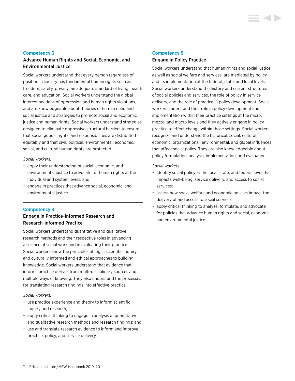## Advance Human Rights and Social, Economic, and Environmental Justice

Social workers understand that every person regardless of position in society has fundamental human rights such as freedom, safety, privacy, an adequate standard of living, health care, and education. Social workers understand the global interconnections of oppression and human rights violations, and are knowledgeable about theories of human need and social justice and strategies to promote social and economic justice and human rights. Social workers understand strategies designed to eliminate oppressive structural barriers to ensure that social goods, rights, and responsibilities are distributed equitably and that civil, political, environmental, economic, social, and cultural human rights are protected.

*Social workers:*

- apply their understanding of social, economic, and environmental justice to advocate for human rights at the individual and system levels; and
- engage in practices that advance social, economic, and environmental justice.

### **Competency 4**

## Engage in Practice-informed Research and Research-informed Practice

Social workers understand quantitative and qualitative research methods and their respective roles in advancing a science of social work and in evaluating their practice. Social workers know the principles of logic, scientific inquiry, and culturally informed and ethical approaches to building knowledge. Social workers understand that evidence that informs practice derives from multi-disciplinary sources and multiple ways of knowing. They also understand the processes for translating research findings into effective practice.

#### *Social workers:*

- use practice experience and theory to inform scientific inquiry and research;
- apply critical thinking to engage in analysis of quantitative and qualitative research methods and research findings; and
- use and translate research evidence to inform and improve practice, policy, and service delivery.

## **Competency 5**

#### Engage in Policy Practice

Social workers understand that human rights and social justice, as well as social welfare and services, are mediated by policy and its implementation at the federal, state, and local levels. Social workers understand the history and current structures of social policies and services, the role of policy in service delivery, and the role of practice in policy development. Social workers understand their role in policy development and implementation within their practice settings at the micro, mezzo, and macro levels and they actively engage in policy practice to effect change within those settings. Social workers recognize and understand the historical, social, cultural, economic, organizational, environmental, and global influences that affect social policy. They are also knowledgeable about policy formulation, analysis, implementation, and evaluation.

*Social workers:* 

- Identify social policy at the local, state, and federal level that impacts well-being, service delivery, and access to social services;
- assess how social welfare and economic policies impact the delivery of and access to social services;
- apply critical thinking to analyze, formulate, and advocate for policies that advance human rights and social, economic, and environmental justice.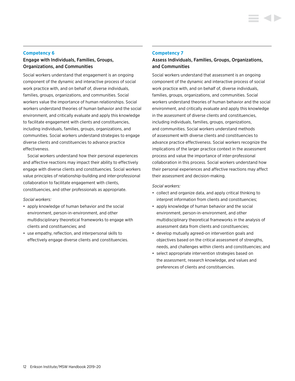## Engage with Individuals, Families, Groups, Organizations, and Communities

Social workers understand that engagement is an ongoing component of the dynamic and interactive process of social work practice with, and on behalf of, diverse individuals, families, groups, organizations, and communities. Social workers value the importance of human relationships. Social workers understand theories of human behavior and the social environment, and critically evaluate and apply this knowledge to facilitate engagement with clients and constituencies, including individuals, families, groups, organizations, and communities. Social workers understand strategies to engage diverse clients and constituencies to advance practice effectiveness.

Social workers understand how their personal experiences and affective reactions may impact their ability to effectively engage with diverse clients and constituencies. Social workers value principles of relationship-building and inter-professional collaboration to facilitate engagement with clients, constituencies, and other professionals as appropriate.

#### *Social workers:*

- apply knowledge of human behavior and the social environment, person-in-environment, and other multidisciplinary theoretical frameworks to engage with clients and constituencies; and
- use empathy, reflection, and interpersonal skills to effectively engage diverse clients and constituencies.

#### **Competency 7**

## Assess Individuals, Families, Groups, Organizations, and Communities

Social workers understand that assessment is an ongoing component of the dynamic and interactive process of social work practice with, and on behalf of, diverse individuals, families, groups, organizations, and communities. Social workers understand theories of human behavior and the social environment, and critically evaluate and apply this knowledge in the assessment of diverse clients and constituencies, including individuals, families, groups, organizations, and communities. Social workers understand methods of assessment with diverse clients and constituencies to advance practice effectiveness. Social workers recognize the implications of the larger practice context in the assessment process and value the importance of inter-professional collaboration in this process. Social workers understand how their personal experiences and affective reactions may affect their assessment and decision-making.

#### *Social workers:*

- collect and organize data, and apply critical thinking to interpret information from clients and constituencies;
- apply knowledge of human behavior and the social environment, person-in-environment, and other multidisciplinary theoretical frameworks in the analysis of assessment data from clients and constituencies;
- develop mutually agreed-on intervention goals and objectives based on the critical assessment of strengths, needs, and challenges within clients and constituencies; and
- select appropriate intervention strategies based on the assessment, research knowledge, and values and preferences of clients and constituencies.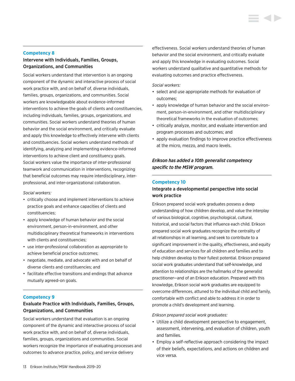## Intervene with Individuals, Families, Groups, Organizations, and Communities

Social workers understand that intervention is an ongoing component of the dynamic and interactive process of social work practice with, and on behalf of, diverse individuals, families, groups, organizations, and communities. Social workers are knowledgeable about evidence-informed interventions to achieve the goals of clients and constituencies, including individuals, families, groups, organizations, and communities. Social workers understand theories of human behavior and the social environment, and critically evaluate and apply this knowledge to effectively intervene with clients and constituencies. Social workers understand methods of identifying, analyzing and implementing evidence-informed interventions to achieve client and constituency goals. Social workers value the importance of inter-professional teamwork and communication in interventions, recognizing that beneficial outcomes may require interdisciplinary, interprofessional, and inter-organizational collaboration.

#### *Social workers:*

- critically choose and implement interventions to achieve practice goals and enhance capacities of clients and constituencies;
- apply knowledge of human behavior and the social environment, person-in-environment, and other multidisciplinary theoretical frameworks in interventions with clients and constituencies;
- use inter-professional collaboration as appropriate to achieve beneficial practice outcomes;
- negotiate, mediate, and advocate with and on behalf of diverse clients and constituencies; and
- facilitate effective transitions and endings that advance mutually agreed-on goals.

#### **Competency 9**

## Evaluate Practice with Individuals, Families, Groups, Organizations, and Communities

Social workers understand that evaluation is an ongoing component of the dynamic and interactive process of social work practice with, and on behalf of, diverse individuals, families, groups, organizations and communities. Social workers recognize the importance of evaluating processes and outcomes to advance practice, policy, and service delivery

effectiveness. Social workers understand theories of human behavior and the social environment, and critically evaluate and apply this knowledge in evaluating outcomes. Social workers understand qualitative and quantitative methods for evaluating outcomes and practice effectiveness.

*Social workers:*

- select and use appropriate methods for evaluation of outcomes;
- apply knowledge of human behavior and the social environment, person-in-environment, and other multidisciplinary theoretical frameworks in the evaluation of outcomes;
- critically analyze, monitor, and evaluate intervention and program processes and outcomes; and
- apply evaluation findings to improve practice effectiveness at the micro, mezzo, and macro levels.

## *Erikson has added a 10th generalist competency specific to the MSW program.*

#### **Competency 10**

## Integrate a developmental perspective into social work practice

Erikson prepared social work graduates possess a deep understanding of how children develop, and value the interplay of various biological, cognitive, psychological, cultural, historical, and social factors that influence each child. Erikson prepared social work graduates recognize the centrality of all relationships in all learning, and seek to contribute to a significant improvement in the quality, effectiveness, and equity of education and services for all children and families and to help children develop to their fullest potential. Erikson prepared social work graduates understand that self-knowledge, and attention to relationships are the hallmarks of the generalist practitioner—and of an Erikson education. Prepared with this knowledge, Erikson social work graduates are equipped to overcome differences, attuned to the individual child and family, comfortable with conflict and able to address it in order to promote a child's development and learning.

#### *Erikson prepared social work graduates:*

- Utilize a child development perspective to engagement, assessment, intervening, and evaluation of children, youth and families.
- Employ a self-reflective approach considering the impact of their beliefs, expectations, and actions on children and vice versa.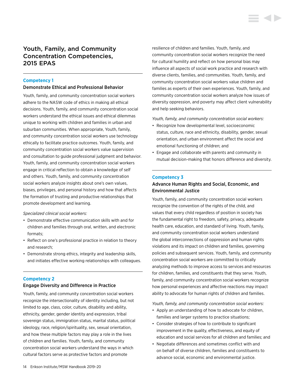## Youth, Family, and Community Concentration Competencies, 2015 EPAS

#### **Competency 1**

#### Demonstrate Ethical and Professional Behavior

Youth, family, and community concentration social workers adhere to the NASW code of ethics in making all ethical decisions. Youth, family, and community concentration social workers understand the ethical issues and ethical dilemmas unique to working with children and families in urban and suburban communities. When appropriate, Youth, family, and community concentration social workers use technology ethically to facilitate practice outcomes. Youth, family, and community concentration social workers value supervision and consultation to guide professional judgment and behavior. Youth, family, and community concentration social workers engage in critical reflection to obtain a knowledge of self and others. Youth, family, and community concentration social workers analyze insights about one's own values, biases, privileges, and personal history and how that affects the formation of trusting and productive relationships that promote development and learning.

*Specialized clinical social workers:* 

- Demonstrate effective communication skills with and for children and families through oral, written, and electronic formats;
- Reflect on one's professional practice in relation to theory and research;
- Demonstrate strong ethics, integrity and leadership skills, and initiates effective working relationships with colleagues.

#### **Competency 2**

#### Engage Diversity and Difference in Practice

Youth, family, and community concentration social workers recognize the intersectionality of identity including, but not limited to age, class, color, culture, disability and ability, ethnicity, gender, gender identity and expression, tribal sovereign status, immigration status, marital status, political ideology, race, religion/spirituality, sex, sexual orientation, and how these multiple factors may play a role in the lives of children and families. Youth, family, and community concentration social workers understand the ways in which cultural factors serve as protective factors and promote

resilience of children and families. Youth, family, and community concentration social workers recognize the need for cultural humility and reflect on how personal bias may influence all aspects of social work practice and research with diverse clients, families, and communities. Youth, family, and community concentration social workers value children and families as experts of their own experiences. Youth, family, and community concentration social workers analyze how issues of diversity oppression, and poverty may affect client vulnerability and help seeking behaviors.

*Youth, family, and community concentration social workers:*

- Recognize how developmental level, socioeconomic status, culture, race and ethnicity, disability, gender, sexual orientation, and urban environment affect the social and emotional functioning of children; and
- Engage and collaborate with parents and community in mutual decision-making that honors difference and diversity.

#### **Competency 3**

## Advance Human Rights and Social, Economic, and Environmental Justice

Youth, family, and community concentration social workers recognize the convention of the rights of the child, and values that every child regardless of position in society has the fundamental right to freedom, safety, privacy, adequate health care, education, and standard of living. Youth, family, and community concentration social workers understand the global interconnections of oppression and human rights violations and its impact on children and families, governing policies and subsequent services. Youth, family, and community concentration social workers are committed to critically analyzing methods to improve access to services and resources for children, families, and constituents that they serve. Youth, family, and community concentration social workers recognize how personal experiences and affective reactions may impact ability to advocate for human rights of children and families.

*Youth, family, and community concentration social workers:*

- Apply an understanding of how to advocate for children, families and larger systems to practice situations;
- Consider strategies of how to contribute to significant improvement in the quality, effectiveness, and equity of education and social services for all children and families; and
- Negotiate differences and sometimes conflict with and on behalf of diverse children, families and constituents to advance social, economic and environmental justice.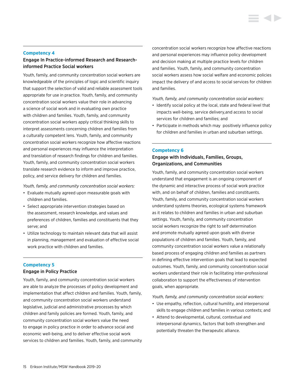## Engage In Practice-informed Research and Researchinformed Practice Social workers

Youth, family, and community concentration social workers are knowledgeable of the principles of logic and scientific inquiry that support the selection of valid and reliable assessment tools appropriate for use in practice. Youth, family, and community concentration social workers value their role in advancing a science of social work and in evaluating own practice with children and families. Youth, family, and community concentration social workers apply critical thinking skills to interpret assessments concerning children and families from a culturally competent lens. Youth, family, and community concentration social workers recognize how affective reactions and personal experiences may influence the interpretation and translation of research findings for children and families. Youth, family, and community concentration social workers translate research evidence to inform and improve practice, policy, and service delivery for children and families.

*Youth, family, and community concentration social workers:*

- Evaluate mutually agreed upon measurable goals with children and families.
- Select appropriate intervention strategies based on the assessment, research knowledge, and values and preferences of children, families and constituents that they serve; and
- Utilize technology to maintain relevant data that will assist in planning, management and evaluation of effective social work practice with children and families.

### **Competency 5**

#### Engage in Policy Practice

Youth, family, and community concentration social workers are able to analyze the processes of policy development and implementation that affect children and families. Youth, family, and community concentration social workers understand legislative, judicial and administrative processes by which children and family policies are formed. Youth, family, and community concentration social workers value the need to engage in policy practice in order to advance social and economic well-being, and to deliver effective social work services to children and families. Youth, family, and community concentration social workers recognize how affective reactions and personal experiences may influence policy development and decision making at multiple practice levels for children and families. Youth, family, and community concentration social workers assess how social welfare and economic policies impact the delivery of and access to social services for children and families.

*Youth, family, and community concentration social workers:* 

- Identify social policy at the local, state and federal level that impacts well-being, service delivery,and access to social services for children and families; and
- Participate in methods which may positively influence policy for children and families in urban and suburban settings.

#### **Competency 6**

## Engage with Individuals, Families, Groups, Organizations, and Communities

Youth, family, and community concentration social workers understand that engagement is an ongoing component of the dynamic and interactive process of social work practice with, and on behalf of children, families and constituents. Youth, family, and community concentration social workers understand systems theories, ecological systems framework as it relates to children and families in urban and suburban settings. Youth, family, and community concentration social workers recognize the right to self determination and promote mutually agreed upon goals with diverse populations of children and families. Youth, family, and community concentration social workers value a relationally based process of engaging children and families as partners in defining effective intervention goals that lead to expected outcomes. Youth, family, and community concentration social workers understand their role in facilitating inter-professional collaboration to support the effectiveness of intervention goals, when appropriate.

*Youth, family, and community concentration social workers:*

- Use empathy, reflection, cultural humility, and interpersonal skills to engage children and families in various contexts; and
- Attend to developmental, cultural, contextual and interpersonal dynamics, factors that both strengthen and potentially threaten the therapeutic alliance.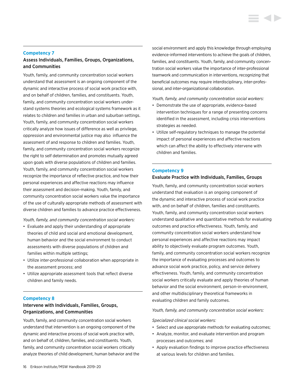## Assess Individuals, Families, Groups, Organizations, and Communities

Youth, family, and community concentration social workers understand that assessment is an ongoing component of the dynamic and interactive process of social work practice with, and on behalf of children, families, and constituents. Youth, family, and community concentration social workers understand systems theories and ecological systems framework as it relates to children and families in urban and suburban settings. Youth, family, and community concentration social workers critically analyze how issues of difference as well as privilege, oppression and environmental justice may also influence the assessment of and response to children and families. Youth, family, and community concentration social workers recognize the right to self determination and promotes mutually agreed upon goals with diverse populations of children and families. Youth, family, and community concentration social workers recognize the importance of reflective practice, and how their personal experiences and affective reactions may influence their assessment and decision-making. Youth, family, and community concentration social workers value the importance of the use of culturally appropriate methods of assessment with diverse children and families to advance practice effectiveness.

*Youth, family, and community concentration social workers:*

- Evaluate and apply their understanding of appropriate theories of child and social and emotional development, human behavior and the social environment to conduct assessments with diverse populations of children and families within multiple settings;
- Utilize inter-professional collaboration when appropriate in the assessment process; and
- Utilize appropriate assessment tools that reflect diverse children and family needs.

#### **Competency 8**

### Intervene with Individuals, Families, Groups, Organizations, and Communities

Youth, family, and community concentration social workers understand that intervention is an ongoing component of the dynamic and interactive process of social work practice with, and on behalf of, children, families, and constituents. Youth, family, and community concentration social workers critically analyze theories of child development, human behavior and the social environment and apply this knowledge through employing evidence-informed interventions to achieve the goals of children, families, and constituents. Youth, family, and community concentration social workers value the importance of inter-professional teamwork and communication in interventions, recognizing that beneficial outcomes may require interdisciplinary, inter-professional, and inter-organizational collaboration.

*Youth, family, and community concentration social workers:*

- Demonstrate the use of appropriate, evidence-based intervention techniques for a range of presenting concerns identified in the assessment, including crisis interventions strategies as needed.
- Utilize self-regulatory techniques to manage the potential impact of personal experiences and affective reactions which can affect the ability to effectively intervene with children and families.

#### **Competency 9**

#### Evaluate Practice with Individuals, Families, Groups

Youth, family, and community concentration social workers understand that evaluation is an ongoing component of the dynamic and interactive process of social work practice with, and on behalf of children, families and constituents. Youth, family, and community concentration social workers understand qualitative and quantitative methods for evaluating outcomes and practice effectiveness. Youth, family, and community concentration social workers understand how personal experiences and affective reactions may impact ability to objectively evaluate program outcomes. Youth, family, and community concentration social workers recognize the importance of evaluating processes and outcomes to advance social work practice, policy, and service delivery effectiveness. Youth, family, and community concentration social workers critically evaluate and apply theories of human behavior and the social environment, person-in-environment, and other multidisciplinary theoretical frameworks in evaluating children and family outcomes.

#### *Youth, family, and community concentration social workers:*

#### *Specialized clinical social workers:*

- Select and use appropriate methods for evaluating outcomes;
- Analyze, monitor, and evaluate intervention and program processes and outcomes; and
- Apply evaluation findings to improve practice effectiveness at various levels for children and families.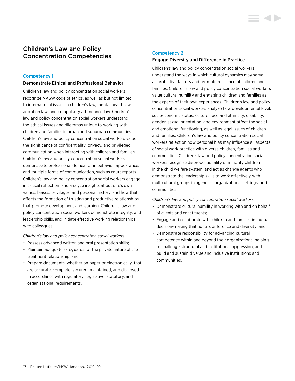# Children's Law and Policy Concentration Competencies

## **Competency 1**

### Demonstrate Ethical and Professional Behavior

Children's law and policy concentration social workers recognize NASW code of ethics, as well as but not limited to international issues in children's law, mental health law, adoption law, and compulsory attendance law. Children's law and policy concentration social workers understand the ethical issues and dilemmas unique to working with children and families in urban and suburban communities. Children's law and policy concentration social workers value the significance of confidentiality, privacy, and privileged communication when interacting with children and families. Children's law and policy concentration social workers demonstrate professional demeanor in behavior, appearance, and multiple forms of communication, such as court reports. Children's law and policy concentration social workers engage in critical reflection, and analyze insights about one's own values, biases, privileges, and personal history, and how that affects the formation of trusting and productive relationships that promote development and learning. Children's law and policy concentration social workers demonstrate integrity, and leadership skills, and initiate effective working relationships with colleagues.

*Children's law and policy concentration social workers:* 

- Possess advanced written and oral presentation skills;
- Maintain adequate safeguards for the private nature of the treatment relationship; and
- Prepare documents, whether on paper or electronically, that are accurate, complete, secured, maintained, and disclosed in accordance with regulatory, legislative, statutory, and organizational requirements.

#### **Competency 2**

#### Engage Diversity and Difference in Practice

Children's law and policy concentration social workers understand the ways in which cultural dynamics may serve as protective factors and promote resilience of children and families. Children's law and policy concentration social workers value cultural humility and engaging children and families as the experts of their own experiences. Children's law and policy concentration social workers analyze how developmental level, socioeconomic status, culture, race and ethnicity, disability, gender, sexual orientation, and environment affect the social and emotional functioning, as well as legal issues of children and families. Children's law and policy concentration social workers reflect on how personal bias may influence all aspects of social work practice with diverse children, families and communities. Children's law and policy concentration social workers recognize disproportionality of minority children in the child welfare system, and act as change agents who demonstrate the leadership skills to work effectively with multicultural groups in agencies, organizational settings, and communities.

- Demonstrate cultural humility in working with and on behalf of clients and constituents;
- Engage and collaborate with children and families in mutual decision-making that honors difference and diversity; and
- Demonstrate responsibility for advancing cultural competence within and beyond their organizations, helping to challenge structural and institutional oppression, and build and sustain diverse and inclusive institutions and communities.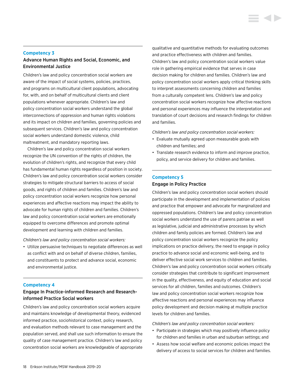## Advance Human Rights and Social, Economic, and Environmental Justice

Children's law and policy concentration social workers are aware of the impact of social systems, policies, practices, and programs on multicultural client populations, advocating for, with, and on behalf of multicultural clients and client populations whenever appropriate. Children's law and policy concentration social workers understand the global interconnections of oppression and human rights violations and its impact on children and families, governing policies and subsequent services. Children's law and policy concentration social workers understand domestic violence, child maltreatment, and mandatory reporting laws.

Children's law and policy concentration social workers recognize the UN convention of the rights of children, the evolution of children's rights, and recognize that every child has fundamental human rights regardless of position in society. Children's law and policy concentration social workers consider strategies to mitigate structural barriers to access of social goods, and rights of children and families. Children's law and policy concentration social workers recognize how personal experiences and affective reactions may impact the ability to advocate for human rights of children and families. Children's law and policy concentration social workers are emotionally equipped to overcome differences and promote optimal development and learning with children and families.

*Children's law and policy concentration social workers:*

• Utilize persuasive techniques to negotiate differences as well as conflict with and on behalf of diverse children, families, and constituents to protect and advance social, economic and environmental justice.

#### **Competency 4**

## Engage In Practice-informed Research and Researchinformed Practice Social workers

Children's law and policy concentration social workers acquire and maintains knowledge of developmental theory, evidenced informed practice, sociohistorical context, policy research, and evaluation methods relevant to case management and the population served, and shall use such information to ensure the quality of case management practice. Children's law and policy concentration social workers are knowledgeable of appropriate qualitative and quantitative methods for evaluating outcomes and practice effectiveness with children and families. Children's law and policy concentration social workers value role in gathering empirical evidence that serves in case decision making for children and families. Children's law and policy concentration social workers apply critical thinking skills to interpret assessments concerning children and families from a culturally competent lens. Children's law and policy concentration social workers recognize how affective reactions and personal experiences may influence the interpretation and translation of court decisions and research findings for children and families.

*Children's law and policy concentration social workers:*

- Evaluate mutually agreed upon measurable goals with children and families; and
- Translate research evidence to inform and improve practice, policy, and service delivery for children and families.

## **Competency 5** Engage in Policy Practice

Children's law and policy concentration social workers should participate in the development and implementation of policies and practice that empower and advocate for marginalized and oppressed populations. Children's law and policy concentration social workers understand the use of parens patriae as well as legislative, judicial and administrative processes by which children and family policies are formed. Children's law and policy concentration social workers recognize the policy implications on practice delivery, the need to engage in policy practice to advance social and economic well-being, and to deliver effective social work services to children and families. Children's law and policy concentration social workers critically consider strategies that contribute to significant improvement in the quality, effectiveness, and equity of education and social services for all children, families and outcomes. Children's law and policy concentration social workers recognize how affective reactions and personal experiences may influence policy development and decision making at multiple practice levels for children and families.

- Participate in strategies which may positively influence policy for children and families in urban and suburban settings; and
- Assess how social welfare and economic policies impact the delivery of access to social services for children and families.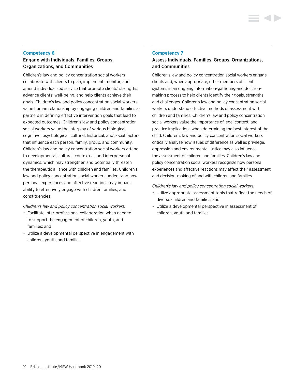## Engage with Individuals, Families, Groups, Organizations, and Communities

Children's law and policy concentration social workers collaborate with clients to plan, implement, monitor, and amend individualized service that promote clients' strengths, advance clients' well-being, and help clients achieve their goals. Children's law and policy concentration social workers value human relationship by engaging children and families as partners in defining effective intervention goals that lead to expected outcomes. Children's law and policy concentration social workers value the interplay of various biological, cognitive, psychological, cultural, historical, and social factors that influence each person, family, group, and community. Children's law and policy concentration social workers attend to developmental, cultural, contextual, and interpersonal dynamics, which may strengthen and potentially threaten the therapeutic alliance with children and families. Children's law and policy concentration social workers understand how personal experiences and affective reactions may impact ability to effectively engage with children families, and constituencies.

*Children's law and policy concentration social workers:*

- Facilitate inter-professional collaboration when needed to support the engagement of children, youth, and families; and
- Utilize a developmental perspective in engagement with children, youth, and families.

#### **Competency 7**

## Assess Individuals, Families, Groups, Organizations, and Communities

Children's law and policy concentration social workers engage clients and, when appropriate, other members of client systems in an ongoing information-gathering and decisionmaking process to help clients identify their goals, strengths, and challenges. Children's law and policy concentration social workers understand effective methods of assessment with children and families. Children's law and policy concentration social workers value the importance of legal context, and practice implications when determining the best interest of the child. Children's law and policy concentration social workers critically analyze how issues of difference as well as privilege, oppression and environmental justice may also influence the assessment of children and families. Children's law and policy concentration social workers recognize how personal experiences and affective reactions may affect their assessment and decision-making of and with children and families.

- Utilize appropriate assessment tools that reflect the needs of diverse children and families; and
- Utilize a developmental perspective in assessment of children, youth and families.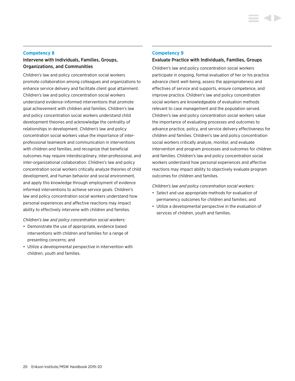## Intervene with Individuals, Families, Groups, Organizations, and Communities

Children's law and policy concentration social workers promote collaboration among colleagues and organizations to enhance service delivery and facilitate client goal attainment. Children's law and policy concentration social workers understand evidence-informed interventions that promote goal achievement with children and families. Children's law and policy concentration social workers understand child development theories and acknowledge the centrality of relationships in development. Children's law and policy concentration social workers value the importance of interprofessional teamwork and communication in interventions with children and families, and recognize that beneficial outcomes may require interdisciplinary, inter-professional, and inter-organizational collaboration. Children's law and policy concentration social workers critically analyze theories of child development, and human behavior and social environment, and apply this knowledge through employment of evidence informed interventions to achieve service goals. Children's law and policy concentration social workers understand how personal experiences and affective reactions may impact ability to effectively intervene with children and families.

*Children's law and policy concentration social workers:* 

- Demonstrate the use of appropriate, evidence based interventions with children and families for a range of presenting concerns; and
- Utilize a developmental perspective in intervention with children, youth and families.

#### **Competency 9**

#### Evaluate Practice with Individuals, Families, Groups

Children's law and policy concentration social workers participate in ongoing, formal evaluation of her or his practice advance client well-being, assess the appropriateness and effectives of service and supports, ensure competence, and improve practice. Children's law and policy concentration social workers are knowledgeable of evaluation methods relevant to case management and the population served. Children's law and policy concentration social workers value the importance of evaluating processes and outcomes to advance practice, policy, and service delivery effectiveness for children and families. Children's law and policy concentration social workers critically analyze, monitor, and evaluate intervention and program processes and outcomes for children and families. Children's law and policy concentration social workers understand how personal experiences and affective reactions may impact ability to objectively evaluate program outcomes for children and families.

- Select and use appropriate methods for evaluation of permanency outcomes for children and families; and
- Utilize a developmental perspective in the evaluation of services of children, youth and families.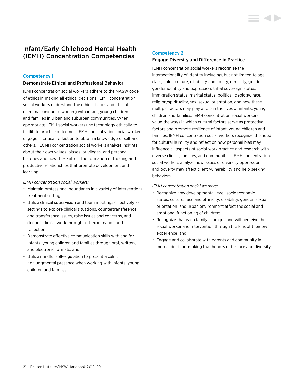# Infant/Early Childhood Mental Health (IEMH) Concentration Competencies

## **Competency 1**

#### Demonstrate Ethical and Professional Behavior

IEMH concentration social workers adhere to the NASW code of ethics in making all ethical decisions. IEMH concentration social workers understand the ethical issues and ethical dilemmas unique to working with infant, young children and families in urban and suburban communities. When appropriate, IEMH social workers use technology ethically to facilitate practice outcomes. IEMH concentration social workers engage in critical reflection to obtain a knowledge of self and others. I ECMH concentration social workers analyze insights about their own values, biases, privileges, and personal histories and how these affect the formation of trusting and productive relationships that promote development and learning.

*IEMH concentration social workers:* 

- Maintain professional boundaries in a variety of intervention/ treatment settings;
- Utilize clinical supervision and team meetings effectively as settings to explore clinical situations, countertransference and transference issues, raise issues and concerns, and deepen clinical work through self-examination and reflection.
- Demonstrate effective communication skills with and for infants, young children and families through oral, written, and electronic formats; and
- Utilize mindful self-regulation to present a calm, nonjudgmental presence when working with infants, young children and families.

#### **Competency 2**

#### Engage Diversity and Difference in Practice

IEMH concentration social workers recognize the intersectionality of identity including, but not limited to age, class, color, culture, disability and ability, ethnicity, gender, gender identity and expression, tribal sovereign status, immigration status, marital status, political ideology, race, religion/spirituality, sex, sexual orientation, and how these multiple factors may play a role in the lives of infants, young children and families. IEMH concentration social workers value the ways in which cultural factors serve as protective factors and promote resilience of infant, young children and families. IEMH concentration social workers recognize the need for cultural humility and reflect on how personal bias may influence all aspects of social work practice and research with diverse clients, families, and communities. IEMH concentration social workers analyze how issues of diversity oppression, and poverty may affect client vulnerability and help seeking behaviors.

- Recognize how developmental level, socioeconomic status, culture, race and ethnicity, disability, gender, sexual orientation, and urban environment affect the social and emotional functioning of children;
- Recognize that each family is unique and will perceive the social worker and intervention through the lens of their own experience; and
- Engage and collaborate with parents and community in mutual decision-making that honors difference and diversity.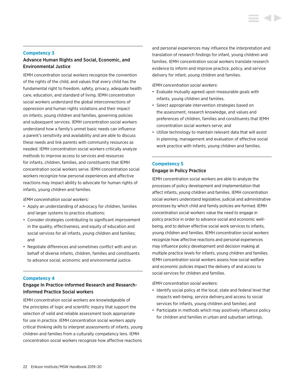## Advance Human Rights and Social, Economic, and Environmental Justice

IEMH concentration social workers recognize the convention of the rights of the child, and values that every child has the fundamental right to freedom, safety, privacy, adequate health care, education, and standard of living. IEMH concentration social workers understand the global interconnections of oppression and human rights violations and their impact on infants, young children and families, governing policies and subsequent services. IEMH concentration social workers understand how a family's unmet basic needs can influence a parent's sensitivity and availability and are able to discuss these needs and link parents with community resources as needed. IEMH concentration social workers critically analyze methods to improve access to services and resources for infants, children, families, and constituents that IEMH concentration social workers serve. IEMH concentration social workers recognize how personal experiences and affective reactions may impact ability to advocate for human rights of infants, young children and families.

*IEMH concentration social workers:* 

- Apply an understanding of advocacy for children, families and larger systems to practice situations;
- Consider strategies contributing to significant improvement in the quality, effectiveness, and equity of education and social services for all infants, young children and families; and
- Negotiate differences and sometimes conflict with and on behalf of diverse infants, children, families and constituents to advance social, economic and environmental justice.

### **Competency 4**

## Engage In Practice-informed Research and Researchinformed Practice Social workers

IEMH concentration social workers are knowledgeable of the principles of logic and scientific inquiry that support the selection of valid and reliable assessment tools appropriate for use in practice. IEMH concentration social workers apply critical thinking skills to interpret assessments of infants, young children and families from a culturally competency lens. IEMH concentration social workers recognize how affective reactions

and personal experiences may influence the interpretation and translation of research findings for infant, young children and families. IEMH concentration social workers translate research evidence to inform and improve practice, policy, and service delivery for infant, young children and families.

*IEMH concentration social workers:* 

- Evaluate mutually agreed upon measurable goals with infants, young children and families.
- Select appropriate intervention strategies based on the assessment, research knowledge, and values and preferences of children, families and constituents that IEMH concentration social workers serve; and
- Utilize technology to maintain relevant data that will assist in planning, management and evaluation of effective social work practice with infants, young children and families.

## **Competency 5** Engage in Policy Practice

IEMH concentration social workers are able to analyze the processes of policy development and implementation that affect infants, young children and families. IEMH concentration social workers understand legislative, judicial and administrative processes by which child and family policies are formed. IEMH concentration social workers value the need to engage in policy practice in order to advance social and economic wellbeing, and to deliver effective social work services to infants, young children and families. IEMH concentration social workers recognize how affective reactions and personal experiences may influence policy development and decision making at multiple practice levels for infants, young children and families. IEMH concentration social workers assess how social welfare and economic policies impact the delivery of and access to social services for children and families.

- Identify social policy at the local, state and federal level that impacts well-being, service delivery,and access to social services for infants, young children and families; and
- Participate in methods which may positively influence policy for children and families in urban and suburban settings.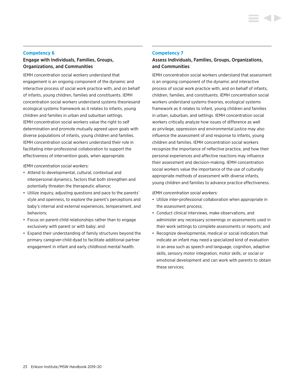## Engage with Individuals, Families, Groups, Organizations, and Communities

IEMH concentration social workers understand that engagement is an ongoing component of the dynamic and interactive process of social work practice with, and on behalf of infants, young children, families and constituents. IEMH concentration social workers understand systems theoriesand ecological systems framework as it relates to infants, young children and families in urban and suburban settings. IEMH concentration social workers value the right to self determination and promote mutually agreed upon goals with diverse populations of infants, young children and families. IEMH concentration social workers understand their role in facilitating inter-professional collaboration to support the effectiveness of intervention goals, when appropriate.

*IEMH concentration social workers:*

- Attend to developmental, cultural, contextual and interpersonal dynamics, factors that both strengthen and potentially threaten the therapeutic alliance;
- Utilize inquiry, adjusting questions and pace to the parents' style and openness, to explore the parent's perceptions and baby's internal and external experiences, temperament, and behaviors;
- Focus on parent-child relationships rather than to engage exclusively with parent or with baby; and
- Expand their understanding of family structures beyond the primary caregiver-child dyad to facilitate additional partner engagement in infant and early childhood mental health.

#### **Competency 7**

## Assess Individuals, Families, Groups, Organizations, and Communities

IEMH concentration social workers understand that assessment is an ongoing component of the dynamic and interactive process of social work practice with, and on behalf of infants, children, families, and constituents. IEMH concentration social workers understand systems theories, ecological systems framework as it relates to infant, young children and families in urban, suburban, and settings. IEMH concentration social workers critically analyze how issues of difference as well as privilege, oppression and environmental justice may also influence the assessment of and response to infants, young children and families. IEMH concentration social workers recognize the importance of reflective practice, and how their personal experiences and affective reactions may influence their assessment and decision-making. IEMH concentration social workers value the importance of the use of culturally appropriate methods of assessment with diverse infants, young children and families to advance practice effectiveness.

- Utilize inter-professional collaboration when appropriate in the assessment process;
- Conduct clinical interviews, make observations, and administer any necessary screenings or assessments used in their work settings to complete assessments or reports; and
- Recognize developmental, medical or social indicators that indicate an infant may need a specialized kind of evaluation in an area such as speech and language, cognition, adaptive skills, sensory motor integration, motor skills, or social or emotional development and can work with parents to obtain these services;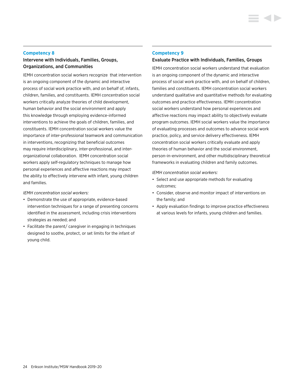## Intervene with Individuals, Families, Groups, Organizations, and Communities

IEMH concentration social workers recognize that intervention is an ongoing component of the dynamic and interactive process of social work practice with, and on behalf of, infants, children, families, and constituents. IEMH concentration social workers critically analyze theories of child development, human behavior and the social environment and apply this knowledge through employing evidence-informed interventions to achieve the goals of children, families, and constituents. IEMH concentration social workers value the importance of inter-professional teamwork and communication in interventions, recognizing that beneficial outcomes may require interdisciplinary, inter-professional, and interorganizational collaboration. IEMH concentration social workers apply self-regulatory techniques to manage how personal experiences and affective reactions may impact the ability to effectively intervene with infant, young children and families.

*IEMH concentration social workers:* 

- Demonstrate the use of appropriate, evidence-based intervention techniques for a range of presenting concerns identified in the assessment, including crisis interventions strategies as needed; and
- Facilitate the parent/ caregiver in engaging in techniques designed to soothe, protect, or set limits for the infant of young child.

#### **Competency 9**

#### Evaluate Practice with Individuals, Families, Groups

IEMH concentration social workers understand that evaluation is an ongoing component of the dynamic and interactive process of social work practice with, and on behalf of children, families and constituents. IEMH concentration social workers understand qualitative and quantitative methods for evaluating outcomes and practice effectiveness. IEMH concentration social workers understand how personal experiences and affective reactions may impact ability to objectively evaluate program outcomes. IEMH social workers value the importance of evaluating processes and outcomes to advance social work practice, policy, and service delivery effectiveness. IEMH concentration social workers critically evaluate and apply theories of human behavior and the social environment, person-in-environment, and other multidisciplinary theoretical frameworks in evaluating children and family outcomes.

- Select and use appropriate methods for evaluating outcomes;
- Consider, observe and monitor impact of interventions on the family; and
- Apply evaluation findings to improve practice effectiveness at various levels for infants, young children and families.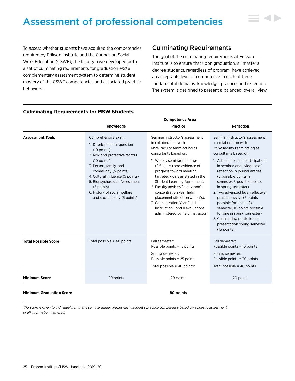# <span id="page-25-0"></span>Assessment of professional competencies

To assess whether students have acquired the competencies required by Erikson Institute and the Council on Social Work Education (CSWE), the faculty have developed both a set of culminating requirements for graduation *and* a complementary assessment system to determine student mastery of the CSWE competencies and associated practice behaviors.

## Culminating Requirements

The goal of the culminating requirements at Erikson Institute is to ensure that upon graduation, all master's degree students, regardless of program, have achieved an acceptable level of competence in each of three fundamental domains: knowledge, practice, and reflection. The system is designed to present a balanced, overall view

**d** b

|                             | <b>Competency Area</b>                                                                                                                                                                                                                                                                                                   |                                                                                                                                                                                                                                                                                                                                                                                                                                                                                      |                                                                                                                                                                                                                                                                                                                                                                                                                                                                                                                                                  |
|-----------------------------|--------------------------------------------------------------------------------------------------------------------------------------------------------------------------------------------------------------------------------------------------------------------------------------------------------------------------|--------------------------------------------------------------------------------------------------------------------------------------------------------------------------------------------------------------------------------------------------------------------------------------------------------------------------------------------------------------------------------------------------------------------------------------------------------------------------------------|--------------------------------------------------------------------------------------------------------------------------------------------------------------------------------------------------------------------------------------------------------------------------------------------------------------------------------------------------------------------------------------------------------------------------------------------------------------------------------------------------------------------------------------------------|
|                             | Knowledge                                                                                                                                                                                                                                                                                                                | Practice                                                                                                                                                                                                                                                                                                                                                                                                                                                                             | Reflection                                                                                                                                                                                                                                                                                                                                                                                                                                                                                                                                       |
| <b>Assessment Tools</b>     | Comprehensive exam<br>1. Developmental question<br>$(10$ points)<br>2. Risk and protective factors<br>$(10$ points)<br>3. Person, family, and<br>community (5 points)<br>4. Cultural influence (5 points)<br>5. Biopsychosocial Assessment<br>(5 points)<br>6. History of social welfare<br>and social policy (5 points) | Seminar instructor's assessment<br>in collaboration with<br>MSW faculty team acting as<br>consultants based on:<br>1. Weekly seminar meetings<br>(2.5 hours) and evidence of<br>progress toward meeting<br>targeted goals as stated in the<br>Student Learning Agreement.<br>2. Faculty adviser/field liaison's<br>concentration year field<br>placement site observation(s).<br>3. Concentration Year Field<br>Instruction I and II evaluations<br>administered by field instructor | Seminar instructor's assessment<br>in collaboration with<br>MSW faculty team acting as<br>consultants based on:<br>1. Attendance and participation<br>in seminar and evidence of<br>reflection in journal entries<br>(5 possible points fall<br>semester, 5 possible points<br>in spring semester)<br>2. Two advanced level reflective<br>practice essays (5 points<br>possible for one in fall<br>semester, 10 points possible<br>for one in spring semester)<br>3. Culminating portfolio and<br>presentation spring semester<br>$(15$ points). |
| <b>Total Possible Score</b> | Total possible = 40 points                                                                                                                                                                                                                                                                                               | Fall semester:<br>Possible points = 15 points<br>Spring semester:<br>Possible points = 25 points<br>Total possible = 40 points*                                                                                                                                                                                                                                                                                                                                                      | Fall semester:<br>Possible points = 10 points<br>Spring semester:<br>Possible points = 30 points<br>Total possible = 40 points                                                                                                                                                                                                                                                                                                                                                                                                                   |
| <b>Minimum Score</b>        | 20 points                                                                                                                                                                                                                                                                                                                | 20 points                                                                                                                                                                                                                                                                                                                                                                                                                                                                            | 20 points                                                                                                                                                                                                                                                                                                                                                                                                                                                                                                                                        |

## **Culminating Requirements for MSW Students**

**Minimum Graduation Score 80 points**

*\*No score is given to individual items. The seminar leader grades each student's practice competency based on a holistic assessment of all information gathered.*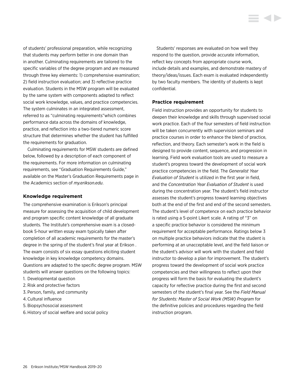of students' professional preparation, while recognizing that students may perform better in one domain than in another. Culminating requirements are tailored to the specific variables of the degree program and are measured through three key elements: 1) comprehensive examination; 2) field instruction evaluation; and 3) reflective practice evaluation. Students in the MSW program will be evaluated by the same system with components adapted to reflect social work knowledge, values, and practice competencies. The system culminates in an integrated assessment, referred to as "culminating requirements"which combines performance data across the domains of knowledge, practice, and reflection into a two-tiered numeric score structure that determines whether the student has fulfilled the requirements for graduation.

Culminating requirements for MSW students are defined below, followed by a description of each component of the requirements. For more information on culminating requirements, see "Graduation Requirements Guide," available on the Master's Graduation Requirements page in the Academics section of *[my.erikson.edu](http://my.erikson.edu)*.

#### **Knowledge requirement**

The comprehensive examination is Erikson's principal measure for assessing the acquisition of child development and program specific content knowledge of all graduate students. The Institute's comprehensive exam is a closedbook 5-hour written essay exam typically taken after completion of all academic requirements for the master's degree in the spring of the student's final year at Erikson . The exam consists of six essay questions eliciting student knowledge in key knowledge competency domains. Questions are adapted to the specific degree program. MSW students will answer questions on the following topics:

- 1. Developmental question
- 2. Risk and protective factors
- 3. Person, family, and community
- 4.Cultural influence
- 5. Biopsychosocial assessment
- 6.History of social welfare and social policy

Students' responses are evaluated on how well they respond to the question, provide accurate information, reflect key concepts from appropriate course work, include details and examples, and demonstrate mastery of theory/ideas/issues. Each exam is evaluated independently by two faculty members. The identity of students is kept confidential.

#### **Practice requirement**

Field instruction provides an opportunity for students to deepen their knowledge and skills through supervised social work practice. Each of the four semesters of field instruction will be taken concurrently with supervision seminars and practice courses in order to enhance the blend of practice, reflection, and theory. Each semester's work in the field is designed to provide content, sequence, and progression in learning. Field work evaluation tools are used to measure a student's progress toward the development of social work practice competencies in the field. The *Generalist Year Evaluation of Student* is utilized in the first year in field, and the *Concentration Year Evaluation of Student* is used during the concentration year. The student's field instructor assesses the student's progress toward learning objectives both at the end of the first and end of the second semesters. The student's level of competence on each practice behavior is rated using a 5-point Likert scale. A rating of "3" on a specific practice behavior is considered the minimum requirement for acceptable performance. Ratings below 3 on multiple practice behaviors indicate that the student is performing at an unacceptable level, and the field liaison or the student's advisor will work with the student and field instructor to develop a plan for improvement. The student's progress toward the development of social work practice competencies and their willingness to reflect upon their progress will form the basis for evaluating the student's capacity for reflective practice during the first and second semesters of the student's final year. See the *Field Manual for Students: Master of Social Work (MSW) Program* for the definitive policies and procedures regarding the field instruction program.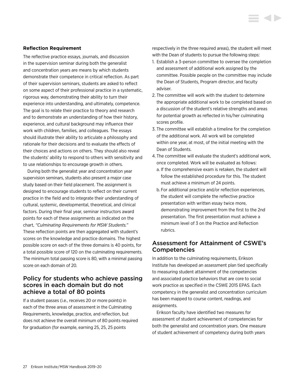#### **Reflection Requirement**

The reflective practice essays, journals, and discussion in the supervision seminar during both the generalist and concentration years are means by which students demonstrate their competence in critical reflection. As part of their supervision seminars, students are asked to reflect on some aspect of their professional practice in a systematic, rigorous way, demonstrating their ability to turn their experience into understanding, and ultimately, competence. The goal is to relate their practice to theory and research and to demonstrate an understanding of how their history, experience, and cultural background may influence their work with children, families, and colleagues. The essays should illustrate their ability to articulate a philosophy and rationale for their decisions and to evaluate the effects of their choices and actions on others. They should also reveal the students' ability to respond to others with sensitivity and to use relationships to encourage growth in others.

During both the generalist year and concentration year supervision seminars, students also present a major case study based on their field placement. The assignment is designed to encourage students to reflect on their current practice in the field and to integrate their understanding of cultural, systemic, developmental, theoretical, and clinical factors. During their final year, seminar instructors award points for each of these assignments as indicated on the chart, *"Culminating Requirements for MSW Students."* These reflection points are then aggregated with student's scores on the knowledge and practice domains. The highest possible score on each of the three domains is 40 points, for a total possible score of 120 on the culminating requirements. The minimum total passing score is 80, with a minimal passing score on each domain of 20.

## Policy for students who achieve passing scores in each domain but do not achieve a total of 80 points

If a student passes (i.e., receives 20 or more points) in each of the three areas of assessment in the Culminating Requirements, knowledge, practice, and reflection, but does not achieve the overall minimum of 80 points required for graduation (for example, earning 25, 25, 25 points

respectively in the three required areas), the student will meet with the Dean of students to pursue the following steps:

- 1. Establish a 3-person committee to oversee the completion and assessment of additional work assigned by the committee. Possible people on the committee may include the Dean of Students, Program director, and faculty adviser.
- 2. The committee will work with the student to determine the appropriate additional work to be completed based on a discussion of the student's relative strengths and areas for potential growth as reflected in his/her culminating scores profile.
- 3. The committee will establish a timeline for the completion of the additional work. All work will be completed within one year, at most, of the initial meeting with the Dean of Students.
- 4. The committee will evaluate the student's additional work, once completed. Work will be evaluated as follows:
	- a. If the comprehensive exam is retaken, the student will follow the established procedure for this. The student must achieve a minimum of 24 points.
	- b. For additional practice and/or reflection experiences, the student will complete the reflective practice presentation with written essay twice more, demonstrating improvement from the first to the 2nd presentation. The first presentation must achieve a minimum level of 3 on the Practice and Reflection rubrics.

## Assessment for Attainment of CSWE's Competencies

In addition to the culminating requirements, Erikson Institute has developed an assessment plan tied specifically to measuring student attainment of the competencies and associated practice behaviors that are core to social work practice as specified in the CSWE 2015 EPAS. Each competency in the generalist and concentration curriculum has been mapped to course content, readings, and assignments.

Erikson faculty have identified two measures for assessment of student achievement of competencies for both the generalist and concentration years. One measure of student achievement of competency during both years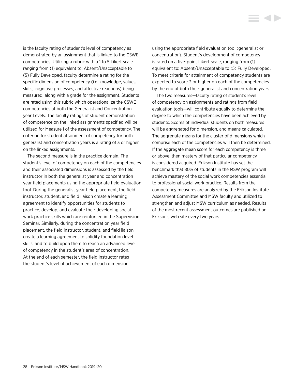is the faculty rating of student's level of competency as demonstrated by an assignment that is linked to the CSWE competencies. Utilizing a rubric with a 1 to 5 Likert scale ranging from (1) equivalent to: Absent/Unacceptable to (5) Fully Developed, faculty determine a rating for the specific dimension of competency (i.e. knowledge, values, skills, cognitive processes, and affective reactions) being measured, along with a grade for the assignment. Students are rated using this rubric which operationalize the CSWE competencies at both the Generalist and Concentration year Levels. The faculty ratings of student demonstration of competence on the linked assignments specified will be utilized for Measure I of the assessment of competency. The criterion for student attainment of competency for both generalist and concentration years is a rating of 3 or higher on the linked assignments.

The second measure is in the practice domain. The student's level of competency on each of the competencies and their associated dimensions is assessed by the field instructor in both the generalist year and concentration year field placements using the appropriate field evaluation tool. During the generalist year field placement, the field instructor, student, and field liaison create a learning agreement to identify opportunities for students to practice, develop, and evaluate their developing social work practice skills which are reinforced in the Supervision Seminar. Similarly, during the concentration year field placement, the field instructor, student, and field liaison create a learning agreement to solidify foundation level skills, and to build upon them to reach an advanced level of competency in the student's area of concentration. At the end of each semester, the field instructor rates the student's level of achievement of each dimension

using the appropriate field evaluation tool (generalist or concentration). Student's development of competency is rated on a five-point Likert scale, ranging from (1) equivalent to: Absent/Unacceptable to (5) Fully Developed. To meet criteria for attainment of competency students are expected to score 3 or higher on each of the competencies by the end of both their generalist and concentration years.

The two measures—faculty rating of student's level of competency on assignments and ratings from field evaluation tools—will contribute equally to determine the degree to which the competencies have been achieved by students. Scores of individual students on both measures will be aggregated for dimension, and means calculated. The aggregate means for the cluster of dimensions which comprise each of the competencies will then be determined. If the aggregate mean score for each competency is three or above, then mastery of that particular competency is considered acquired. Erikson Institute has set the benchmark that 80% of students in the MSW program will achieve mastery of the social work competencies essential to professional social work practice. Results from the competency measures are analyzed by the Erikson Institute Assessment Committee and MSW faculty and utilized to strengthen and adjust MSW curriculum as needed. Results of the most recent assessment outcomes are published on Erikson's web site every two years.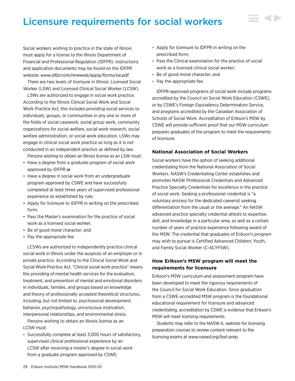# <span id="page-29-0"></span>Licensure requirements for social workers

Social workers wishing to practice in the state of Illinois must apply for a license to the Illinois Department of Financial and Professional Regulation (IDFPR). Instructions and application documents may be found on the IDFPR website: *[www.idfpr.com/renewals/apply/forms/sw.pdf](https://www.idfpr.com/renewals/apply/forms/sw.pdf).*

There are two levels of licensure in Illinois: Licensed Social Worker (LSW) and Licensed Clinical Social Worker (LCSW).

LSWs are authorized to engage in social work practice. According to the Illinois Clinical Social Work and Social Work Practice Act, this includes providing social services to individuals, groups, or communities in any one or more of the fields of social casework, social group work, community organizations for social welfare, social work research, social welfare administration, or social work education. LSWs may engage in clinical social work practice as long as it is not conducted in an independent practice as defined by law.

Persons wishing to obtain an Illinois license as an LSW must:

- Have a degree from a graduate program of social work approved by IDFPR or
- Have a degree in social work from an undergraduate program approved by CSWE and have successfully completed at least three years of supervised professional experience as established by rule;
- Apply for licensure to IDFPR in writing on the prescribed form;
- Pass the Master's examination for the practice of social work as a licensed social worker;
- Be of good moral character; and
- Pay the appropriate fee.

LCSWs are authorized to independently practice clinical social work in Illinois under the auspices of an employer or in private practice. According to the Clinical Social Work and Social Work Practice Act, "Clinical social work practice" means the providing of mental health services for the evaluation, treatment, and prevention of mental and emotional disorders in individuals, families, and groups based on knowledge and theory of professionally accepted theoretical structures, including, but not limited to, psychosocial development, behavior, psychopathology, unconscious motivation, interpersonal relationships, and environmental stress.

Persons wishing to obtain an Illinois license as an LCSW must:

• Successfully complete at least 3,000 hours of satisfactory, supervised clinical professional experience by an LCSW after receiving a master's degree in social work from a graduate program approved by CSWE;

- Apply for licensure to IDFPR in writing on the prescribed form;
- Pass the Clinical examination for the practice of social work as a licensed clinical social worker;
- Be of good moral character; and
- Pay the appropriate fee.

IDFPR-approved programs of social work include programs accredited by the Council on Social Work Education (CSWE), or by CSWE's Foreign Equivalency Determination Service, and programs accredited by the Canadian Association of Schools of Social Work. Accreditation of Erikson's MSW by CSWE will provide sufficient proof that our MSW curriculum prepares graduates of the program to meet the requirements of licensure.

### **National Association of Social Workers**

Social workers have the option of seeking additional credentialing from the National Association of Social Workers. NASW's Credentialing Center establishes and promotes NASW Professional Credentials and Advanced Practice Specialty Credentials for excellence in the practice of social work. Seeking a professional credential is "a voluntary process for the dedicated careerist seeking differentiation from the usual or the average." An NASW advanced practice specialty credential attests to expertise, skill, and knowledge in a particular area, as well as a certain number of years of practice experience following award of the MSW. The credential that graduates of Erikson's program may wish to pursue is Certified Advanced Children, Youth, and Family Social Worker (C-ACYFSW).

## **How Erikson's MSW program will meet the requirements for licensure**

Erikson's MSW curriculum and assessment program have been developed to meet the rigorous requirements of the Council for Social Work Education. Since graduation from a CSWE-accredited MSW program is the foundational educational requirement for licensure and advanced credentialing, accreditation by CSWE is evidence that Erikson's MSW will meet licensing requirements.

Students may refer to the NASW-IL website for licensing preparation courses to review content relevant to the licensing exams at *[www.naswil.org/test-prep](https://www.naswil.org/test-prep)*.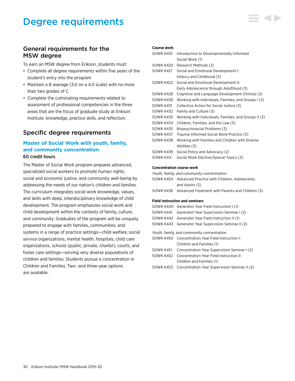# <span id="page-30-0"></span>Degree requirements

## General requirements for the MSW degree

To earn an MSW degree from Erikson, students must:

- Complete all degree requirements within five years of the student's entry into the program
- Maintain a B average (3.0 on a 4.0 scale) with no more than two grades of C
- Complete the culminating requirements related to assessment of professional competencies in the three areas that are the focus of graduate study at Erikson Institute: knowledge, practice skills, and reflection.

## Specific degree requirements

## **Master of Social Work with youth, family, and community concentration** 60 credit hours

The Master of Social Work program prepares advanced, specialized social workers to promote human rights, social and economic justice, and community well-being by addressing the needs of our nation's children and families. The curriculum integrates social work knowledge, values, and skills with deep, interdisciplinary knowledge of child development. The program emphasizes social work and child development within the contexts of family, culture, and community. Graduates of the program will be uniquely prepared to engage with families, communities, and systems in a range of practice settings—child welfare, social service organizations, mental health, hospitals, child care organizations, schools (public, private, charter), courts, and foster care settings—serving very diverse populations of children and families. Students pursue a concentration in Children and Families. Two- and three-year options are available.

#### **Course work**

| SOWK K410 | Introduction to Developmentally-Informed              |
|-----------|-------------------------------------------------------|
|           | Social Work (1)                                       |
| SOWK K420 | Research Methods (3)                                  |
| SOWK K421 | Social and Emotional Development I:                   |
|           | Infancy and Childhood (3)                             |
| SOWK K422 | Social and Emotional Development II:                  |
|           | Early Adolescence through Adulthood (3)               |
| SOWK K428 | Cognitive and Language Development (Online) (3)       |
| SOWK K430 | Working with Individuals, Families, and Groups I (3)  |
| SOWK K431 | Collective Action for Social Justice (3)              |
| SOWK K432 | Family and Culture (3)                                |
| SOWK K433 | Working with Individuals, Families, and Groups II (3) |
| SOWK K434 | Children, Families, and the Law (3)                   |
| SOWK K435 | Biopsychosocial Problems (3)                          |
| SOWK K437 | Trauma-Informed Social Work Practice (3)              |
| SOWK K438 | Working with Families and Children with Diverse       |
|           | Abilities (3)                                         |
| SOWK K439 | Social Policy and Advocacy (2)                        |
| SOWK KXX  | Social Work Elective/Special Topics (3)               |
|           |                                                       |

#### **Concentration course work**

*Youth, family, and community concentration* SOWK K454 Advanced Practice with Children, Adolescents, and Adults (3) SOWK K436 Advanced Treatment with Parents and Children (3)

#### **Field Instruction and seminars**

|           | SOWK K440 Generalist Year Field Instruction I (1)       |
|-----------|---------------------------------------------------------|
|           | SOWK K441 Generalist Year Supervision Seminar I (2)     |
|           | SOWK K442 Generalist Year Field Instruction II (1)      |
|           | SOWK K443 Generalist Year Supervision Seminar II (2)    |
|           | Youth, family, and community concentration              |
|           | SOWK K450 Concentration Year Field Instruction I:       |
|           | Children and Families (1)                               |
| SOWK K451 | Concentration Year Supervision Seminar I (2)            |
|           | SOWK K452 Concentration Year Field Instruction II:      |
|           | Children and Families (1)                               |
|           | SOWK K453 Concentration Year Supervision Seminar II (2) |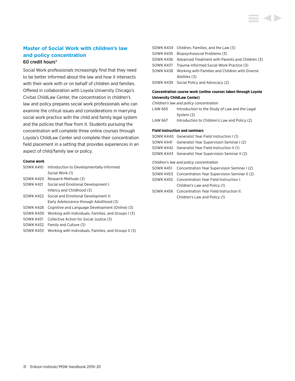# **Master of Social Work with children's law and policy concentration**

## 60 credit hours\*

Social Work professionals increasingly find that they need to be better informed about the law and how it intersects with their work with or on behalf of children and families. Offered in collaboration with Loyola University Chicago's Civitas ChildLaw Center, the concentration in children's law and policy prepares social work professionals who can examine the critical issues and considerations in marrying social work practice with the child and family legal system and the policies that flow from it. Students pursuing the concentration will complete three online courses through Loyola's ChildLaw Center and complete their concentration field placement in a setting that provides experiences in an aspect of child/family law or policy.

#### **Course work**

| SOWK K410 | Introduction to Developmentally-Informed              |
|-----------|-------------------------------------------------------|
|           | Social Work (1)                                       |
| SOWK K420 | Research Methods (3)                                  |
| SOWK K421 | Social and Emotional Development I:                   |
|           | Infancy and Childhood (3)                             |
| SOWK K422 | Social and Emotional Development II:                  |
|           | Early Adolescence through Adulthood (3)               |
| SOWK K428 | Cognitive and Language Development (Online) (3)       |
| SOWK K430 | Working with Individuals, Families, and Groups I (3)  |
| SOWK K431 | Collective Action for Social Justice (3)              |
| SOWK K432 | Family and Culture (3)                                |
| SOWK K433 | Working with Individuals, Families, and Groups II (3) |

| SOWK K434 Children, Families, and the Law (3)              |
|------------------------------------------------------------|
| SOWK K435 Biopsychosocial Problems (3)                     |
| SOWK K436 Advanced Treatment with Parents and Children (3) |
| SOWK K437 Trauma-Informed Social Work Practice (3)         |
| SOWK K438 Working with Families and Children with Diverse  |
| Abilities (3)                                              |
| SOWK K439 Social Policy and Advocacy (2)                   |
|                                                            |

#### **Concentration course work (online courses taken through Loyola University ChildLaw Center)**

*Children's law and policy concentration*

LAW 665 Introduction to the Study of Law and the Legal System (2) LAW 667 Introduction to Children's Law and Policy (2)

#### **Field Instruction and seminars**

|           | SOWK K440 Generalist Year Field Instruction I (1)       |
|-----------|---------------------------------------------------------|
|           | SOWK K441 Generalist Year Supervision Seminar I (2)     |
|           | SOWK K442 Generalist Year Field Instruction II (1)      |
|           | SOWK K443 Generalist Year Supervision Seminar II (2)    |
|           | Children's law and policy concentration                 |
| SOWK K451 | Concentration Year Supervision Seminar I (2)            |
|           | SOWK K453 Concentration Year Supervision Seminar II (2) |
|           | SOWK K455 Concentration Year Field Instruction I:       |
|           | Children's Law and Policy (1)                           |
|           | SOWK K456 Concentration Year Field Instruction II:      |
|           | Children's Law and Policy (1)                           |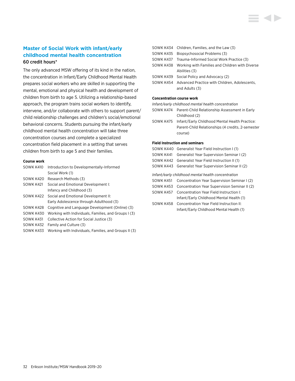## **Master of Social Work with infant/early childhood mental health concentration** 60 credit hours\*

The only advanced MSW offering of its kind in the nation, the concentration in Infant/Early Childhood Mental Health prepares social workers who are skilled in supporting the mental, emotional and physical health and development of children from birth to age 5. Utilizing a relationship-based approach, the program trains social workers to identify, intervene, and/or collaborate with others to support parent/ child relationship challenges and children's social/emotional behavioral concerns. Students pursuing the infant/early childhood mental health concentration will take three concentration courses and complete a specialized concentration field placement in a setting that serves children from birth to age 5 and their families.

#### **Course work**

| SOWK K410 | Introduction to Developmentally-Informed              |
|-----------|-------------------------------------------------------|
|           | Social Work (1)                                       |
| SOWK K420 | Research Methods (3)                                  |
| SOWK K421 | Social and Emotional Development I:                   |
|           | Infancy and Childhood (3)                             |
| SOWK K422 | Social and Emotional Development II:                  |
|           | Early Adolescence through Adulthood (3)               |
| SOWK K428 | Cognitive and Language Development (Online) (3)       |
| SOWK K430 | Working with Individuals, Families, and Groups I (3)  |
| SOWK K431 | Collective Action for Social Justice (3)              |
| SOWK K432 | Family and Culture (3)                                |
| SOWK K433 | Working with Individuals, Families, and Groups II (3) |

|  | SOWK K434 Children, Families, and the Law (3)             |
|--|-----------------------------------------------------------|
|  | SOWK K435 Biopsychosocial Problems (3)                    |
|  | SOWK K437 Trauma-Informed Social Work Practice (3)        |
|  | SOWK K438 Working with Families and Children with Diverse |
|  | Abilities (3)                                             |
|  | SOWK K439 Social Policy and Advocacy (2)                  |
|  | SOWK K454 Advanced Practice with Children, Adolescents,   |
|  | and Adults (3)                                            |
|  |                                                           |

#### **Concentration course work**

*Infant/early childhood mental health concentration*

- SOWK K474 Parent-Child Relationship Assessment in Early Childhood (2)
- SOWK K475 Infant/Early Childhood Mental Health Practice: Parent-Child Relationships (4 credits, 2-semester course)

#### **Field Instruction and seminars**

|           | SOWK K440 Generalist Year Field Instruction I (1)       |
|-----------|---------------------------------------------------------|
| SOWK K441 | <b>Generalist Year Supervision Seminar I (2)</b>        |
|           | SOWK K442 Generalist Year Field Instruction II (1)      |
| SOWK K443 | Generalist Year Supervision Seminar II (2)              |
|           | Infant/early childhood mental health concentration      |
| SOWK K451 | Concentration Year Supervision Seminar I (2)            |
|           | SOWK K453 Concentration Year Supervision Seminar II (2) |
| SOWK K457 | Concentration Year Field Instruction I:                 |
|           | Infant/Early Childhood Mental Health (1)                |
| SOWK K458 | Concentration Year Field Instruction II:                |
|           | Infant/Early Childhood Mental Health (1)                |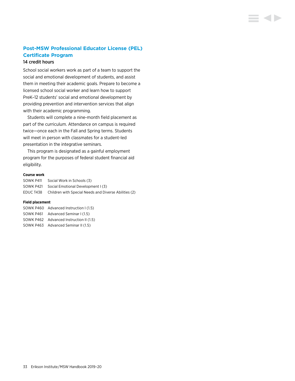## **Post-MSW Professional Educator License (PEL) Certificate Program**

▘◀▶

## 14 credit hours

School social workers work as part of a team to support the social and emotional development of students, and assist them in meeting their academic goals. Prepare to become a licensed school social worker and learn how to support PreK–12 students' social and emotional development by providing prevention and intervention services that align with their academic programming.

Students will complete a nine-month field placement as part of the curriculum. Attendance on campus is required twice—once each in the Fall and Spring terms. Students will meet in person with classmates for a student-led presentation in the integrative seminars.

This program is designated as a gainful employment program for the purposes of federal student financial aid eligibility.

#### **Course work**

| SOWK P411 | Social Work in Schools (3)                            |
|-----------|-------------------------------------------------------|
|           | SOWK P421 Social Emotional Development I (3)          |
| EDUC T438 | Children with Special Needs and Diverse Abilities (2) |

#### **Field placement**

| SOWK P460 Advanced Instruction I (1.5)  |
|-----------------------------------------|
| SOWK P461 Advanced Seminar I (1.5)      |
| SOWK P462 Advanced Instruction II (1.5) |
| SOWK P463 Advanced Seminar II (1.5)     |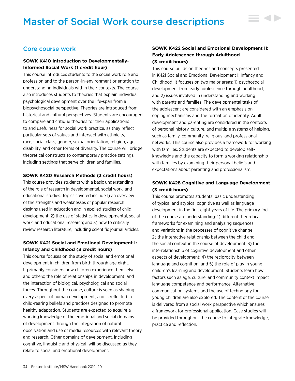## <span id="page-34-0"></span>Core course work

### **SOWK K410 Introduction to Developmentally-Informed Social Work (1 credit hour)**

This course introduces students to the social work role and profession and to the person-in-environment orientation to understanding individuals within their contexts. The course also introduces students to theories that explain individual psychological development over the life-span from a biopsychosocial perspective. Theories are introduced from historical and cultural perspectives. Students are encouraged to compare and critique theories for their applications to and usefulness for social work practice, as they reflect particular sets of values and intersect with ethnicity, race, social class, gender, sexual orientation, religion, age, disability, and other forms of diversity. The course will bridge theoretical constructs to contemporary practice settings, including settings that serve children and families.

#### **SOWK K420 Research Methods (3 credit hours)**

This course provides students with a basic understanding of the role of research in developmental, social work, and educational studies. Topics covered include 1) an overview of the strengths and weaknesses of popular research designs used in education and in applied studies of child development; 2) the use of statistics in developmental, social work, and educational research; and 3) how to critically review research literature, including scientific journal articles.

## **SOWK K421 Social and Emotional Development I: Infancy and Childhood (3 credit hours)**

This course focuses on the study of social and emotional development in children from birth through age eight. It primarily considers how children experience themselves and others; the role of relationships in development; and the interaction of biological, psychological and social forces. Throughout the course, culture is seen as shaping every aspect of human development, and is reflected in child-rearing beliefs and practices designed to promote healthy adaptation. Students are expected to acquire a working knowledge of the emotional and social domains of development through the integration of natural observation and use of media resources with relevant theory and research. Other domains of development, including cognitive, linguistic and physical, will be discussed as they relate to social and emotional development.

## **SOWK K422 Social and Emotional Development II: Early Adolescence through Adulthood (3 credit hours)**

 $\equiv$  4  $\blacktriangleright$ 

This course builds on theories and concepts presented in K421 Social and Emotional Development I: Infancy and Childhood. It focuses on two major areas: 1) psychosocial development from early adolescence through adulthood, and 2) issues involved in understanding and working with parents and families. The developmental tasks of the adolescent are considered with an emphasis on coping mechanisms and the formation of identity. Adult development and parenting are considered in the contexts of personal history, culture, and multiple systems of helping, such as family, community, religious, and professional networks. This course also provides a framework for working with families. Students are expected to develop selfknowledge and the capacity to form a working relationship with families by examining their personal beliefs and expectations about parenting and professionalism.

## **SOWK K428 Cognitive and Language Development (3 credit hours)**

This course promotes students' basic understanding of typical and atypical cognitive as well as language development in the first eight years of life. The primary foci of the course are understanding: 1) different theoretical frameworks for examining and analyzing sequences and variations in the processes of cognitive change; 2) the interactive relationship between the child and the social context in the course of development; 3) the interrelationship of cognitive development and other aspects of development; 4) the reciprocity between language and cognition; and 5) the role of play in young children's learning and development. Students learn how factors such as age, culture, and community context impact language competence and performance. Alternative communication systems and the use of technology for young children are also explored. The content of the course is delivered from a social work perspective which ensures a framework for professional application. Case studies will be provided throughout the course to integrate knowledge, practice and reflection.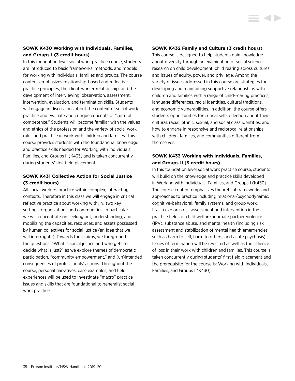## **SOWK K430 Working with Individuals, Families, and Groups I (3 credit hours)**

In this foundation level social work practice course, students are introduced to basic frameworks, methods, and models for working with individuals, families and groups. The course content emphasizes relationship-based and reflective practice principles, the client-worker relationship, and the development of interviewing, observation, assessment, intervention, evaluation, and termination skills. Students will engage in discussions about the context of social work practice and evaluate and critique concepts of "cultural competence." Students will become familiar with the values and ethics of the profession and the variety of social work roles and practice in work with children and families. This course provides students with the foundational knowledge and practice skills needed for Working with Individuals, Families, and Groups II (K433) and is taken concurrently during students' first field placement.

## **SOWK K431 Collective Action for Social Justice (3 credit hours)**

All social workers practice within complex, interacting contexts. Therefore in this class we will engage in critical reflective practice about working with(in) two key settings: organizations and communities. In particular we will concentrate on seeking out, understanding, and mobilizing the capacities, resources, and assets possessed by human collectives for social justice (an idea that we will interrogate). Towards these aims, we foreground the questions, "What is social justice and who gets to decide what is just?" as we explore themes of democratic participation, "community empowerment," and (un)intended consequences of professionals' actions. Throughout the course, personal narratives, case examples, and field experiences will be used to investigate "macro" practice issues and skills that are foundational to generalist social work practice.

#### **SOWK K432 Family and Culture (3 credit hours)**

This course is designed to help students gain knowledge about diversity through an examination of social science research on child development, child rearing across cultures, and issues of equity, power, and privilege. Among the variety of issues addressed in this course are strategies for developing and maintaining supportive relationships with children and families with a range of child-rearing practices, language differences, racial identities, cultural traditions, and economic vulnerabilities. In addition, the course offers students opportunities for critical self-reflection about their cultural, racial, ethnic, sexual, and social class identities, and how to engage in responsive and reciprocal relationships with children, families, and communities different from themselves.

## **SOWK K433 Working with Individuals, Families, and Groups II (3 credit hours)**

In this foundation level social work practice course, students will build on the knowledge and practice skills developed in Working with Individuals, Families, and Groups I (K430). The course content emphasizes theoretical frameworks and approaches to practice including relational/psychodynamic, cognitive-behavioral, family systems, and group work. It also explores risk assessment and intervention in the practice fields of child welfare, intimate partner violence (IPV), substance abuse, and mental health (including risk assessment and stabilization of mental health emergencies such as harm to self, harm to others, and acute psychosis). Issues of termination will be revisited as well as the salience of loss in their work with children and families. This course is taken concurrently during students' first field placement and the prerequisite for the course is: Working with Individuals, Families, and Groups I (K430).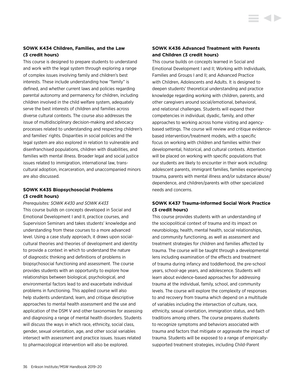# **SOWK K434 Children, Families, and the Law (3 credit hours)**

This course is designed to prepare students to understand and work with the legal system through exploring a range of complex issues involving family and children's best interests. These include understanding how "family" is defined, and whether current laws and policies regarding parental autonomy and permanency for children, including children involved in the child welfare system, adequately serve the best interests of children and families across diverse cultural contexts. The course also addresses the issue of multidisciplinary decision-making and advocacy processes related to understanding and respecting children's and families' rights. Disparities in social policies and the legal system are also explored in relation to vulnerable and disenfranchised populations, children with disabilities, and families with mental illness. Broader legal and social justice issues related to immigration, international law, transcultural adoption, incarceration, and unaccompanied minors are also discussed.

# **SOWK K435 Biopsychosocial Problems (3 credit hours)**

*Prerequisites: SOWK K430 and SOWK K433* This course builds on concepts developed in Social and Emotional Development I and II, practice courses, and Supervision Seminars and takes students' knowledge and understanding from these courses to a more advanced level. Using a case study approach, it draws upon socialcultural theories and theories of development and identity to provide a context in which to understand the nature of diagnostic thinking and definitions of problems in biopsychosocial functioning and assessment. The course provides students with an opportunity to explore how relationships between biological, psychological, and environmental factors lead to and exacerbate individual problems in functioning. This applied course will also help students understand, learn, and critique descriptive approaches to mental health assessment and the use and application of the DSM V and other taxonomies for assessing and diagnosing a range of mental health disorders. Students will discuss the ways in which race, ethnicity, social class, gender, sexual orientation, age, and other social variables intersect with assessment and practice issues. Issues related to pharmacological intervention will also be explored.

# **SOWK K436 Advanced Treatment with Parents and Children (3 credit hours)**

This course builds on concepts learned in Social and Emotional Development I and II; Working with Individuals, Families and Groups I and II; and Advanced Practice with Children, Adolescents and Adults. It is designed to deepen students' theoretical understanding and practice knowledge regarding working with children, parents, and other caregivers around social/emotional, behavioral, and relational challenges. Students will expand their competencies in individual, dyadic, family, and other approaches to working across home visiting and agencybased settings. The course will review and critique evidencebased intervention/treatment models, with a specific focus on working with children and families within their developmental, historical, and cultural contexts. Attention will be placed on working with specific populations that our students are likely to encounter in their work including: adolescent parents, immigrant families, families experiencing trauma, parents with mental illness and/or substance abuse/ dependence, and children/parents with other specialized needs and concerns.

# **SOWK K437 Trauma-Informed Social Work Practice (3 credit hours)**

This course provides students with an understanding of the sociopolitical context of trauma and its impact on neurobiology, health, mental health, social relationships, and community functioning, as well as assessment and treatment strategies for children and families affected by trauma. The course will be taught through a developmental lens including examination of the effects and treatment of trauma during infancy and toddlerhood, the pre-school years, school-age years, and adolescence. Students will learn about evidence-based approaches for addressing trauma at the individual, family, school, and community levels. The course will explore the complexity of responses to and recovery from trauma which depend on a multitude of variables including the intersection of culture, race, ethnicity, sexual orientation, immigration status, and faith traditions among others. The course prepares students to recognize symptoms and behaviors associated with trauma and factors that mitigate or aggravate the impact of trauma. Students will be exposed to a range of empiricallysupported treatment strategies, including Child-Parent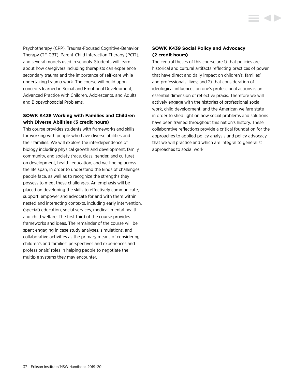Psychotherapy (CPP), Trauma-Focused Cognitive-Behavior Therapy (TF-CBT), Parent-Child Interaction Therapy (PCIT), and several models used in schools. Students will learn about how caregivers including therapists can experience secondary trauma and the importance of self-care while undertaking trauma work. The course will build upon concepts learned in Social and Emotional Development, Advanced Practice with Children, Adolescents, and Adults; and Biopsychosocial Problems.

# **SOWK K438 Working with Families and Children with Diverse Abilities (3 credit hours)**

This course provides students with frameworks and skills for working with people who have diverse abilities and their families. We will explore the interdependence of biology including physical growth and development, family, community, and society (race, class, gender, and culture) on development, health, education, and well-being across the life span, in order to understand the kinds of challenges people face, as well as to recognize the strengths they possess to meet these challenges. An emphasis will be placed on developing the skills to effectively communicate, support, empower and advocate for and with them within nested and interacting contexts, including early intervention, (special) education, social services, medical, mental health, and child welfare. The first third of the course provides frameworks and ideas. The remainder of the course will be spent engaging in case study analyses, simulations, and collaborative activities as the primary means of considering children's and families' perspectives and experiences and professionals' roles in helping people to negotiate the multiple systems they may encounter.

# **SOWK K439 Social Policy and Advocacy (2 credit hours)**

The central theses of this course are 1) that policies are historical and cultural artifacts reflecting practices of power that have direct and daily impact on children's, families' and professionals' lives; and 2) that consideration of ideological influences on one's professional actions is an essential dimension of reflective praxis. Therefore we will actively engage with the histories of professional social work, child development, and the American welfare state in order to shed light on how social problems and solutions have been framed throughout this nation's history. These collaborative reflections provide a critical foundation for the approaches to applied policy analysis and policy advocacy that we will practice and which are integral to generalist approaches to social work.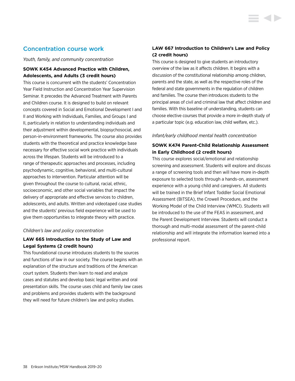# Concentration course work

*Youth, family, and community concentration*

# **SOWK K454 Advanced Practice with Children, Adolescents, and Adults (3 credit hours)**

This course is concurrent with the students' Concentration Year Field Instruction and Concentration Year Supervision Seminar. It precedes the Advanced Treatment with Parents and Children course. It is designed to build on relevant concepts covered in Social and Emotional Development I and II and Working with Individuals, Families, and Groups I and II, particularly in relation to understanding individuals and their adjustment within developmental, biopsychosocial, and person-in-environment frameworks. The course also provides students with the theoretical and practice knowledge base necessary for effective social work practice with individuals across the lifespan. Students will be introduced to a range of therapeutic approaches and processes, including psychodynamic, cognitive, behavioral, and multi-cultural approaches to intervention. Particular attention will be given throughout the course to cultural, racial, ethnic, socioeconomic, and other social variables that impact the delivery of appropriate and effective services to children, adolescents, and adults. Written and videotaped case studies and the students' previous field experience will be used to give them opportunities to integrate theory with practice.

#### *Children's law and policy concentration*

# **LAW 665 Introduction to the Study of Law and Legal Systems (2 credit hours)**

This foundational course introduces students to the sources and functions of law in our society. The course begins with an explanation of the structure and traditions of the American court system. Students then learn to read and analyze cases and statutes and develop basic legal written and oral presentation skills. The course uses child and family law cases and problems and provides students with the background they will need for future children's law and policy studies.

# **LAW 667 Introduction to Children's Law and Policy (2 credit hours)**

**SALE** 

This course is designed to give students an introductory overview of the law as it affects children. It begins with a discussion of the constitutional relationship among children, parents and the state, as well as the respective roles of the federal and state governments in the regulation of children and families. The course then introduces students to the principal areas of civil and criminal law that affect children and families. With this baseline of understanding, students can choose elective courses that provide a more in-depth study of a particular topic (e.g. education law, child welfare, etc.).

#### *Infant/early childhood mental health concentration*

# **SOWK K474 Parent-Child Relationship Assessment in Early Childhood (2 credit hours)**

This course explores social/emotional and relationship screening and assessment. Students will explore and discuss a range of screening tools and then will have more in-depth exposure to selected tools through a hands-on, assessment experience with a young child and caregivers. All students will be trained in the Brief Infant Toddler Social Emotional Assessment (BITSEA), the Crowell Procedure, and the Working Model of the Child Interview (WMCI). Students will be introduced to the use of the FEAS in assessment, and the Parent Development Interview. Students will conduct a thorough and multi-modal assessment of the parent-child relationship and will integrate the information learned into a professional report.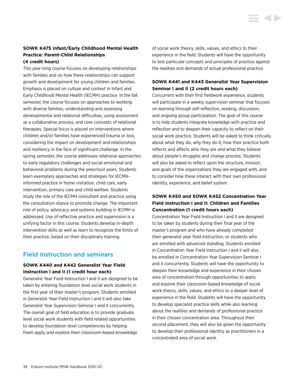# **SOWK K475 Infant/Early Childhood Mental Health Practice: Parent-Child Relationships (4 credit hours)**

This year-long course focuses on developing relationships with families and on how these relationships can support growth and development for young children and families. Emphasis is placed on culture and context in Infant and Early Childhood Mental Health (IECMH) practice. In the fall semester, the course focuses on approaches to working with diverse families, understanding and assessing developmental and relational difficulties, using assessment as a collaborative process, and core concepts of relational therapies. Special focus is placed on interventions where children and/or families have experienced trauma or loss, considering the impact on development and relationships and resiliency in the face of significant challenge. In the spring semester, the course addresses relational approaches to early regulatory challenges and social-emotional and behavioral problems during the preschool years. Students learn exemplary approaches and strategies for IECMHinformed practice in home visitation, child care, early intervention, primary care and child welfare. Students study the role of the IECMH consultant and practice using the consultation stance to promote change. The important role of policy, advocacy and systems building in IECMH is addressed. Use of reflective practice and supervision is a unifying factor in this course. Students develop in-depth intervention skills as well as learn to recognize the limits of their practice, based on their disciplinary training.

# Field Instruction and seminars

# **SOWK K440 and K442 Generalist Year Field Instruction I and II (1 credit hour each)**

Generalist Year Field Instruction I and II are designed to be taken by entering foundation level social work students in the first year of their master's program. Students enrolled in Generalist Year Field Instruction I and II will also take Generalist Year Supervision Seminar I and II concurrently. The overall goal of field education is to provide graduate level social work students with field related opportunities to develop foundation level competencies by helping them apply and explore their classroom-based knowledge

of social work theory, skills, values, and ethics to their experience in the field. Students will have the opportunity to test particular concepts and principles of practice against the realities and demands of actual professional practice.

# **SOWK K441 and K443 Generalist Year Supervision Seminar I and II (2 credit hours each)**

Concurrent with their first fieldwork experience, students will participate in a weekly supervision seminar that focuses on learning through self-reflection, reading, discussion, and ongoing group participation. The goal of this course is to help students integrate knowledge with practice and reflection and to deepen their capacity to reflect on their social work practice. Students will be asked to think critically about what they do, why they do it, how their practice both reflects and affects who they are and what they believe about people's struggles and change process. Students will also be asked to reflect upon the structure, mission, and goals of the organizations they are engaged with, and to consider how these interact with their own professional identity, experience, and belief system.

# **SOWK K450 and SOWK K452 Concentration Year Field Instruction I and II: Children and Families Concentration (1 credit hours each)**

Concentration Year Field Instruction I and II are designed to be taken by students during their final year of the master's program and who have already completed their generalist year field instruction, or students who are enrolled with advanced standing. Students enrolled in Concentration Year Field Instruction I and II will also be enrolled in Concentration Year Supervision Seminar I and II concurrently. Students will have the opportunity to deepen their knowledge and experience in their chosen area of concentration through opportunities to apply and explore their classroom-based knowledge of social work theory, skills, values, and ethics to a deeper level of experience in the field. Students will have the opportunity to develop specialist practice skills while also learning about the realities and demands of professional practice in their chosen concentration area. Throughout their second placement, they will also be given the opportunity to develop their professional identity as practitioners in a concentrated area of social work.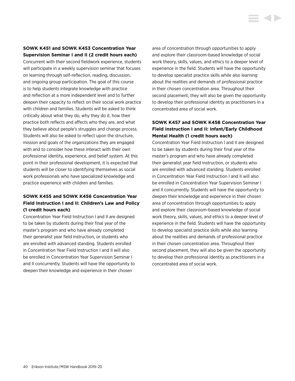# **SOWK K451 and SOWK K453 Concentration Year Supervision Seminar I and II (2 credit hours each)**

Concurrent with their second fieldwork experience, students will participate in a weekly supervision seminar that focuses on learning through self-reflection, reading, discussion, and ongoing group participation. The goal of this course is to help students integrate knowledge with practice and reflection at a more independent level and to further deepen their capacity to reflect on their social work practice with children and families. Students will be asked to think critically about what they do, why they do it, how their practice both reflects and affects who they are, and what they believe about people's struggles and change process. Students will also be asked to reflect upon the structure, mission and goals of the organizations they are engaged with and to consider how these interact with their own professional identity, experience, and belief system. At this point in their professional development, it is expected that students will be closer to identifying themselves as social work professionals who have specialized knowledge and practice experience with children and families.

# **SOWK K455 and SOWK K456 Concentration Year Field Instruction I and II: Children's Law and Policy (1 credit hours each)**

Concentration Year Field Instruction I and II are designed to be taken by students during their final year of the master's program and who have already completed their generalist year field instruction, or students who are enrolled with advanced standing. Students enrolled in Concentration Year Field Instruction I and II will also be enrolled in Concentration Year Supervision Seminar I and II concurrently. Students will have the opportunity to deepen their knowledge and experience in their chosen

area of concentration through opportunities to apply and explore their classroom-based knowledge of social work theory, skills, values, and ethics to a deeper level of experience in the field. Students will have the opportunity to develop specialist practice skills while also learning about the realities and demands of professional practice in their chosen concentration area. Throughout their second placement, they will also be given the opportunity to develop their professional identity as practitioners in a concentrated area of social work.

# **SOWK K457 and SOWK K458 Concentration Year Field Instruction I and II: Infant/Early Childhood Mental Health (1 credit hours each)**

Concentration Year Field Instruction I and II are designed to be taken by students during their final year of the master's program and who have already completed their generalist year field instruction, or students who are enrolled with advanced standing. Students enrolled in Concentration Year Field Instruction I and II will also be enrolled in Concentration Year Supervision Seminar I and II concurrently. Students will have the opportunity to deepen their knowledge and experience in their chosen area of concentration through opportunities to apply and explore their classroom-based knowledge of social work theory, skills, values, and ethics to a deeper level of experience in the field. Students will have the opportunity to develop specialist practice skills while also learning about the realities and demands of professional practice in their chosen concentration area. Throughout their second placement, they will also be given the opportunity to develop their professional identity as practitioners in a concentrated area of social work.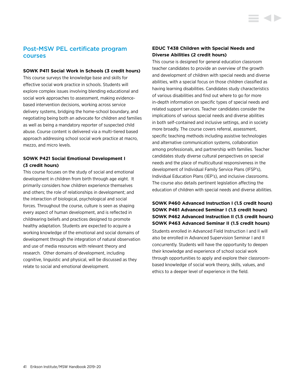# Post-MSW PEL certificate program courses

#### **SOWK P411 Social Work in Schools (3 credit hours)**

This course surveys the knowledge base and skills for effective social work practice in schools. Students will explore complex issues involving blending educational and social work approaches to assessment, making evidencebased intervention decisions, working across service delivery systems, bridging the home-school boundary, and negotiating being both an advocate for children and families as well as being a mandatory reporter of suspected child abuse. Course content is delivered via a multi-tiered based approach addressing school social work practice at macro, mezzo, and micro levels.

# **SOWK P421 Social Emotional Development I (3 credit hours)**

This course focuses on the study of social and emotional development in children from birth through age eight. It primarily considers how children experience themselves and others; the role of relationships in development; and the interaction of biological, psychological and social forces. Throughout the course, culture is seen as shaping every aspect of human development, and is reflected in childrearing beliefs and practices designed to promote healthy adaptation. Students are expected to acquire a working knowledge of the emotional and social domains of development through the integration of natural observation and use of media resources with relevant theory and research. Other domains of development, including cognitive, linguistic and physical, will be discussed as they relate to social and emotional development.

# **EDUC T438 Children with Special Needs and Diverse Abilities (2 credit hours)**

This course is designed for general education classroom teacher candidates to provide an overview of the growth and development of children with special needs and diverse abilities, with a special focus on those children classified as having learning disabilities. Candidates study characteristics of various disabilities and find out where to go for more in-depth information on specific types of special needs and related support services. Teacher candidates consider the implications of various special needs and diverse abilities in both self-contained and inclusive settings, and in society more broadly. The course covers referral, assessment, specific teaching methods including assistive technologies and alternative communication systems, collaboration among professionals, and partnership with families. Teacher candidates study diverse cultural perspectives on special needs and the place of multicultural responsiveness in the development of Individual Family Service Plans (IFSP's), Individual Education Plans (IEP's), and inclusive classrooms. The course also details pertinent legislation affecting the education of children with special needs and diverse abilities.

# **SOWK P460 Advanced Instruction I (1.5 credit hours) SOWK P461 Advanced Seminar I (1.5 credit hours) SOWK P462 Advanced Instruction II (1.5 credit hours) SOWK P463 Advanced Seminar II (1.5 credit hours)**

Students enrolled in Advanced Field Instruction I and II will also be enrolled in Advanced Supervision Seminar I and II concurrently. Students will have the opportunity to deepen their knowledge and experience of school social work through opportunities to apply and explore their classroombased knowledge of social work theory, skills, values, and ethics to a deeper level of experience in the field.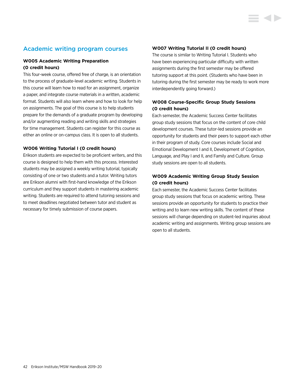# Academic writing program courses

# **W005 Academic Writing Preparation (0 credit hours)**

This four-week course, offered free of charge, is an orientation to the process of graduate-level academic writing. Students in this course will learn how to read for an assignment, organize a paper, and integrate course materials in a written, academic format. Students will also learn where and how to look for help on assignments. The goal of this course is to help students prepare for the demands of a graduate program by developing and/or augmenting reading and writing skills and strategies for time management. Students can register for this course as either an online or on-campus class. It is open to all students.

## **W006 Writing Tutorial I (0 credit hours)**

Erikson students are expected to be proficient writers, and this course is designed to help them with this process. Interested students may be assigned a weekly writing tutorial, typically consisting of one or two students and a tutor. Writing tutors are Erikson alumni with first-hand knowledge of the Erikson curriculum and they support students in mastering academic writing. Students are required to attend tutoring sessions and to meet deadlines negotiated between tutor and student as necessary for timely submission of course papers.

## **W007 Writing Tutorial II (0 credit hours)**

The course is similar to Writing Tutorial I. Students who have been experiencing particular difficulty with written assignments during the first semester may be offered tutoring support at this point. (Students who have been in tutoring during the first semester may be ready to work more interdependently going forward.)

# **W008 Course-Specific Group Study Sessions (0 credit hours)**

Each semester, the Academic Success Center facilitates group study sessions that focus on the content of core child development courses. These tutor-led sessions provide an opportunity for students and their peers to support each other in their program of study. Core courses include Social and Emotional Development I and II, Development of Cognition, Language, and Play I and II, and Family and Culture. Group study sessions are open to all students.

# **W009 Academic Writing Group Study Session (0 credit hours)**

Each semester, the Academic Success Center facilitates group study sessions that focus on academic writing. These sessions provide an opportunity for students to practice their writing and to learn new writing skills. The content of these sessions will change depending on student-led inquiries about academic writing and assignments. Writing group sessions are open to all students.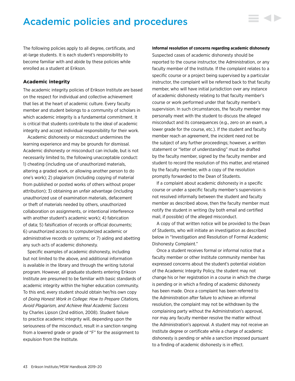# Academic policies and procedures

The following policies apply to all degree, certificate, and at-large students. It is each student's responsibility to become familiar with and abide by these policies while enrolled as a student at Erikson.

## **Academic integrity**

The academic integrity policies of Erikson Institute are based on the respect for individual and collective achievement that lies at the heart of academic culture. Every faculty member and student belongs to a community of scholars in which academic integrity is a fundamental commitment. It is critical that students contribute to the ideal of academic integrity and accept individual responsibility for their work.

Academic dishonesty or misconduct undermines the learning experience and may be grounds for dismissal. Academic dishonesty or misconduct can include, but is not necessarily limited to, the following unacceptable conduct: 1) cheating (including use of unauthorized materials, altering a graded work, or allowing another person to do one's work); 2) plagiarism (including copying of material from published or posted works of others without proper attribution); 3) obtaining an unfair advantage (including unauthorized use of examination materials, defacement or theft of materials needed by others, unauthorized collaboration on assignments, or intentional interference with another student's academic work); 4) fabrication of data; 5) falsification of records or official documents; 6) unauthorized access to computerized academic or administrative records or systems; or 7) aiding and abetting any such acts of academic dishonesty.

Specific examples of academic dishonesty, including but not limited to the above, and additional information is available in the library and through the writing tutorial program. However, all graduate students entering Erikson Institute are presumed to be familiar with basic standards of academic integrity within the higher education community. To this end, every student should obtain her/his own copy of *Doing Honest Work in College: How to Prepare Citations, Avoid Plagiarism, and Achieve Real Academic Success* by Charles Lipson (2nd edition, 2008). Student failure to practice academic integrity will, depending upon the seriousness of the misconduct, result in a sanction ranging from a lowered grade or grade of "F" for the assignment to expulsion from the Institute.

#### **Informal resolution of concerns regarding academic dishonesty**

▄▗▖▅

Suspected cases of academic dishonesty should be reported to the course instructor, the Administration, or any faculty member of the Institute. If the complaint relates to a specific course or a project being supervised by a particular instructor, the complaint will be referred back to that faculty member, who will have initial jurisdiction over any instance of academic dishonesty relating to that faculty member's course or work performed under that faculty member's supervision. In such circumstances, the faculty member may personally meet with the student to discuss the alleged misconduct and its consequences (e.g., zero on an exam, a lower grade for the course, etc.). If the student and faculty member reach an agreement, the incident need not be the subject of any further proceedings; however, a written statement or "letter of understanding" must be drafted by the faculty member, signed by the faculty member and student to record the resolution of this matter, and retained by the faculty member, with a copy of the resolution promptly forwarded to the Dean of Students.

If a complaint about academic dishonesty in a specific course or under a specific faculty member's supervision is not resolved informally between the student and faculty member as described above, then the faculty member must notify the student in writing (by both email and certified mail, if possible) of the alleged misconduct.

A copy of that written notice will be provided to the Dean of Students, who will initiate an investigation as described below in "Investigation and Resolution of Formal Academic Dishonesty Complaint."

Once a student receives formal or informal notice that a faculty member or other Institute community member has expressed concerns about the student's potential violation of the Academic Integrity Policy, the student may not change his or her registration in a course in which the charge is pending or in which a finding of academic dishonesty has been made. Once a complaint has been referred to the Administration after failure to achieve an informal resolution, the complaint may not be withdrawn by the complaining party without the Administration's approval, nor may any faculty member resolve the matter without the Administration's approval. A student may not receive an Institute degree or certificate while a charge of academic dishonesty is pending or while a sanction imposed pursuant to a finding of academic dishonesty is in effect.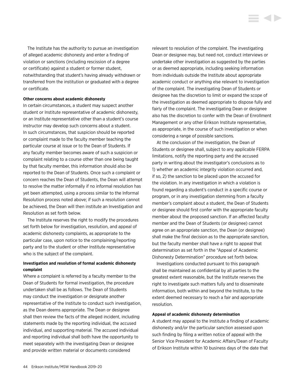The Institute has the authority to pursue an investigation of alleged academic dishonesty and enter a finding of violation or sanctions (including rescission of a degree or certificate) against a student or former student, notwithstanding that student's having already withdrawn or transferred from the institution or graduated with a degree or certificate.

#### **Other concerns about academic dishonesty**

In certain circumstances, a student may suspect another student or Institute representative of academic dishonesty, or an Institute representative other than a student's course instructor may develop such concerns about a student. In such circumstances, that suspicion should be reported or complaint made to the faculty member teaching the particular course at issue or to the Dean of Students. If any faculty member becomes aware of such a suspicion or complaint relating to a course other than one being taught by that faculty member, this information should also be reported to the Dean of Students. Once such a complaint or concern reaches the Dean of Students, the Dean will attempt to resolve the matter informally if no informal resolution has yet been attempted, using a process similar to the Informal Resolution process noted above; if such a resolution cannot be achieved, the Dean will then institute an Investigation and Resolution as set forth below.

The Institute reserves the right to modify the procedures set forth below for investigation, resolution, and appeal of academic dishonesty complaints, as appropriate to the particular case, upon notice to the complaining/reporting party and to the student or other Institute representative who is the subject of the complaint.

## **Investigation and resolution of formal academic dishonesty complaint**

Where a complaint is referred by a faculty member to the Dean of Students for formal investigation, the procedure undertaken shall be as follows. The Dean of Students may conduct the investigation or designate another representative of the Institute to conduct such investigation, as the Dean deems appropriate. The Dean or designee shall then review the facts of the alleged incident, including statements made by the reporting individual, the accused individual, and supporting material. The accused individual and reporting individual shall both have the opportunity to meet separately with the investigating Dean or designee and provide written material or documents considered

relevant to resolution of the complaint. The investigating Dean or designee may, but need not, conduct interviews or undertake other investigation as suggested by the parties or as deemed appropriate, including seeking information from individuals outside the Institute about appropriate academic conduct or anything else relevant to investigation of the complaint. The investigating Dean of Students or designee has the discretion to limit or expand the scope of the investigation as deemed appropriate to dispose fully and fairly of the complaint. The investigating Dean or designee also has the discretion to confer with the Dean of Enrollment Management or any other Erikson Institute representative, as appropriate, in the course of such investigation or when considering a range of possible sanctions.

At the conclusion of the investigation, the Dean of Students or designee shall, subject to any applicable FERPA limitations, notify the reporting party and the accused party in writing about the investigator's conclusions as to 1) whether an academic integrity violation occurred and, if so, 2) the sanction to be placed upon the accused for the violation. In any investigation in which a violation is found regarding a student's conduct in a specific course or program, or in any investigation stemming from a faculty member's complaint about a student, the Dean of Students or designee should first confer with the appropriate faculty member about the proposed sanction. If an affected faculty member and the Dean of Students (or designee) cannot agree on an appropriate sanction, the Dean (or designee) shall make the final decision as to the appropriate sanction, but the faculty member shall have a right to appeal that determination as set forth in the "Appeal of Academic Dishonesty Determination" procedure set forth below.

Investigations conducted pursuant to this paragraph shall be maintained as confidential by all parties to the greatest extent reasonable, but the Institute reserves the right to investigate such matters fully and to disseminate information, both within and beyond the Institute, to the extent deemed necessary to reach a fair and appropriate resolution.

#### **Appeal of academic dishonesty determination**

A student may appeal to the Institute a finding of academic dishonesty and/or the particular sanction assessed upon such finding by filing a written notice of appeal with the Senior Vice President for Academic Affairs/Dean of Faculty of Erikson Institute within 10 business days of the date that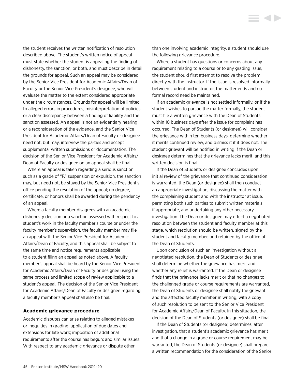the student receives the written notification of resolution described above. The student's written notice of appeal must state whether the student is appealing the finding of dishonesty, the sanction, or both, and must describe in detail the grounds for appeal. Such an appeal may be considered by the Senior Vice President for Academic Affairs/Dean of Faculty or the Senior Vice President's designee, who will evaluate the matter to the extent considered appropriate under the circumstances. Grounds for appeal will be limited to alleged errors in procedures, misinterpretation of policies, or a clear discrepancy between a finding of liability and the sanction assessed. An appeal is not an evidentiary hearing or a reconsideration of the evidence, and the Senior Vice President for Academic Affairs/Dean of Faculty or designee need not, but may, interview the parties and accept supplemental written submissions or documentation. The decision of the Senior Vice President for Academic Affairs/ Dean of Faculty or designee on an appeal shall be final.

Where an appeal is taken regarding a serious sanction such as a grade of "F," suspension or expulsion, the sanction may, but need not, be stayed by the Senior Vice President's office pending the resolution of the appeal; no degree, certificate, or honors shall be awarded during the pendency of an appeal.

Where a faculty member disagrees with an academic dishonesty decision or a sanction assessed with respect to a student's work in the faculty member's course or under the faculty member's supervision, the faculty member may file an appeal with the Senior Vice President for Academic Affairs/Dean of Faculty, and this appeal shall be subject to the same time and notice requirements applicable to a student filing an appeal as noted above. A faculty member's appeal shall be heard by the Senior Vice President for Academic Affairs/Dean of Faculty or designee using the same process and limited scope of review applicable to a student's appeal. The decision of the Senior Vice President for Academic Affairs/Dean of Faculty or designee regarding a faculty member's appeal shall also be final.

## **Academic grievance procedure**

Academic disputes can arise relating to alleged mistakes or inequities in grading; application of due dates and extensions for late work; imposition of additional requirements after the course has begun; and similar issues. With respect to any academic grievance or dispute other

than one involving academic integrity, a student should use the following grievance procedure.

Where a student has questions or concerns about any requirement relating to a course or to any grading issue, the student should first attempt to resolve the problem directly with the instructor. If the issue is resolved informally between student and instructor, the matter ends and no formal record need be maintained.

If an academic grievance is not settled informally, or if the student wishes to pursue the matter formally, the student must file a written grievance with the Dean of Students within 10 business days after the issue for complaint has occurred. The Dean of Students (or designee) will consider the grievance within ten business days, determine whether it merits continued review, and dismiss it if it does not. The student grievant will be notified in writing if the Dean or designee determines that the grievance lacks merit, and this written decision is final.

If the Dean of Students or designee concludes upon initial review of the grievance that continued consideration is warranted, the Dean (or designee) shall then conduct an appropriate investigation, discussing the matter with the complaining student and with the instructor at issue, permitting both such parties to submit written materials if appropriate, and undertaking any other necessary investigation. The Dean or designee may effect a negotiated resolution between the student and faculty member at this stage, which resolution should be written, signed by the student and faculty member, and retained by the office of the Dean of Students.

Upon conclusion of such an investigation without a negotiated resolution, the Dean of Students or designee shall determine whether the grievance has merit and whether any relief is warranted. If the Dean or designee finds that the grievance lacks merit or that no changes to the challenged grade or course requirements are warranted, the Dean of Students or designee shall notify the grievant and the affected faculty member in writing, with a copy of such resolution to be sent to the Senior Vice President for Academic Affairs/Dean of Faculty. In this situation, the decision of the Dean of Students (or designee) shall be final.

If the Dean of Students (or designee) determines, after investigation, that a student's academic grievance has merit and that a change in a grade or course requirement may be warranted, the Dean of Students (or designee) shall prepare a written recommendation for the consideration of the Senior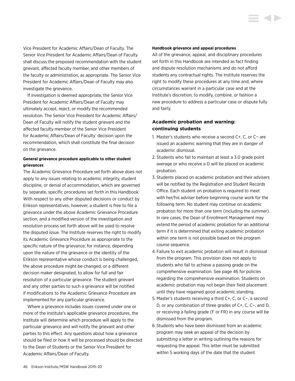<span id="page-46-0"></span>Vice President for Academic Affairs/Dean of Faculty. The Senior Vice President for Academic Affairs/Dean of Faculty shall discuss the proposed recommendation with the student grievant, affected faculty member, and other members of the faculty or administration, as appropriate. The Senior Vice President for Academic Affairs/Dean of Faculty may also investigate the grievance.

If investigation is deemed appropriate, the Senior Vice President for Academic Affairs/Dean of Faculty may ultimately accept, reject, or modify the recommended resolution. The Senior Vice President for Academic Affairs/ Dean of Faculty will notify the student grievant and the affected faculty member of the Senior Vice President for Academic Affairs/Dean of Faculty' decision upon the recommendation, which shall constitute the final decision on the grievance.

## **General grievance procedure applicable to other student grievances**

The Academic Grievance Procedure set forth above does not apply to any issues relating to academic integrity, student discipline, or denial of accommodation, which are governed by separate, specific procedures set forth in this Handbook. With respect to any other disputed decisions or conduct by Erikson representatives, however, a student is free to file a grievance under the above Academic Grievance Procedure section, and a modified version of the investigation and resolution process set forth above will be used to resolve the disputed issue. The Institute reserves the right to modify its Academic Grievance Procedure as appropriate to the specific nature of the grievance; for instance, depending upon the nature of the grievance or the identity of the Erikson representative whose conduct is being challenged, the above procedure might be changed, or a different decision maker designated, to allow for full and fair resolution of a particular grievance. The student grievant and any other parties to such a grievance will be notified if modifications to the Academic Grievance Procedure are implemented for any particular grievance.

Where a grievance includes issues covered under one or more of the Institute's applicable grievance procedures, the Institute will determine which procedure will apply to the particular grievance and will notify the grievant and other parties to this effect. Any questions about how a grievance should be filed or how it will be processed should be directed to the Dean of Students or the Senior Vice President for Academic Affairs/Dean of Faculty.

#### **Handbook grievance and appeal procedures**

All of the grievance, appeal, and disciplinary procedures set forth in this Handbook are intended as fact finding and dispute resolution mechanisms and do not afford students any contractual rights. The Institute reserves the right to modify these procedures at any time and, where circumstances warrant in a particular case and at the Institute's discretion, to modify, combine, or fashion a new procedure to address a particular case or dispute fully and fairly.

## **Academic probation and warning: continuing students**

- 1. Master's students who receive a second C+, C, or C− are issued an academic warning that they are in danger of academic dismissal.
- 2. Students who fail to maintain at least a 3.0 grade point average or who receive a D will be placed on academic probation.
- 3. Students placed on academic probation and their advisers will be notified by the Registration and Student Records Office. Each student on probation is required to meet with her/his adviser before beginning course work for the following term. No student may continue on academic probation for more than one term (including the summer). In rare cases, the Dean of Enrollment Management may extend the period of academic probation for an additional term if it is determined that exiting academic probation within one term is not possible based on the program course sequence.
- 4. Failure to exit academic probation will result in dismissal from the program. This provision does not apply to students who fail to achieve a passing grade on the comprehensive examination. [See page 46](#page-48-0) for policies regarding the comprehensive examination. Students on academic probation may not begin their field placement until they have regained good academic standing.
- 5. Master's students receiving a third C+, C, or C−, a second D, or any combination of three grades of C+, C, C−, and D, or receiving a failing grade (F or FR) in any course will be dismissed from the program.
- 6. Students who have been dismissed from an academic program may seek an appeal of the decision by submitting a letter in writing outlining the reasons for requesting the appeal. This letter must be submitted within 5 working days of the date that the student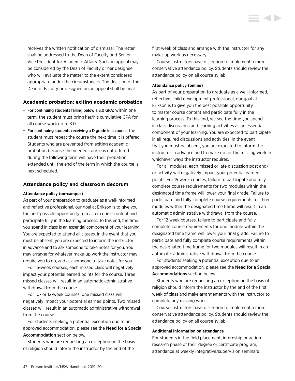receives the written notification of dismissal. The letter shall be addressed to the Dean of Faculty and Senior Vice President for Academic Affairs. Such an appeal may be considered by the Dean of Faculty or her designee, who will evaluate the matter to the extent considered appropriate under the circumstances. The decision of the Dean of Faculty or designee on an appeal shall be final.

#### **Academic probation: exiting academic probation**

- For continuing students falling below a 3.0 GPA: within one term, the student must bring her/his cumulative GPA for all course work up to 3.0.
- For continuing students receiving a D grade in a course: the student must repeat the course the next time it is offered. Students who are prevented from exiting academic probation because the needed course is not offered during the following term will have their probation extended until the end of the term in which the course is next scheduled.

#### **Attendance policy and classroom decorum**

#### **Attendance policy (on-campus)**

As part of your preparation to graduate as a well-informed and reflective professional, our goal at Erikson is to give you the best possible opportunity to master course content and participate fully in the learning process. To this end, the time you spend in class is an essential component of your learning. You are expected to attend all classes. In the event that you must be absent, you are expected to inform the instructor in advance and to ask someone to take notes for you. You may arrange for whatever make-up work the instructor may require you to do, and ask someone to take notes for you.

For 15-week courses, each missed class will negatively impact your potential earned points for the course. Three missed classes will result in an automatic administrative withdrawal from the course.

For 10- or 12-week courses, one missed class will negatively impact your potential earned points. Two missed classes will result in an automatic administrative withdrawal from the course.

For students seeking a potential exception due to an approved accommodation, please see the Need for a Special Accommodation section below.

Students who are requesting an exception on the basis of religion should inform the instructor by the end of the

first week of class and arrange with the instructor for any make-up work as necessary.

Course instructors have discretion to implement a more conservative attendance policy. Students should review the attendance policy on all course syllabi.

#### **Attendance policy (online)**

As part of your preparation to graduate as a well-informed, reflective, child development professional, our goal at Erikson is to give you the best possible opportunity to master course content and participate fully in the learning process. To this end, we see the time you spend in class discussions and learning activities as an essential component of your learning. You are expected to participate in all required discussions and activities. In the event that you must be absent, you are expected to inform the instructor in advance and to make up for the missing work in whichever ways the instructor requires.

For all modules, each missed or late discussion post and/ or activity will negatively impact your potential earned points. For 15 week courses, failure to participate and fully complete course requirements for two modules within the designated time frame will lower your final grade. Failure to participate and fully complete course requirements for three modules within the designated time frame will result in an automatic administrative withdrawal from the course.

For 12 week courses, failure to participate and fully complete course requirements for one module within the designated time frame will lower your final grade. Failure to participate and fully complete course requirements within the designated time frame for two modules will result in an automatic administrative withdrawal from the course.

For students seeking a potential exception due to an approved accommodation, please see the Need for a Special Accommodations section below.

Students who are requesting an exception on the basis of religion should inform the instructor by the end of the first week of class and make arrangements with the instructor to complete any missing work.

Course instructors have discretion to implement a more conservative attendance policy. Students should review the attendance policy on all course syllabi.

#### **Additional information on attendance**

For students in the field placement, internship or action research phase of their degree or certificate program, attendance at weekly integrative/supervision seminars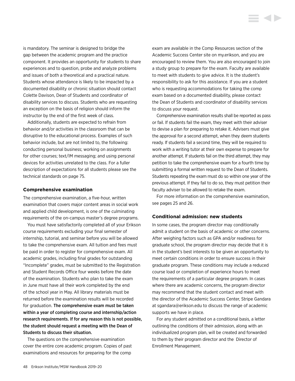<span id="page-48-0"></span>is mandatory. The seminar is designed to bridge the gap between the academic program and the practice component. It provides an opportunity for students to share experiences and to question, probe and analyze problems and issues of both a theoretical and a practical nature. Students whose attendance is likely to be impacted by a documented disability or chronic situation should contact Colette Davison, Dean of Students and coordinator of disability services to discuss. Students who are requesting an exception on the basis of religion should inform the instructor by the end of the first week of class.

Additionally, students are expected to refrain from behavior and/or activities in the classroom that can be disruptive to the educational process. Examples of such behavior include, but are not limited to, the following: conducting personal business; working on assignments for other courses; text/IM messaging; and using personal devices for activities unrelated to the class. For a fuller description of expectations for all students please see the [technical standards on page 75.](#page-75-0)

#### **Comprehensive examination**

The comprehensive examination, a five-hour, written examination that covers major content areas in social work and applied child development, is one of the culminating requirements of the on-campus master's degree programs.

You must have satisfactorily completed all of your Erikson course requirements excluding your final semester of internship, tutorial, and seminar before you will be allowed to take the comprehensive exam. All tuition and fees must be paid in order to register for comprehensive exam. All academic grades, including final grades for outstanding "Incomplete" grades, must be submitted to the Registration and Student Records Office four weeks before the date of the examination. Students who plan to take the exam in June must have all their work completed by the end of the school year in May. All library materials must be returned before the examination results will be recorded for graduation. The comprehensive exam must be taken within a year of completing course and internship/action research requirements. If for any reason this is not possible, the student should request a meeting with the Dean of Students to discuss their situation.

The questions on the comprehensive examination cover the entire core academic program. Copies of past examinations and resources for preparing for the comp

exam are available in the Comp Resources section of the Academic Success Center site on my.erikson, and you are encouraged to review them. You are also encouraged to join a study group to prepare for the exam. Faculty are available to meet with students to give advice. It is the student's responsibility to ask for this assistance. If you are a student who is requesting accommodations for taking the comp exam based on a documented disability, please contact the Dean of Students and coordinator of disability services to discuss your request.

**STARTING** 

Comprehensive examination results shall be reported as pass or fail. If students fail the exam, they meet with their adviser to devise a plan for preparing to retake it. Advisers must give the approval for a second attempt, when they deem students ready. If students fail a second time, they will be required to work with a writing tutor at their own expense to prepare for another attempt. If students fail on the third attempt, they may petition to take the comprehensive exam for a fourth time by submitting a formal written request to the Dean of Students. Students repeating the exam must do so within one year of the previous attempt. If they fail to do so, they must petition their faculty adviser to be allowed to retake the exam.

For more information on the comprehensive examination, [see pages 25 and 26.](#page-25-0)

## **Conditional admission: new students**

In some cases, the program director may conditionally admit a student on the basis of academic or other concerns. After weighing factors such as GPA and/or readiness for graduate school, the program director may decide that it is in the student's best interests to be given an opportunity to meet certain conditions in order to ensure success in their graduate program. These conditions may include a reduced course load or completion of experience hours to meet the requirements of a particular degree program. In cases where there are academic concerns, the program director may recommend that the student contact and meet with the director of the Academic Success Center, Stripe Gandara at [sgandara@erikson.edu](mailto:sgandara%40erikson.edu?subject=) to discuss the range of academic supports we have in place.

For any student admitted on a conditional basis, a letter outlining the conditions of their admission, along with an individualized program plan, will be created and forwarded to them by their program director and the Director of Enrollment Management.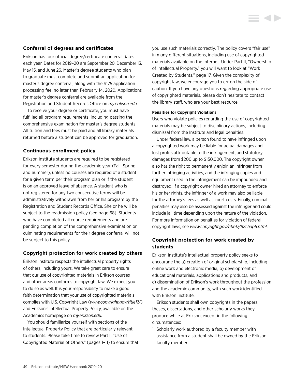## **Conferral of degrees and certificates**

Erikson has four official degree/certificate conferral dates each year. Dates for 2019–20 are September 20, December 13, May 15, and June 26. Master's degree students who plan to graduate must complete and submit an application for master's degree conferral, along with the \$175 application processing fee, no later than February 14, 2020. Applications for master's degree conferral are available from the Registration and Student Records Office on *my.erikson.edu*.

To receive your degree or certificate, you must have fulfilled all program requirements, including passing the comprehensive examination for master's degree students. All tuition and fees must be paid and all library materials returned before a student can be approved for graduation.

## **Continuous enrollment policy**

Erikson Institute students are required to be registered for every semester during the academic year (Fall, Spring, and Summer), unless no courses are required of a student for a given term per their program plan or if the student is on an approved leave of absence. A student who is not registered for any two consecutive terms will be administratively withdrawn from her or his program by the Registration and Student Records Office. She or he will be subject to the readmission policy [\(see page 68\)](#page-68-0). Students who have completed all course requirements and are pending completion of the comprehensive examination or culminating requirements for their degree conferral will not be subject to this policy.

#### **Copyright protection for work created by others**

Erikson Institute respects the intellectual property rights of others, including yours. We take great care to ensure that our use of copyrighted materials in Erikson courses and other areas conforms to copyright law. We expect you to do so as well. It is your responsibility to make a good faith determination that your use of copyrighted materials complies with U.S. Copyright Law (*[www.copyright.gov/title17/](http://www.copyright.gov/title17/)*) and Erikson's Intellectual Property Policy, available on the Academics homepage on *[my.erikson.edu](http://my.erikson.edu).*

You should familiarize yourself with sections of the Intellectual Property Policy that are particularly relevant to students. Please take time to review Part I, "Use of Copyrighted Material of Others" (pages 1–11) to ensure that you use such materials correctly. The policy covers "fair use" in many different situations, including use of copyrighted materials available on the Internet. Under Part II, "Ownership of Intellectual Property," you will want to look at "Work Created by Students," page 17. Given the complexity of copyright law, we encourage you to err on the side of caution. If you have any questions regarding appropriate use of copyrighted materials, please don't hesitate to contact the library staff, who are your best resource.

#### **Penalties for Copyright Violations**

Users who violate policies regarding the use of copyrighted materials may be subject to disciplinary actions, including dismissal from the Institute and legal penalties.

Under federal law, a person found to have infringed upon a copyrighted work may be liable for actual damages and lost profits attributable to the infringement, and statutory damages from \$200 up to \$150,000. The copyright owner also has the right to permanently enjoin an infringer from further infringing activities, and the infringing copies and equipment used in the infringement can be impounded and destroyed. If a copyright owner hired an attorney to enforce his or her rights, the infringer of a work may also be liable for the attorney's fees as well as court costs. Finally, criminal penalties may also be assessed against the infringer and could include jail time depending upon the nature of the violation. For more information on penalties for violation of federal copyright laws, see *[www.copyright.gov/title17/92chap5.html](http://www.copyright.gov/title17/92chap5.html)*.

# **Copyright protection for work created by students**

Erikson Institute's intellectual property policy seeks to encourage the a) creation of original scholarship, including online work and electronic media, b) development of educational materials, applications and products, and c) dissemination of Erikson's work throughout the profession and the academic community, with such work identified with Erikson Institute.

Erikson students shall own copyrights in the papers, theses, dissertations, and other scholarly works they produce while at Erikson, except in the following circumstances:

1. Scholarly work authored by a faculty member with assistance from a student shall be owned by the Erikson faculty member;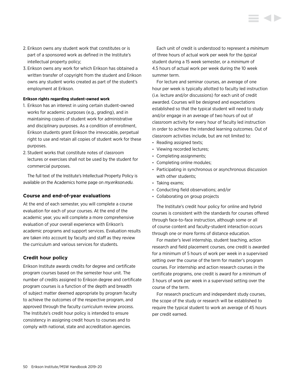- 2. Erikson owns any student work that constitutes or is part of a sponsored work as defined in the Institute's intellectual property policy;
- 3. Erikson owns any work for which Erikson has obtained a written transfer of copyright from the student and Erikson owns any student works created as part of the student's employment at Erikson.

#### **Erikson rights regarding student-owned work**

- 1. Erikson has an interest in using certain student-owned works for academic purposes (e.g., grading), and in maintaining copies of student work for administrative and disciplinary purposes. As a condition of enrollment, Erikson students grant Erikson the irrevocable, perpetual right to use and retain all copies of student work for these purposes.
- 2. Student works that constitute notes of classroom lectures or exercises shall not be used by the student for commercial purposes.

The full text of the Institute's Intellectual Property Policy is available on the Academics home page on *my.erikson.edu*.

#### **Course and end-of-year evaluations**

At the end of each semester, you will complete a course evaluation for each of your courses. At the end of the academic year, you will complete a more comprehensive evaluation of your overall experience with Erikson's academic programs and support services. Evaluation results are taken into account by faculty and staff as they review the curriculum and various services for students.

#### **Credit hour policy**

Erikson Institute awards credits for degree and certificate program courses based on the semester hour unit. The number of credits assigned to Erikson degree and certificate program courses is a function of the depth and breadth of subject matter deemed appropriate by program faculty to achieve the outcomes of the respective program, and approved through the faculty curriculum review process. The Institute's credit hour policy is intended to ensure consistency in assigning credit hours to courses and to comply with national, state and accreditation agencies.

Each unit of credit is understood to represent a *minimum* of three hours of actual work per week for the *typical* student during a 15 week semester, or a *minimum* of 4.5 hours of actual work per week during the 10 week summer term.

For lecture and seminar courses, an average of one hour per week is typically allotted to faculty led instruction (i.e. lecture and/or discussions) for each unit of credit awarded. Courses will be designed and expectations established so that the typical student will need to study and/or engage in an average of two hours of out of classroom activity for every hour of faculty led instruction in order to achieve the intended learning outcomes. Out of classroom activities include, but are not limited to:

- Reading assigned texts;
- Viewing recorded lectures;
- Completing assignments;
- Completing online modules;
- Participating in synchronous or asynchronous discussion with other students;
- Taking exams;
- Conducting field observations; and/or
- Collaborating on group projects

The Institute's credit hour policy for online and hybrid courses is consistent with the standards for courses offered through face-to-face instruction, although some or all of course content and faculty-student interaction occurs through one or more forms of distance education.

For master's level internship, student teaching, action research and field placement courses, one credit is awarded for a minimum of 5 hours of work per week in a supervised setting over the course of the term for master's program courses. For internship and action research courses in the certificate programs, one credit is award for a minimum of 3 hours of work per week in a supervised setting over the course of the term.

For research practicum and independent study courses, the scope of the study or research will be established to require the typical student to work an average of 45 hours per credit earned.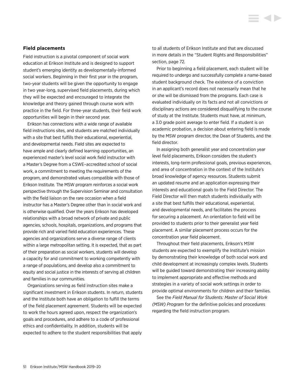#### **Field placements**

Field instruction is a pivotal component of social work education at Erikson Institute and is designed to support student's emerging identity as developmentally-informed social workers. Beginning in their first year in the program, two-year students will be given the opportunity to engage in two year-long, supervised field placements, during which they will be expected and encouraged to integrate the knowledge and theory gained through course work with practice in the field. For three-year students, their field work opportunities will begin in their second year.

Erikson has connections with a wide range of available field instructions sites, and students are matched individually with a site that best fulfills their educational, experiential, and developmental needs. Field sites are expected to have ample and clearly defined learning opportunities, an experienced master's level social work field instructor with a Master's Degree from a CSWE–accredited school of social work, a commitment to meeting the requirements of the program, and demonstrated values compatible with those of Erikson Institute. The MSW program reinforces a social work perspective through the Supervision Seminar and consultation with the field liaison on the rare occasion when a field instructor has a Master's Degree other than in social work and is otherwise qualified. Over the years Erikson has developed relationships with a broad network of private and public agencies, schools, hospitals, organizations, and programs that provide rich and varied field education experiences. These agencies and organizations serve a diverse range of clients within a large metropolitan setting. It is expected, that as part of their preparation as social workers, students will develop a capacity for and commitment to working competently with a range of populations, and develop also a commitment to equity and social justice in the interests of serving all children and families in our communities.

Organizations serving as field instruction sites make a significant investment in Erikson students. In return, students and the Institute both have an obligation to fulfill the terms of the field placement agreement. Students will be expected to work the hours agreed upon, respect the organization's goals and procedures, and adhere to a code of professional ethics and confidentiality. In addition, students will be expected to adhere to the student responsibilities that apply

to all students of Erikson Institute and that are discussed in more details in the "[Student Rights and Responsibilities"](#page-72-0)  [section, page 72.](#page-72-0) 

i d b

Prior to beginning a field placement, each student will be required to undergo and successfully complete a name-based student background check. The existence of a conviction in an applicant's record does not necessarily mean that he or she will be dismissed from the programs. Each case is evaluated individually on its facts and not all convictions or disciplinary actions are considered disqualifying to the course of study at the Institute. Students must have, at minimum, a 3.0 grade point average to enter field. If a student is on academic probation, a decision about entering field is made by the MSW program director, the Dean of Students, and the field director.

In assigning both generalist year and concentration year level field placements, Erikson considers the student's interests, long-term professional goals, previous experiences, and area of concentration in the context of the Institute's broad knowledge of agency resources. Students submit an updated resume and an application expressing their interests and educational goals to the Field Director. The Field Director will then match students individually with a site that best fulfills their educational, experiential, and developmental needs, and facilitates the process for securing a placement. An orientation to field will be provided to students prior to their generalist year field placement. A similar placement process occurs for the concentration year field placement.

Throughout their field placements, Erikson's MSW students are expected to exemplify the Institute's mission by demonstrating their knowledge of both social work and child development at increasingly complex levels. Students will be guided toward demonstrating their increasing ability to implement appropriate and effective methods and strategies in a variety of social work settings in order to provide optimal environments for children and their families.

See the *Field Manual for Students: Master of Social Work (MSW) Program* for the definitive policies and procedures regarding the field instruction program.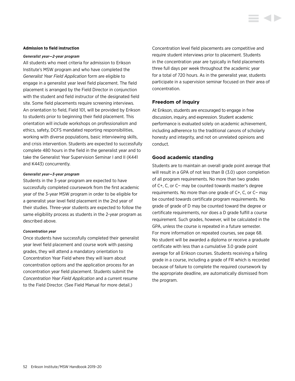#### **Admission to field instruction**

#### *Generalist year—2-year program*

All students who meet criteria for admission to Erikson Institute's MSW program and who have completed the *Generalist Year Field Application* form are eligible to engage in a generalist year level field placement. The field placement is arranged by the Field Director in conjunction with the student and field instructor of the designated field site. Some field placements require screening interviews. An orientation to field, Field 101, will be provided by Erikson to students prior to beginning their field placement. This orientation will include workshops on professionalism and ethics, safety, DCFS mandated reporting responsibilities, working with diverse populations, basic interviewing skills, and crisis intervention. Students are expected to successfully complete 480 hours in the field in the generalist year and to take the Generalist Year Supervision Seminar I and II (K441 and K443) concurrently.

#### *Generalist year—3-year program*

Students in the 3-year program are expected to have successfully completed coursework from the first academic year of the 3-year MSW program in order to be eligible for a generalist year level field placement in the 2nd year of their studies. Three-year students are expected to follow the same eligibility process as students in the 2-year program as described above.

#### *Concentration year*

Once students have successfully completed their generalist year level field placement and course work with passing grades, they will attend a mandatory orientation to Concentration Year Field where they will learn about concentration options and the application process for an concentration year field placement. Students submit the *Concentration Year Field Application* and a current resume to the Field Director. (See Field Manual for more detail.)

Concentration level field placements are competitive and require student interviews prior to placement. Students in the concentration year are typically in field placements three full days per week throughout the academic year for a total of 720 hours. As in the generalist year, students participate in a supervision seminar focused on their area of concentration.

## **Freedom of inquiry**

At Erikson, students are encouraged to engage in free discussion, inquiry, and expression. Student academic performance is evaluated solely on academic achievement, including adherence to the traditional canons of scholarly honesty and integrity, and not on unrelated opinions and conduct.

#### **Good academic standing**

Students are to maintain an overall grade point average that will result in a GPA of not less than B (3.0) upon completion of all program requirements. No more than two grades of C+, C, or C− may be counted towards master's degree requirements. No more than one grade of C+, C, or C− may be counted towards certificate program requirements. No grade of grade of D may be counted toward the degree or certificate requirements, nor does a D grade fulfill a course requirement. Such grades, however, will be calculated in the GPA, unless the course is repeated in a future semester. For more information on repeated courses, [see page 68.](#page-68-0) No student will be awarded a diploma or receive a graduate certificate with less than a cumulative 3.0 grade point average for all Erikson courses. Students receiving a failing grade in a course, including a grade of FR which is recorded because of failure to complete the required coursework by the appropriate deadline, are automatically dismissed from the program.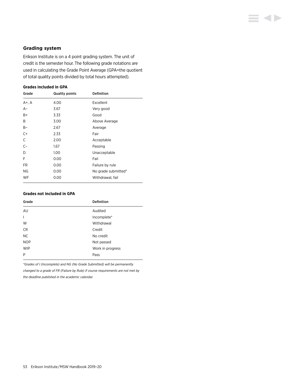# **Grading system**

Erikson Institute is on a 4 point grading system. The unit of credit is the semester hour. The following grade notations are used in calculating the Grade Point Average (GPA=the quotient of total quality points divided by total hours attempted).

**E 4 D** 

### **Grades included in GPA**

| Grade | <b>Quality points</b> | <b>Definition</b>   |
|-------|-----------------------|---------------------|
| A+, A | 4.00                  | Excellent           |
| $A-$  | 3.67                  | Very good           |
| B+    | 3.33                  | Good                |
| B     | 3.00                  | Above Average       |
| B-    | 2.67                  | Average             |
| $C+$  | 2.33                  | Fair                |
| C     | 2.00                  | Acceptable          |
| $C-$  | 1.67                  | Passing             |
| D     | 1.00                  | Unacceptable        |
| F     | 0.00                  | Fail                |
| FR.   | 0.00                  | Failure by rule     |
| ΝG    | 0.00                  | No grade submitted* |
| WF    | 0.00                  | Withdrawal, fail    |

## **Grades not included in GPA**

| Grade        | Definition       |
|--------------|------------------|
| AU           | Audited          |
| $\mathbf{I}$ | Incomplete*      |
| W            | Withdrawal       |
| CR.          | Credit           |
| NC.          | No credit        |
| <b>NOP</b>   | Not passed       |
| <b>WIP</b>   | Work in progress |
| P            | Pass             |
|              |                  |

*\*Grades of I (Incomplete) and NG (No Grade Submitted) will be permanently* 

*changed to a grade of FR (Failure by Rule) if course requirements are not met by the deadline published in the academic calendar.*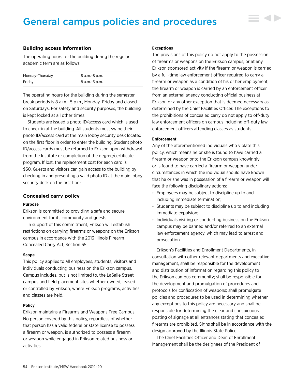# General campus policies and procedures

#### **Building access information**

The operating hours for the building during the regular academic term are as follows:

| Monday-Thursday | 8 a.m. - 8 p.m. |
|-----------------|-----------------|
| Fridav          | 8 a.m.–5 p.m.   |

The operating hours for the building during the semester break periods is 8 a.m.– 5 p.m., Monday–Friday and closed on Saturdays. For safety and security purposes, the building is kept locked at all other times.

Students are issued a photo ID/access card which is used to check-in at the building. All students must swipe their photo ID/access card at the main lobby security desk located on the first floor in order to enter the building. Student photo ID/access cards must be returned to Erikson upon withdrawal from the Institute or completion of the degree/certificate program. If lost, the replacement cost for each card is \$50. Guests and visitors can gain access to the building by checking in and presenting a valid photo ID at the main lobby security desk on the first floor.

#### **Concealed carry policy**

#### **Purpose**

Erikson is committed to providing a safe and secure environment for its community and guests.

In support of this commitment, Erikson will establish restrictions on carrying firearms or weapons on the Erikson campus in accordance with the 2013 Illinois Firearm Concealed Carry Act, Section 65.

#### **Scope**

This policy applies to all employees, students, visitors and individuals conducting business on the Erikson campus. Campus includes, but is not limited to, the LaSalle Street campus and field placement sites whether owned, leased or controlled by Erikson, where Erikson programs, activities and classes are held.

#### **Policy**

Erikson maintains a Firearms and Weapons Free Campus. No person covered by this policy, regardless of whether that person has a valid federal or state license to possess a firearm or weapon, is authorized to possess a firearm or weapon while engaged in Erikson related business or activities.

#### **Exceptions**

The provisions of this policy do not apply to the possession of firearms or weapons on the Erikson campus, or at any Erikson sponsored activity if the firearm or weapon is carried by a full-time law enforcement officer required to carry a firearm or weapon as a condition of his or her employment, the firearm or weapon is carried by an enforcement officer from an external agency conducting official business at Erikson or any other exception that is deemed necessary as determined by the Chief Facilities Officer. The exceptions to the prohibitions of concealed carry do not apply to off-duty law enforcement officers on campus including off-duty law enforcement officers attending classes as students.

## **Enforcement**

Any of the aforementioned individuals who violate this policy, which means he or she is found to have carried a firearm or weapon onto the Erikson campus knowingly or is found to have carried a firearm or weapon under circumstances in which the individual should have known that he or she was in possession of a firearm or weapon will face the following disciplinary actions:

- Employees may be subject to discipline up to and including immediate termination;
- Students may be subject to discipline up to and including immediate expulsion;
- Individuals visiting or conducting business on the Erikson campus may be banned and/or referred to an external law enforcement agency, which may lead to arrest and prosecution.

Erikson's Facilities and Enrollment Departments, in consultation with other relevant departments and executive management, shall be responsible for the development and distribution of information regarding this policy to the Erikson campus community; shall be responsible for the development and promulgation of procedures and protocols for confiscation of weapons; shall promulgate policies and procedures to be used in determining whether any exceptions to this policy are necessary and shall be responsible for determining the clear and conspicuous posting of signage at all entrances stating that concealed firearms are prohibited. Signs shall be in accordance with the design approved by the Illinois State Police.

The Chief Facilities Officer and Dean of Enrollment Management shall be the designees of the President of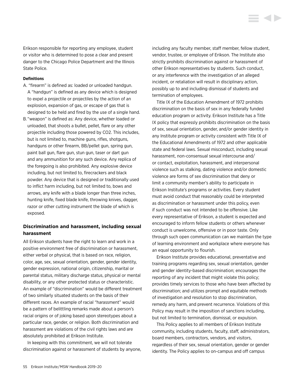Erikson responsible for reporting any employee, student or visitor who is determined to pose a clear and present danger to the Chicago Police Department and the Illinois State Police.

#### **Definitions**

- A. "firearm" is defined as: loaded or unloaded handgun. A "handgun" is defined as any device which is designed to expel a projectile or projectiles by the action of an explosion, expansion of gas, or escape of gas that is designed to be held and fired by the use of a single hand.
- B. "weapon" is defined as: Any device, whether loaded or unloaded, that shoots a bullet, pellet, flare or any other projectile including those powered by CO2. This includes, but is not limited to, machine guns, rifles, shotguns, handguns or other firearm, BB/pellet gun, spring gun, paint ball gun, flare gun, stun gun, taser or dart gun and any ammunition for any such device. Any replica of the foregoing is also prohibited. Any explosive device including, but not limited to, firecrackers and black powder. Any device that is designed or traditionally used to inflict harm including, but not limited to, bows and arrows, any knife with a blade longer than three inches, hunting knife, fixed blade knife, throwing knives, dagger, razor or other cutting instrument the blade of which is exposed.

## **Discrimination and harassment, including sexual harassment**

All Erikson students have the right to learn and work in a positive environment free of discrimination or harassment, either verbal or physical, that is based on race, religion, color, age, sex, sexual orientation, gender, gender identity, gender expression, national origin, citizenship, marital or parental status, military discharge status, physical or mental disability, or any other protected status or characteristic. An example of "discrimination" would be different treatment of two similarly situated students on the basis of their different races. An example of racial "harassment" would be a pattern of belittling remarks made about a person's racial origins or of joking based upon stereotypes about a particular race, gender, or religion. Both discrimination and harassment are violations of the civil rights laws and are absolutely prohibited at Erikson Institute.

In keeping with this commitment, we will not tolerate discrimination against or harassment of students by anyone, including any faculty member, staff member, fellow student, vendor, trustee, or employee of Erikson. The Institute also strictly prohibits discrimination against or harassment of other Erikson representatives by students. Such conduct, or any interference with the investigation of an alleged incident, or retaliation will result in disciplinary action, possibly up to and including dismissal of students and termination of employees.

Title IX of the Education Amendment of 1972 prohibits discrimination on the basis of sex in any federally funded education program or activity. Erikson Institute has a Title IX policy that expressly prohibits discrimination on the basis of sex, sexual orientation, gender, and/or gender identity in any Institute program or activity consistent with Title IX of the Educational Amendments of 1972 and other applicable state and federal laws. Sexual misconduct, including sexual harassment, non-consensual sexual intercourse and/ or contact, exploitation, harassment, and interpersonal violence such as stalking, dating violence and/or domestic violence are forms of sex discrimination that deny or limit a community member's ability to participate in Erikson Institute's programs or activities. Every student must avoid conduct that reasonably could be interpreted as discrimination or harassment under this policy, even if such conduct was not intended to be offensive. Like every representative of Erikson, a student is expected and encouraged to inform fellow students or others whenever conduct is unwelcome, offensive or in poor taste. Only through such open communication can we maintain the type of learning environment and workplace where everyone has an equal opportunity to flourish.

Erikson Institute provides educational, preventative and training programs regarding sex, sexual orientation, gender and gender identity-based discrimination; encourages the reporting of any incident that might violate this policy; provides timely services to those who have been affected by discrimination; and utilizes prompt and equitable methods of investigation and resolution to stop discrimination, remedy any harm, and prevent recurrence. Violations of this Policy may result in the imposition of sanctions including, but not limited to termination, dismissal, or expulsion.

This Policy applies to all members of Erikson Institute community, including students, faculty, staff, administrators, board members, contractors, vendors, and visitors, regardless of their sex, sexual orientation, gender or gender identity. The Policy applies to on-campus and off campus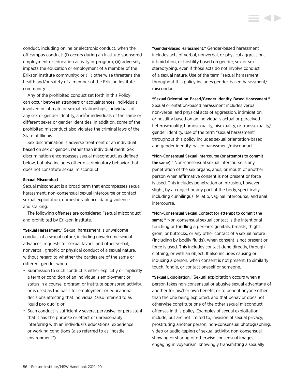conduct, including online or electronic conduct, when the off campus conduct: (i) occurs during an Institute sponsored employment or education activity or program; (ii) adversely impacts the education or employment of a member of the Erikson Institute community; or (iii) otherwise threatens the health and/or safety of a member of the Erikson Institute community.

Any of the prohibited conduct set forth in this Policy can occur between strangers or acquaintances, individuals involved in intimate or sexual relationships, individuals of any sex or gender identity, and/or individuals of the same or different sexes or gender identities. In addition, some of the prohibited misconduct also violates the criminal laws of the State of Illinois.

Sex discrimination is adverse treatment of an individual based on sex or gender, rather than individual merit. Sex discrimination encompasses sexual misconduct, as defined below, but also includes other discriminatory behavior that does not constitute sexual misconduct.

#### **Sexual Misconduct**

Sexual misconduct is a broad term that encompasses sexual harassment, non-consensual sexual intercourse or contact, sexual exploitation, domestic violence, dating violence, and stalking.

The following offenses are considered "sexual misconduct" and prohibited by Erikson Institute.

"Sexual Harassment." Sexual harassment is unwelcome conduct of a sexual nature, including unwelcome sexual advances, requests for sexual favors, and other verbal, nonverbal, graphic or physical conduct of a sexual nature, without regard to whether the parties are of the same or different gender when:

- Submission to such conduct is either explicitly or implicitly a term or condition of an individual's employment or status in a course, program or Institute-sponsored activity, or is used as the basis for employment or educational decisions affecting that individual (also referred to as "quid pro quo"); or
- Such conduct is sufficiently severe, pervasive, or persistent that it has the purpose or effect of unreasonably interfering with an individual's educational experience or working conditions (also referred to as "hostile environment").

"Gender-Based Harassment." Gender-based harassment includes acts of verbal, nonverbal, or physical aggression, intimidation, or hostility based on gender, sex or sexstereotyping, even if those acts do not involve conduct of a sexual nature. Use of the term "sexual harassment" throughout this policy includes gender-based harassment/ misconduct.

"Sexual Orientation-Based/Gender Identity-Based Harassment." Sexual orientation-based harassment includes verbal, non-verbal and physical acts of aggression, intimidation, or hostility based on an individual's actual or perceived heterosexuality, homosexuality, bisexuality, or transsexuality/ gender identity. Use of the term "sexual harassment" throughout this policy includes sexual orientation-based and gender identity-based harassment/misconduct.

"Non-Consensual Sexual Intercourse (or attempts to commit the same)." Non-consensual sexual intercourse is any penetration of the sex organs, anus, or mouth of another person when affirmative consent is not present or force is used. This includes penetration or intrusion, however slight, by an object or any part of the body, specifically including cunnilingus, fellatio, vaginal intercourse, and anal intercourse.

"Non-Consensual Sexual Contact (or attempt to commit the same)." Non-consensual sexual contact is the intentional touching or fondling a person's genitals, breasts, thighs, groin, or buttocks, or any other contact of a sexual nature (including by bodily fluids), when consent is not present or force is used. This includes contact done directly, through clothing, or with an object. It also includes causing or inducing a person, when consent is not present, to similarly touch, fondle, or contact oneself or someone.

"Sexual Exploitation." Sexual exploitation occurs when a person takes non-consensual or abusive sexual advantage of another for his/her own benefit, or to benefit anyone other than the one being exploited, and that behavior does not otherwise constitute one of the other sexual misconduct offenses in this policy. Examples of sexual exploitation include, but are not limited to, invasion of sexual privacy, prostituting another person, non-consensual photographing, video or audio-taping of sexual activity, non-consensual showing or sharing of otherwise consensual images, engaging in voyeurism, knowingly transmitting a sexually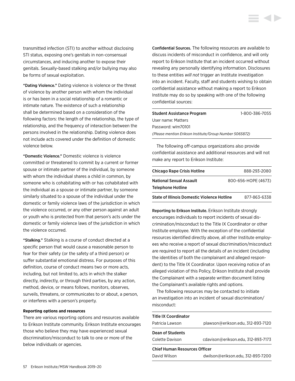transmitted infection (STI) to another without disclosing STI status, exposing one's genitals in non-consensual circumstances, and inducing another to expose their genitals. Sexually-based stalking and/or bullying may also be forms of sexual exploitation.

"Dating Violence." Dating violence is violence or the threat of violence by another person with whom the individual is or has been in a social relationship of a romantic or intimate nature. The existence of such a relationship shall be determined based on a consideration of the following factors: the length of the relationship, the type of relationship, and the frequency of interaction between the persons involved in the relationship. Dating violence does not include acts covered under the definition of domestic violence below.

"Domestic Violence." Domestic violence is violence committed or threatened to commit by a current or former spouse or intimate partner of the individual, by someone with whom the individual shares a child in common, by someone who is cohabitating with or has cohabitated with the individual as a spouse or intimate partner, by someone similarly situated to a spouse of the individual under the domestic or family violence laws of the jurisdiction in which the violence occurred, or any other person against an adult or youth who is protected from that person's acts under the domestic or family violence laws of the jurisdiction in which the violence occurred.

"Stalking." Stalking is a course of conduct directed at a specific person that would cause a reasonable person to fear for their safety (or the safety of a third person) or suffer substantial emotional distress. For purposes of this definition, course of conduct means two or more acts, including, but not limited to, acts in which the stalker directly, indirectly, or through third parties, by any action, method, device, or means follows, monitors, observes, surveils, threatens, or communicates to or about, a person, or interferes with a person's property.

#### **Reporting options and resources**

There are various reporting options and resources available to Erikson Institute community. Erikson Institute encourages those who believe they may have experienced sexual discrimination/misconduct to talk to one or more of the below individuals or agencies.

Confidential Sources. The following resources are available to discuss incidents of misconduct in confidence, and will only report to Erikson Institute that an incident occurred without revealing any personally identifying information. Disclosures to these entities *will not* trigger an Institute investigation into an incident. Faculty, staff and students wishing to obtain confidential assistance without making a report to Erikson Institute may do so by speaking with one of the following confidential sources:

| Student Assistance Program                              | 1-800-386-7055 |
|---------------------------------------------------------|----------------|
| User name: Matters                                      |                |
| Password: wlm70101                                      |                |
| (Please mention Erikson Institute/Group Number 5065872) |                |
|                                                         |                |

The following off-campus organizations also provide confidential assistance and additional resources and will not make any report to Erikson Institute:

| <b>Chicago Rape Crisis Hotline</b>           | 888-293-2080        |
|----------------------------------------------|---------------------|
| National Sexual Assault<br>Telephone Hotline | 800-656-HOPE (4673) |
| State of Illinois Domestic Violence Hotline  | 877-863-6338        |

Reporting to Erikson Institute. Erikson Institute strongly encourages individuals to report incidents of sexual discrimination/misconduct to the Title IX Coordinator or other Institute employee. With the exception of the confidential resources identified directly above, all other Institute employees who receive a report of sexual discrimination/misconduct are required to report all the details of an incident (including the identities of both the complainant and alleged respondent) to the Title IX Coordinator. Upon receiving notice of an alleged violation of this Policy, Erikson Institute shall provide the Complainant with a separate written document listing the Complainant's available rights and options.

The following resources may be contacted to initiate an investigation into an incident of sexual discrimination/ misconduct:

| <b>Title IX Coordinator</b>          |                                    |  |
|--------------------------------------|------------------------------------|--|
| Patricia Lawson                      | plawson@erikson.edu, 312-893-7120  |  |
| Dean of Students                     |                                    |  |
| Colette Davison                      | cdavison@erikson.edu, 312-893-7173 |  |
| <b>Chief Human Resources Officer</b> |                                    |  |
| David Wilson                         | dwilson@erikson.edu, 312-893-7200  |  |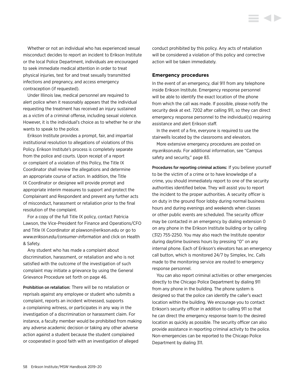Whether or not an individual who has experienced sexual misconduct decides to report an incident to Erikson Institute or the local Police Department, individuals are encouraged to seek immediate medical attention in order to treat physical injuries, test for and treat sexually transmitted infections and pregnancy, and access emergency contraception (if requested).

Under Illinois law, medical personnel are required to alert police when it reasonably appears that the individual requesting the treatment has received an injury sustained as a victim of a criminal offense, including sexual violence. However, it is the individual's choice as to whether he or she wants to speak to the police.

Erikson Institute provides a prompt, fair, and impartial institutional resolution to allegations of violations of this Policy. Erikson Institute's process is completely separate from the police and courts. Upon receipt of a report or complaint of a violation of this Policy, the Title IX Coordinator shall review the allegations and determine an appropriate course of action. In addition, the Title IX Coordinator or designee will provide prompt and appropriate interim measures to support and protect the Complainant and Respondent and prevent any further acts of misconduct, harassment or retaliation prior to the final resolution of the complaint.

For a copy of the full Title IX policy, contact Patricia Lawson, the Vice-President for Finance and Operations/CFO and Title IX Coordinator at [plawson@erikson.edu](mailto:plawson%40erikson.edu?subject=) or go to *[www.erikson.edu/consumer-information](http://www.erikson.edu/consumer-information)* and click on Health & Safety.

Any student who has made a complaint about discrimination, harassment, or retaliation and who is not satisfied with the outcome of the investigation of such complaint may initiate a grievance by using the [General](#page-46-0)  [Grievance Procedure set forth on page 46](#page-46-0).

Prohibition on retaliation: There will be no retaliation or reprisals against any employee or student who submits a complaint, reports an incident witnessed, supports a complaining witness, or participates in any way in the investigation of a discrimination or harassment claim. For instance, a faculty member would be prohibited from making any adverse academic decision or taking any other adverse action against a student because the student complained or cooperated in good faith with an investigation of alleged

conduct prohibited by this policy. Any acts of retaliation will be considered a violation of this policy and corrective action will be taken immediately.

#### **Emergency procedures**

In the event of an emergency, dial 911 from any telephone inside Erikson Institute. Emergency response personnel will be able to identify the exact location of the phone from which the call was made. If possible, please notify the security desk at ext. 7202 after calling 911, so they can direct emergency response personnel to the individual(s) requiring assistance and alert Erikson staff.

In the event of a fire, everyone is required to use the stairwells located by the classrooms and elevators.

More extensive emergency procedures are posted on *my.erikson.edu*. For additional information, see ["Campus](#page-85-0)  [safety and security," page 83.](#page-85-0)

Procedures for reporting criminal actions: If you believe yourself to be the victim of a crime or to have knowledge of a crime, you should immediately report to one of the security authorities identified below. They will assist you to report the incident to the proper authorities. A security officer is on duty in the ground floor lobby during normal business hours and during evenings and weekends when classes or other public events are scheduled. The security officer may be contacted in an emergency by dialing extension 0 on any phone in the Erikson Institute building or by calling (312) 755-2250. You may also reach the Institute operator during daytime business hours by pressing "0" on any internal phone. Each of Erikson's elevators has an emergency call button, which is monitored 24/7 by Simplex, Inc. Calls made to the monitoring service are routed to emergency response personnel.

You can also report criminal activities or other emergencies directly to the Chicago Police Department by dialing 911 from any phone in the building. The phone system is designed so that the police can identify the caller's exact location within the building. We encourage you to contact Erikson's security officer in addition to calling 911 so that he can direct the emergency response team to the desired location as quickly as possible. The security officer can also provide assistance in reporting criminal activity to the police. Non-emergencies can be reported to the Chicago Police Department by dialing 311.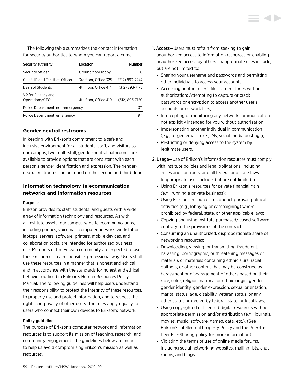The following table summarizes the contact information for security authorities to whom you can report a crime:

| Location                         | <b>Number</b>    |
|----------------------------------|------------------|
| Ground floor lobby               | $\left( \right)$ |
| 3rd floor. Office 325            | (312) 893-7247   |
| 4th floor. Office 414            | (312) 893-7173   |
| 4th floor, Office 410            | (312) 893-7120   |
| Police Department, non-emergency | 311              |
|                                  | 911              |
|                                  |                  |

## **Gender neutral restrooms**

In keeping with Erikson's commitment to a safe and inclusive environment for all students, staff, and visitors to our campus, two multi-stall, gender-neutral bathrooms are available to provide options that are consistent with each person's gender identification and expression. The genderneutral restrooms can be found on the second and third floor.

## **Information technology telecommunication networks and information resources**

#### **Purpose**

Erikson provides its staff, students, and guests with a wide array of information technology and resources. As with all Institute assets, our campus-wide telecommunications, including phones, voicemail, computer network, workstations, laptops, servers, software, printers, mobile devices, and collaboration tools, are intended for authorized business use. Members of the Erikson community are expected to use these resources in a responsible, professional way. Users shall use these resources in a manner that is honest and ethical and in accordance with the standards for honest and ethical behavior outlined in Erikson's Human Resources Policy Manual. The following guidelines will help users understand their responsibility to protect the integrity of these resources, to properly use and protect information, and to respect the rights and privacy of other users. The rules apply equally to users who connect their own devices to Erikson's network.

#### **Policy guidelines**

The purpose of Erikson's computer network and information resources is to support its mission of teaching, research, and community engagement. The guidelines below are meant to help us avoid compromising Erikson's mission as well as resources.

- 1. Access—Users must refrain from seeking to gain unauthorized access to information resources or enabling unauthorized access by others. Inappropriate uses include, but are not limited to:
	- Sharing your username and passwords and permitting other individuals to access your accounts;
	- Accessing another user's files or directories without authorization; Attempting to capture or crack passwords or encryption to access another user's accounts or network files;
	- Intercepting or monitoring any network communication not explicitly intended for you without authorization;
	- Impersonating another individual in communication (e.g., forged email, texts, IMs, social media postings);
	- Restricting or denying access to the system by legitimate users.
- 2. Usage—Use of Erikson's information resources must comply with Institute policies and legal obligations, including licenses and contracts, and all federal and state laws. Inappropriate uses include, but are not limited to:
	- Using Erikson's resources for private financial gain (e.g., running a private business);
	- Using Erikson's resources to conduct partisan political activities (e.g., lobbying or campaigning) where prohibited by federal, state, or other applicable laws;
	- Copying and using Institute purchased/leased software contrary to the provisions of the contract;
	- Consuming an unauthorized, disproportionate share of networking resources;
	- Downloading, viewing, or transmitting fraudulent, harassing, pornographic, or threatening messages or materials or materials containing ethnic slurs, racial epithets, or other content that may be construed as harassment or disparagement of others based on their race, color, religion, national or ethnic origin, gender, gender identity, gender expression, sexual orientation, marital status, age, disability, veteran status, or any other status protected by federal, state, or local laws;
	- Using copyrighted or licensed digital resources without appropriate permission and/or attribution (e.g., journals, movies, music, software, games, data, etc.). (See Erikson's Intellectual Property Policy and the Peer-to-Peer File-Sharing policy for more information);
	- Violating the terms of use of online media forums, including social networking websites, mailing lists, chat rooms, and blogs.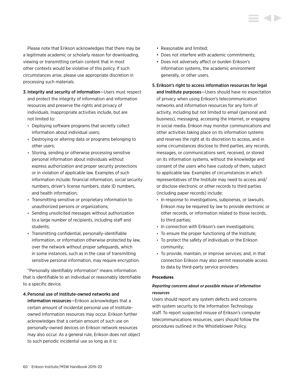Please note that Erikson acknowledges that there may be a legitimate academic or scholarly reason for downloading, viewing or transmitting certain content that in most other contexts would be violative of this policy. If such circumstances arise, please use appropriate discretion in processing such materials.

- 3. Integrity and security of information—Users must respect and protect the integrity of information and information resources and preserve the rights and privacy of individuals. Inappropriate activities include, but are not limited to:
	- Deploying software programs that secretly collect information about individual users;
	- Destroying or altering data or programs belonging to other users;
	- Storing, sending or otherwise processing sensitive personal information about individuals without express authorization and proper security protections or in violation of applicable law. Examples of such information include: financial information, social security numbers, driver's license numbers, state ID numbers, and health information;
	- Transmitting sensitive or proprietary information to unauthorized persons or organizations;
	- Sending unsolicited messages without authorization to a large number of recipients, including staff and students;
	- Transmitting confidential, personally-identifiable information, or information otherwise protected by law, over the network without proper safeguards, which in some instances, such as in the case of transmitting sensitive personal information, may require encryption.

"Personally identifiably information" means information that is identifiable to an individual or reasonably identifiable to a specific device.

#### 4.Personal use of Institute-owned networks and

information resources—Erikson acknowledges that a certain amount of incidental personal use of Instituteowned information resources may occur. Erikson further acknowledges that a certain amount of such use on personally-owned devices on Erikson network resources may also occur. As a general rule, Erikson does not object to such periodic incidental use so long as it is:

- Reasonable and limited;
- Does not interfere with academic commitments;
- Does not adversely affect or burden Erikson's information systems, the academic environment generally, or other users.
- 5. Erikson's right to access information resources for legal and Institute purposes—Users should have no expectation of privacy when using Erikson's telecommunication networks and information resources for any form of activity, including but not limited to email (personal and business), messaging, accessing the Internet, or engaging in social media. Erikson may monitor communications and other activities taking place on its information systems and reserves the right at its discretion to access, and in some circumstances disclose to third parties, any records, messages, or communications sent, received, or stored on its information systems, without the knowledge and consent of the users who have custody of them, subject to applicable law. Examples of circumstances in which representatives of the Institute may need to access and/ or disclose electronic or other records to third parties (including paper records) include:
	- In response to investigations, subpoenas, or lawsuits. Erikson may be required by law to provide electronic or other records, or information related to those records, to third parties;
	- In connection with Erikson's own investigations;
	- To ensure the proper functioning of the Institute;
	- To protect the safety of individuals or the Erikson community;
	- To provide, maintain, or improve services; and, in that connection Erikson may also permit reasonable access to data by third-party service providers.

#### **Procedures**

# *Reporting concerns about or possible misuse of information resources*

Users should report any system defects and concerns with system security to the Information Technology staff. To report suspected misuse of Erikson's computer telecommunications resources, users should follow the procedures outlined in the Whistleblower Policy.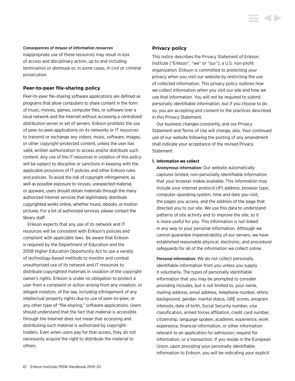#### *Consequences of misuse of information resources*

Inappropriate use of these resources may result in loss of access and disciplinary action, up to and including termination or dismissal or, in some cases, in civil or criminal prosecution.

## **Peer-to-peer file-sharing policy**

Peer-to-peer file-sharing software applications are defined as programs that allow computers to share content in the form of music, movies, games, computer files, or software over a local network and the Internet without accessing a centralized distribution server or set of servers. Erikson prohibits the use of peer-to-peer applications on its networks or IT resources to transmit or exchange any videos, music, software, images, or other copyright-protected content, unless the user has valid, written authorization to access and/or distribute such content. Any use of the IT resources in violation of this policy will be subject to discipline or sanctions in keeping with the applicable provisions of IT policies and other Erikson rules and policies. To avoid the risk of copyright infringement, as well as possible exposure to viruses, unexpected material, or spyware, users should obtain materials through the many authorized Internet services that legitimately distribute copyrighted works online, whether music, ebooks, or motion pictures. For a list of authorized services, please contact the library staff.

Erikson expects that any use of its network and IT resources will be consistent with Erikson's policies and compliant with applicable laws. Be aware that Erikson is required by the Department of Education and the 2008 Higher Education Opportunity Act to use a variety of technology-based methods to monitor and combat unauthorized use of its network and IT resources to distribute copyrighted materials in violation of the copyright owner's rights. Erikson is under no obligation to protect a user from a complaint or action arising from any violation, or alleged violation, of the law, including infringement of any intellectual property rights due to use of peer-to-peer, or any other type of "file-sharing," software applications. Users should understand that the fact that material is accessible through the Internet does not mean that accessing and distributing such material is authorized by copyrightholders. Even when users pay for that access, they do not necessarily acquire the right to distribute the material to others.

### **Privacy policy**

This notice describes the Privacy Statement of Erikson Institute ("Erikson", "we" or "our"), a U.S. non-profit organization. Erikson is committed to protecting your privacy when you visit our website by restricting the use of collected information. This privacy policy outlines how we collect information when you visit our site and how we use that information. You will not be required to submit personally identifiable information, but if you choose to do so, you are accepting and consent to the practices described in this Privacy Statement.

Our business changes constantly, and our Privacy Statement and Terms of Use will change, also. Your continued use of our website following the posting of any amendment shall indicate your acceptance of the revised Privacy Statement.

#### **1. Information we collect**

Anonymous information: Our website automatically captures limited, non-personally identifiable information that your browser makes available. This information may include your internet protocol (IP) address, browser type, computer operating system, time and date you visit, the pages you access, and the address of the page that directed you to our site. We use this data to understand patterns of site activity and to improve the site, so it is more useful for you. This information is not linked in any way to your personal information. Although we cannot guarantee impenetrability of our servers, we have established reasonable physical, electronic, and procedural safeguards for all of the information we collect online.

Personal information: We do not collect personally identifiable information from you unless you supply it voluntarily. The types of personally identifiable information that you may be prompted to consider providing includes, but is not limited to, your name, mailing address, email address, telephone number, ethnic background, gender, marital status, GRE scores, program interests, date of birth, Social Security number, visa classification, armed forces affiliation, credit card number, citizenship, language spoken, academic experience, work experience, financial information, or other information relevant to an application for admission, request for information, or a transaction. If you reside in the European Union, upon providing your personally identifiable information to Erikson, you will be indicating your explicit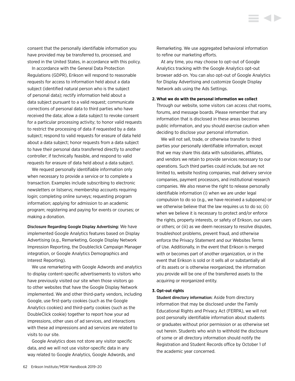consent that the personally identifiable information you have provided may be transferred to, processed, and stored in the United States, in accordance with this policy.

In accordance with the General Data Protection Regulations (GDPR), Erikson will respond to reasonable requests for access to information held about a data subject (identified natural person who is the subject of personal data); rectify information held about a data subject pursuant to a valid request; communicate corrections of personal data to third parties who have received the data; allow a data subject to revoke consent for a particular processing activity; to honor valid requests to restrict the processing of data if requested by a data subject; respond to valid requests for erasure of data held about a data subject; honor requests from a data subject to have their personal data transferred directly to another controller; if technically feasible, and respond to valid requests for erasure of data held about a data subject.

We request personally identifiable information only when necessary to provide a service or to complete a transaction. Examples include subscribing to electronic newsletters or listservs; membership accounts requiring login; completing online surveys; requesting program information; applying for admission to an academic program; registering and paying for events or courses; or making a donation.

Disclosure Regarding Google Display Advertising: We have implemented Google Analytics features based on Display Advertising (e.g., Remarketing, Google Display Network Impression Reporting, the Doubleclick Campaign Manager integration, or Google Analytics Demographics and Interest Reporting).

We use remarketing with Google Adwords and analytics to display content-specific advertisements to visitors who have previously visited our site when those visitors go to other websites that have the Google Display Network implemented. We and other third-party vendors, including Google, use first-party cookies (such as the Google Analytics cookies) and third-party cookies (such as the DoubleClick cookie) together to report how your ad impressions, other uses of ad services, and interactions with these ad impressions and ad services are related to visits to our site.

Google Analytics does not store any visitor specific data, and we will not use visitor-specific data in any way related to Google Analytics, Google Adwords, and Remarketing. We use aggregated behavioral information to refine our marketing efforts.

At any time, you may choose to opt-out of Google Analytics tracking with the Google Analytics opt-out browser add-on. You can also opt-out of Google Analytics for Display Advertising and customize Google Display Network ads using the Ads Settings.

#### **2. What we do with the personal information we collect**

Through our website, some visitors can access chat rooms, forums, and message boards. Please remember that any information that is disclosed in these areas becomes public information, and you should exercise caution when deciding to disclose your personal information.

We will not sell, trade, or otherwise transfer to third parties your personally identifiable information, except that we may share this data with subsidiaries, affiliates, and vendors we retain to provide services necessary to our operations. Such third parties could include, but are not limited to, website hosting companies, mail delivery service companies, payment processors, and institutional research companies. We also reserve the right to release personally identifiable information (i) when we are under legal compulsion to do so (e.g., we have received a subpoena) or we otherwise believe that the law requires us to do so; (ii) when we believe it is necessary to protect and/or enforce the rights, property interests, or safety of Erikson, our users or others; or (iii) as we deem necessary to resolve disputes, troubleshoot problems, prevent fraud, and otherwise enforce the Privacy Statement and our Websites Terms of Use. Additionally, in the event that Erikson is merged with or becomes part of another organization, or in the event that Erikson is sold or it sells all or substantially all of its assets or is otherwise reorganized, the information you provide will be one of the transferred assets to the acquiring or reorganized entity.

#### **3. Opt-out rights**

Student directory information: Aside from directory information that may be disclosed under the Family Educational Rights and Privacy Act (FERPA), we will not post personally identifiable information about students or graduates without prior permission or as otherwise set out herein. Students who wish to withhold the disclosure of some or all directory information should notify the Registration and Student Records office by October 1 of the academic year concerned.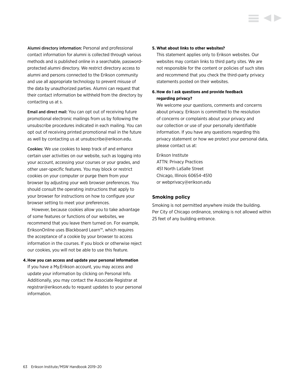Alumni directory information: Personal and professional contact information for alumni is collected through various methods and is published online in a searchable, passwordprotected alumni directory. We restrict directory access to alumni and persons connected to the Erikson community and use all appropriate technology to prevent misuse of the data by unauthorized parties. Alumni can request that their contact information be withheld from the directory by contacting us at s.

Email and direct mail: You can opt out of receiving future promotional electronic mailings from us by following the unsubscribe procedures indicated in each mailing. You can opt out of receiving printed promotional mail in the future as well by contacting us at [unsubscribe@erikson.edu.](mailto:?subject=)

Cookies: We use cookies to keep track of and enhance certain user activities on our website, such as logging into your account, accessing your courses or your grades, and other user-specific features. You may block or restrict cookies on your computer or purge them from your browser by adjusting your web browser preferences. You should consult the operating instructions that apply to your browser for instructions on how to configure your browser setting to meet your preferences.

However, because cookies allow you to take advantage of some features or functions of our websites, we recommend that you leave them turned on. For example, EriksonOnline uses Blackboard Learn™, which requires the acceptance of a cookie by your browser to access information in the courses. If you block or otherwise reject our cookies, you will not be able to use this feature.

#### **4.How you can access and update your personal information**

If you have a My.Erikson account, you may access and update your information by clicking on Personal Info. Additionally, you may contact the Associate Registrar at [registrar@erikson.edu](mailto:registrar%40erikson.edu?subject=) to request updates to your personal information.

#### **5. What about links to other websites?**

This statement applies only to Erikson websites. Our websites may contain links to third party sites. We are not responsible for the content or policies of such sites and recommend that you check the third-party privacy statements posted on their websites.

# **6. How do I ask questions and provide feedback regarding privacy?**

We welcome your questions, comments and concerns about privacy. Erikson is committed to the resolution of concerns or complaints about your privacy and our collection or use of your personally identifiable information. If you have any questions regarding this privacy statement or how we protect your personal data, please contact us at:

Erikson Institute ATTN: Privacy Practices 451 North LaSalle Street Chicago, Illinois 60654-4510 or [webprivacy@erikson.edu](mailto:?subject=)

#### **Smoking policy**

Smoking is not permitted anywhere inside the building. Per City of Chicago ordinance, smoking is not allowed within 25 feet of any building entrance.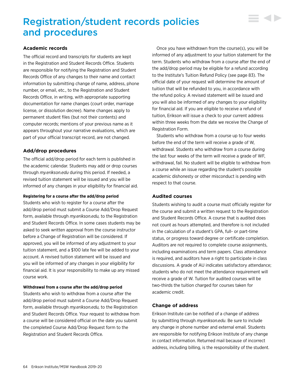# <span id="page-64-0"></span>Registration/student records policies and procedures

## **Academic records**

The official record and transcripts for students are kept in the Registration and Student Records Office. Students are responsible for notifying the Registration and Student Records Office of any changes to their name and contact information by submitting change of name, address, phone number, or email, etc., to the Registration and Student Records Office, in writing, with appropriate supporting documentation for name changes (court order, marriage license, or dissolution decree). Name changes apply to permanent student files (but not their contents) and computer records; mentions of your previous name as it appears throughout your narrative evaluations, which are part of your official transcript record, are not changed.

# **Add/drop procedures**

The official add/drop period for each term is published in the academic calendar. Students may add or drop courses through *[my.erikson.edu](http://my.erikson.edu)* during this period. If needed, a revised tuition statement will be issued and you will be informed of any changes in your eligibility for financial aid.

## **Registering for a course after the add/drop period**

Students who wish to register for a course after the add/drop period must submit a Course Add/Drop Request form, available through *[my.erikson.edu,](http://my.erikson.edu)* to the Registration and Student Records Office. In some cases students may be asked to seek written approval from the course instructor before a Change of Registration will be considered. If approved, you will be informed of any adjustment to your tuition statement, and a \$100 late fee will be added to your account. A revised tuition statement will be issued and you will be informed of any changes in your eligibility for financial aid. It is your responsibility to make up any missed course work.

## **Withdrawal from a course after the add/drop period**

Students who wish to withdraw from a course after the add/drop period must submit a Course Add/Drop Request form, available through *[my.erikson.edu,](http://my.erikson.edu)* to the Registration and Student Records Office. Your request to withdraw from a course will be considered official on the date you submit the completed Course Add/Drop Request form to the Registration and Student Records Office.

Once you have withdrawn from the course(s), you will be informed of any adjustment to your tuition statement for the term. Students who withdraw from a course after the end of the add/drop period may be eligible for a refund according to the Institute's Tuition Refund Policy ([see page 83](#page-83-0)). The official date of your request will determine the amount of tuition that will be refunded to you, in accordance with the refund policy. A revised statement will be issued and you will also be informed of any changes to your eligibility for financial aid. If you are eligible to receive a refund of tuition, Erikson will issue a check to your current address within three weeks from the date we receive the Change of Registration Form.

▄▗▎▙

Students who withdraw from a course up to four weeks before the end of the term will receive a grade of W, withdrawal. Students who withdraw from a course during the last four weeks of the term will receive a grade of WF, withdrawal, fail. No student will be eligible to withdraw from a course while an issue regarding the student's possible academic dishonesty or other misconduct is pending with respect to that course.

## **Audited courses**

Students wishing to audit a course must officially register for the course and submit a written request to the Registration and Student Records Office. A course that is audited does not count as hours attempted, and therefore is not included in the calculation of a student's GPA, full- or part-time status, or progress toward degree or certificate completion. Auditors are not required to complete course assignments, including examinations and term papers. Class attendance is required, and auditors have a right to participate in class discussions. A grade of AU indicates satisfactory attendance; students who do not meet the attendance requirement will receive a grade of W. Tuition for audited courses will be two-thirds the tuition charged for courses taken for academic credit.

## **Change of address**

Erikson Institute can be notified of a change of address by submitting through *my.erikson.edu*. Be sure to include any change in phone number and external email. Students are responsible for notifying Erikson Institute of any change in contact information. Returned mail because of incorrect address, including billing, is the responsibility of the student.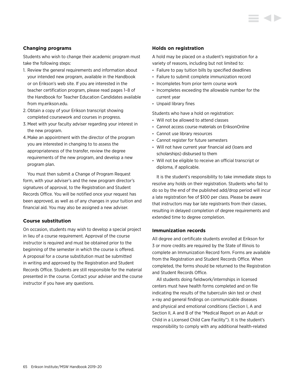## **Changing programs**

Students who wish to change their academic program must take the following steps:

- 1. Review the general requirements and information about your intended new program, available in the Handbook or on Erikson's web site. If you are interested in the teacher certification program, please read pages 1–8 of the Handbook for Teacher Education Candidates available from my.erikson.edu.
- 2. Obtain a copy of your Erikson transcript showing completed coursework and courses in progress.
- 3. Meet with your faculty adviser regarding your interest in the new program.
- 4.Make an appointment with the director of the program you are interested in changing to to assess the appropriateness of the transfer, review the degree requirements of the new program, and develop a new program plan.

You must then submit a Change of Program Request form, with your adviser's and the new program director's signatures of approval, to the Registration and Student Records Office. You will be notified once your request has been approved, as well as of any changes in your tuition and financial aid. You may also be assigned a new adviser.

## **Course substitution**

On occasion, students may wish to develop a special project in lieu of a course requirement. Approval of the course instructor is required and must be obtained prior to the beginning of the semester in which the course is offered. A proposal for a course substitution must be submitted in writing and approved by the Registration and Student Records Office. Students are still responsible for the material presented in the course. Contact your adviser and the course instructor if you have any questions.

## **Holds on registration**

A hold may be placed on a student's registration for a variety of reasons, including but not limited to:

- Failure to pay tuition bills by specified deadlines
- Failure to submit complete immunization record
- Incompletes from prior term course work
- Incompletes exceeding the allowable number for the current year
- Unpaid library fines

Students who have a hold on registration:

- Will not be allowed to attend classes
- Cannot access course materials on EriksonOnline
- Cannot use library resources
- Cannot register for future semesters
- Will not have current year financial aid (loans and scholarships) disbursed to them
- Will not be eligible to receive an official transcript or diploma, if applicable.

It is the student's responsibility to take immediate steps to resolve any holds on their registration. Students who fail to do so by the end of the published add/drop period will incur a late registration fee of \$100 per class. Please be aware that instructors may bar late registrants from their classes, resulting in delayed completion of degree requirements and extended time to degree completion.

## **Immunization records**

All degree and certificate students enrolled at Erikson for 3 or more credits are required by the State of Illinois to complete an Immunization Record form. Forms are available from the Registration and Student Records Office. When completed, the forms should be returned to the Registration and Student Records Office.

All students doing fieldwork/internships in licensed centers must have health forms completed and on file indicating the results of the tuberculin skin test or chest x-ray and general findings on communicable diseases and physical and emotional conditions (Section I, A and Section II, A and B of the "Medical Report on an Adult or Child in a Licensed Child Care Facility"). It is the student's responsibility to comply with any additional health-related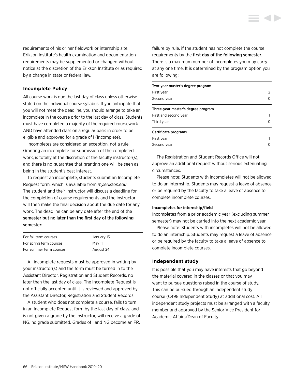

## **Incomplete Policy**

All course work is due the last day of class unless otherwise stated on the individual course syllabus. If you anticipate that you will not meet the deadline, you should arrange to take an incomplete in the course prior to the last day of class. Students must have completed a majority of the required coursework AND have attended class on a regular basis in order to be eligible and approved for a grade of I (Incomplete).

Incompletes are considered an exception, not a rule. Granting an incomplete for submission of the completed work, is totally at the discretion of the faculty instructor(s), and there is no guarantee that granting one will be seen as being in the student's best interest.

To request an incomplete, students submit an Incomplete Request form, which is available from *my.erikson.edu*. The student and their instructor will discuss a deadline for the completion of course requirements and the instructor will then make the final decision about the due date for any work. The deadline can be any date after the end of the semester but no later than the first day of the following semester:

| For fall term courses   | January 13 |
|-------------------------|------------|
| For spring term courses | Mav 11     |
| For summer term courses | August 24  |

All incomplete requests must be approved in writing by your instructor(s) and the form must be turned in to the Assistant Director, Registration and Student Records, no later than the last day of class. The Incomplete Request is not officially accepted until it is reviewed and approved by the Assistant Director, Registration and Student Records.

A student who does not complete a course, fails to turn in an Incomplete Request form by the last day of class, and is not given a grade by the instructor, will receive a grade of NG, no grade submitted. Grades of I and NG become an FR,

failure by rule, if the student has not complete the course requirements by the first day of the following semester. There is a maximum number of incompletes you may carry at any one time. It is determined by the program option you are following:

| Two-year master's degree program   |   |  |
|------------------------------------|---|--|
| First year                         | 2 |  |
| Second year                        |   |  |
| Three-year master's degree program |   |  |
| First and second year              |   |  |
| Third year                         |   |  |
| Certificate programs               |   |  |
| First year                         |   |  |
| Second year                        |   |  |

The Registration and Student Records Office will not approve an additional request without serious extenuating circumstances.

Please note: Students with incompletes will not be allowed to do an internship. Students may request a leave of absence or be required by the faculty to take a leave of absence to complete incomplete courses.

#### **Incompletes for internship/field**

Incompletes from a prior academic year (excluding summer semester) may not be carried into the next academic year.

Please note: Students with incompletes will not be allowed to do an internship. Students may request a leave of absence or be required by the faculty to take a leave of absence to complete incomplete courses.

#### **Independent study**

It is possible that you may have interests that go beyond the material covered in the classes or that you may want to pursue questions raised in the course of study. This can be pursued through an independent study course (C498 Independent Study) at additional cost. All independent study projects must be arranged with a faculty member and approved by the Senior Vice President for Academic Affairs/Dean of Faculty.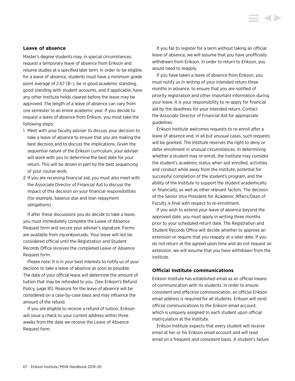#### **Leave of absence**

Master's degree students may, in special circumstances, request a temporary leave of absence from Erikson and resume studies at a specified later term. In order to be eligible for a leave of absence, students must have a minimum grade point average of 2.67 (B–), be in good academic standing, good standing with student accounts, and if applicable, have any other Institute holds cleared before the leave may be approved. The length of a leave of absence can vary from one semester to an entire academic year. If you decide to request a leave of absence from Erikson, you must take the following steps:

- 1. Meet with your faculty adviser to discuss your decision to take a leave of absence to ensure that you are making the best decision and to discuss the implications. Given the sequential nature of the Erikson curriculum, your adviser will work with you to determine the best date for your return. This will be driven in part by the best sequencing of your course work.
- 2. If you are receiving financial aid, you must also meet with the Associate Director of Financial Aid to discuss the impact of this decision on your financial responsibilities (for example, balance due and loan repayment obligations).

If after these discussions you do decide to take a leave, you must immediately complete the Leave of Absence Request form and secure your adviser's signature. Forms are available from *my.erikson.edu*. Your leave will not be considered official until the Registration and Student Records Office receives the completed Leave of Absence Request form.

Please note: It is in your best interests to notify us of your decision to take a leave of absence as soon as possible. The date of your official leave will determine the amount of tuition that may be refunded to you. [\(See Erikson's Refund](#page-83-0)  [Policy, page 81\)](#page-83-0). Reasons for the leave of absence will be considered on a case-by-case basis and may influence the amount of the refund.

If you are eligible to receive a refund of tuition, Erikson will issue a check to your current address within three weeks from the date we receive the Leave of Absence Request form.

If you fail to register for a term without taking an official leave of absence, we will assume that you have unofficially withdrawn from Erikson. In order to return to Erikson, you would need to reapply.

If you have taken a leave of absence from Erikson, you must notify us in writing of your intended return three months in advance, to ensure that you are notified of priority registration and other important information during your leave. It is your responsibility to re-apply for financial aid by the deadlines for your intended return. Contact the Associate Director of Financial Aid for appropriate guidelines.

Erikson Institute welcomes requests to re-enroll after a leave of absence and, in all but unusual cases, such requests will be granted. The Institute reserves the right to deny or defer enrollment in unusual circumstances. In determining whether a student may re-enroll, the Institute may consider the student's academic status when last enrolled, activities and conduct while away from the Institute, potential for successful completion of the student's program, and the ability of the Institute to support the student academically or financially, as well as other relevant factors. The decision of the Senior Vice President for Academic Affairs/Dean of Faculty is final with respect to re-enrollment.

If you wish to extend your leave of absence beyond the approved date, you must apply in writing three months prior to your scheduled return date. The Registration and Student Records Office will decide whether to approve an extension or require that you reapply at a later date. If you do not return at the agreed upon time and do not request an extension, we will assume that you have withdrawn from the Institute.

## **Official Institute communications**

Erikson Institute has established email as an official means of communication with its students. In order to ensure consistent and effective communication, an official Erikson email address is required for all students. Erikson will send official communications to the Erikson email account, which is uniquely assigned to each student upon official matriculation at the Institute.

Erikson Institute expects that every student will receive email at her or his Erikson email account and will read email on a frequent and consistent basis. A student's failure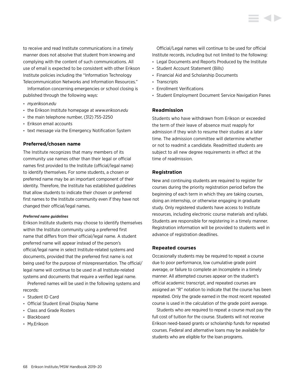<span id="page-68-0"></span>to receive and read Institute communications in a timely manner does not absolve that student from knowing and complying with the content of such communications. All use of email is expected to be consistent with other Erikson Institute policies including the "Information Technology Telecommunication Networks and Information Resources."

Information concerning emergencies or school closing is published through the following ways:

- *my.erikson.edu*
- the Erikson Institute homepage at *[www.erikson.edu](http://www.erikson.edu)*
- the main telephone number, (312) 755-2250
- Erikson email accounts
- text message via the Emergency Notification System

## **Preferred/chosen name**

The Institute recognizes that many members of its community use names other than their legal or official names first provided to the Institute (official/legal name) to identify themselves. For some students, a chosen or preferred name may be an important component of their identity. Therefore, the Institute has established guidelines that allow students to indicate their chosen or preferred first names to the Institute community even if they have not changed their official/legal names.

#### *Preferred name guidelines*

Erikson Institute students may choose to identify themselves within the Institute community using a preferred first name that differs from their official/legal name. A student preferred name will appear instead of the person's official/legal name in select Institute-related systems and documents, provided that the preferred first name is not being used for the purpose of misrepresentation. The official/ legal name will continue to be used in all Institute-related systems and documents that require a verified legal name.

Preferred names will be used in the following systems and records:

- Student ID Card
- Official Student Email Display Name
- Class and Grade Rosters
- Blackboard
- My.Erikson

Official/Legal names will continue to be used for official Institute records, including but not limited to the following:

- Legal Documents and Reports Produced by the Institute
- Student Account Statement (Bills)
- Financial Aid and Scholarship Documents
- Transcripts
- Enrollment Verifications
- Student Employment Document Service Navigation Panes

#### **Readmission**

Students who have withdrawn from Erikson or exceeded the term of their leave of absence must reapply for admission if they wish to resume their studies at a later time. The admission committee will determine whether or not to readmit a candidate. Readmitted students are subject to all new degree requirements in effect at the time of readmission.

#### **Registration**

New and continuing students are required to register for courses during the priority registration period before the beginning of each term in which they are taking courses, doing an internship, or otherwise engaging in graduate study. Only registered students have access to Institute resources, including electronic course materials and syllabi. Students are responsible for registering in a timely manner. Registration information will be provided to students well in advance of registration deadlines.

#### **Repeated courses**

Occasionally students may be required to repeat a course due to poor performance, low cumulative grade point average, or failure to complete an Incomplete in a timely manner. All attempted courses appear on the student's official academic transcript, and repeated courses are assigned an "R" notation to indicate that the course has been repeated. Only the grade earned in the most recent repeated course is used in the calculation of the grade point average.

Students who are required to repeat a course must pay the full cost of tuition for the course. Students will not receive Erikson need-based grants or scholarship funds for repeated courses. Federal and alternative loans may be available for students who are eligible for the loan programs.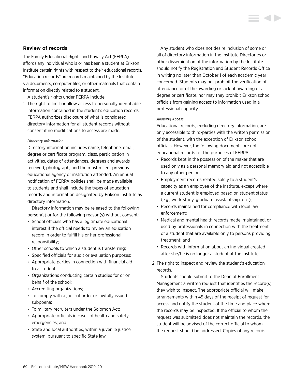## **Review of records**

The Family Educational Rights and Privacy Act (FERPA) affords any individual who is or has been a student at Erikson Institute certain rights with respect to their educational records. "Education records" are records maintained by the Institute via documents, computer files, or other materials that contain information directly related to a student.

A student's rights under FERPA include:

1. The right to limit or allow access to personally identifiable information contained in the student's education records. FERPA authorizes disclosure of what is considered directory information for all student records without consent if no modifications to access are made.

#### *Directory Information*

Directory information includes name, telephone, email, degree or certificate program, class, participation in activities, dates of attendances, degrees and awards received, photograph, and the most recent previous educational agency or institution attended. An annual notification of FERPA policies shall be made available to students and shall include the types of education records and information designated by Erikson Institute as directory information.

 Directory information may be released to the following person(s) or for the following reason(s) without consent:

- School officials who has a legitimate educational interest if the official needs to review an education record in order to fulfill his or her professional responsibility;
- Other schools to which a student is transferring;
- Specified officials for audit or evaluation purposes;
- Appropriate parties in connection with financial aid to a student;
- Organizations conducting certain studies for or on behalf of the school;
- Accrediting organizations;
- To comply with a judicial order or lawfully issued subpoena;
- To military recruiters under the Solomon Act;
- Appropriate officials in cases of health and safety emergencies; and
- State and local authorities, within a juvenile justice system, pursuant to specific State law.

 Any student who does not desire inclusion of some or all of directory information in the Institute Directories or other dissemination of the information by the Institute should notify the Registration and Student Records Office in writing no later than October 1 of each academic year concerned. Students may not prohibit the verification of attendance or of the awarding or lack of awarding of a degree or certificate, nor may they prohibit Erikson school officials from gaining access to information used in a professional capacity.

#### *Allowing Access*

Educational records, excluding directory information, are only accessible to third-parties with the written permission of the student, with the exception of Erikson school officials. However, the following documents are not educational records for the purposes of FERPA:

- Records kept in the possession of the maker that are used only as a personal memory aid and not accessible to any other person;
- Employment records related solely to a student's capacity as an employee of the Institute, except where a current student is employed based on student status (e.g., work-study, graduate assistantship, etc.);
- Records maintained for compliance with local law enforcement;
- Medical and mental health records made, maintained, or used by professionals in connection with the treatment of a student that are available only to persons providing treatment; and
- Records with information about an individual created after she/he is no longer a student at the Institute.
- 2. The right to inspect and review the student's education records.

 Students should submit to the Dean of Enrollment Management a written request that identifies the record(s) they wish to inspect. The appropriate official will make arrangements within 45 days of the receipt of request for access and notify the student of the time and place where the records may be inspected. If the official to whom the request was submitted does not maintain the records, the student will be advised of the correct official to whom the request should be addressed. Copies of any records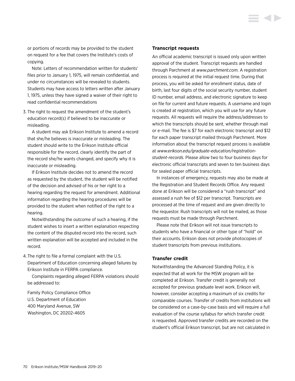or portions of records may be provided to the student on request for a fee that covers the Institute's costs of copying.

 Note: Letters of recommendation written for students' files prior to January 1, 1975, will remain confidential, and under no circumstances will be revealed to students. Students may have access to letters written after January 1, 1975, unless they have signed a waiver of their right to read confidential recommendations

3. The right to request the amendment of the student's education record(s) if believed to be inaccurate or misleading.

 A student may ask Erikson Institute to amend a record that she/he believes is inaccurate or misleading. The student should write to the Erikson Institute official responsible for the record, clearly identify the part of the record she/he wants changed, and specify why it is inaccurate or misleading.

 If Erikson Institute decides not to amend the record as requested by the student, the student will be notified of the decision and advised of his or her right to a hearing regarding the request for amendment. Additional information regarding the hearing procedures will be provided to the student when notified of the right to a hearing.

 Notwithstanding the outcome of such a hearing, if the student wishes to insert a written explanation respecting the content of the disputed record into the record, such written explanation will be accepted and included in the record.

4. The right to file a formal complaint with the U.S. Department of Education concerning alleged failures by Erikson Institute in FERPA compliance.

 Complaints regarding alleged FERPA violations should be addressed to:

Family Policy Compliance Office U.S. Department of Education 400 Maryland Avenue, SW Washington, DC 20202-4605

### **Transcript requests**

An official academic transcript is issued only upon written approval of the student. Transcript requests are handled through Parchment at *[www.parchment.com](http://www.parchment.com)*. A registration process is required at the initial request time. During that process, you will be asked for enrollment status, date of birth, last four digits of the social security number, student ID number, email address, and electronic signature to keep on file for current and future requests. A username and login is created at registration, which you will use for any future requests. All requests will require the address/addresses to which the transcripts should be sent, whether through mail or e-mail. The fee is \$7 for each electronic transcript and \$12 for each paper transcript mailed through Parchment. More information about the transcript request process is available at *[www.erikson.edu/graduate-education/registration](https://www.erikson.edu/graduate-education/registration-student-records/)[student-records](https://www.erikson.edu/graduate-education/registration-student-records/).* Please allow two to four business days for electronic official transcripts and seven to ten business days for sealed paper official transcripts.

In instances of emergency, requests may also be made at the Registration and Student Records Office. Any request done at Erikson will be considered a "rush transcript" and assessed a rush fee of \$12 per transcript. Transcripts are processed at the time of request and are given directly to the requestor. Rush transcripts will not be mailed, as those requests must be made through Parchment.

Please note that Erikson will not issue transcripts to students who have a financial or other type of "hold" on their accounts. Erikson does not provide photocopies of student transcripts from previous institutions.

#### **Transfer credit**

Notwithstanding the Advanced Standing Policy, it is expected that all work for the MSW program will be completed at Erikson. Transfer credit is generally not accepted for previous graduate level work. Erikson will, however, consider accepting a maximum of six credits for comparable courses. Transfer of credits from institutions will be considered on a case-by-case basis and will require a full evaluation of the course syllabus for which transfer credit is requested. Approved transfer credits are recorded on the student's official Erikson transcript, but are not calculated in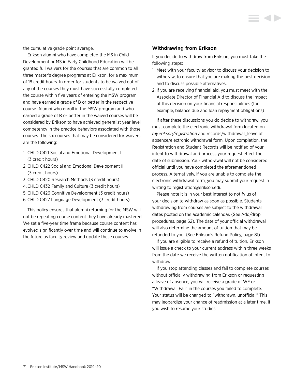the cumulative grade point average.

Erikson alumni who have completed the MS in Child Development or MS in Early Childhood Education will be granted full waivers for the courses that are common to all three master's degree programs at Erikson, for a maximum of 18 credit hours. In order for students to be waived out of any of the courses they must have successfully completed the course within five years of entering the MSW program and have earned a grade of B or better in the respective course. Alumni who enroll in the MSW program and who earned a grade of B or better in the waived courses will be considered by Erikson to have achieved generalist year level competency in the practice behaviors associated with those courses. The six courses that may be considered for waivers are the following:

- 1. CHLD C421 Social and Emotional Development I (3 credit hours)
- 2. CHLD C422 Social and Emotional Development II (3 credit hours)
- 3. CHLD C420 Research Methods (3 credit hours)
- 4.CHLD C432 Family and Culture (3 credit hours)
- 5. CHLD C426 Cognitive Development (3 credit hours)
- 6. CHLD C427 Language Development (3 credit hours)

This policy ensures that alumni returning for the MSW will not be repeating course content they have already mastered. We set a five-year time frame because course content has evolved significantly over time and will continue to evolve in the future as faculty review and update these courses.

#### **Withdrawing from Erikson**

If you decide to withdraw from Erikson, you must take the following steps:

- 1. Meet with your faculty advisor to discuss your decision to withdraw, to ensure that you are making the best decision and to discuss possible alternatives.
- 2. If you are receiving financial aid, you must meet with the Associate Director of Financial Aid to discuss the impact of this decision on your financial responsibilities (for example, balance due and loan repayment obligations)

If after these discussions you do decide to withdraw, you must complete the electronic withdrawal form located on *my.erikson/registration* and records/withdrawal\_leave of absence/electronic withdrawal form. Upon completion, the Registration and Student Records will be notified of your intent to withdrawal and process your request effect the date of submission. Your withdrawal will not be considered official until you have completed the aforementioned process. Alternatively, if you are unable to complete the electronic withdrawal form, you may submit your request in writing to [registration@erikson.edu.](mailto:registration%40erikson.edu?subject=)

Please note it is in your best interest to notify us of your decision to withdraw as soon as possible. Students withdrawing from courses are subject to the withdrawal dates posted on the academic calendar. ([See Add/drop](#page-64-0)  [procedures, page 62](#page-64-0)). The date of your official withdrawal will also determine the amount of tuition that may be refunded to you. [\(See Erikson's Refund Policy, page 81](#page-83-0)).

If you are eligible to receive a refund of tuition, Erikson will issue a check to your current address within three weeks from the date we receive the written notification of intent to withdraw.

If you stop attending classes and fail to complete courses without officially withdrawing from Erikson or requesting a leave of absence, you will receive a grade of WF or "Withdrawal, Fail" in the courses you failed to complete. Your status will be changed to "withdrawn, unofficial." This may jeopardize your chance of readmission at a later time, if you wish to resume your studies.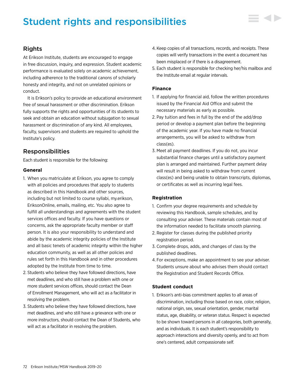# Student rights and responsibilities



# Rights

At Erikson Institute, students are encouraged to engage in free discussion, inquiry, and expression. Student academic performance is evaluated solely on academic achievement, including adherence to the traditional canons of scholarly honesty and integrity, and not on unrelated opinions or conduct.

It is Erikson's policy to provide an educational environment free of sexual harassment or other discrimination. Erikson fully supports the rights and opportunities of its students to seek and obtain an education without subjugation to sexual harassment or discrimination of any kind. All employees, faculty, supervisors and students are required to uphold the Institute's policy.

# Responsibilities

Each student is responsible for the following:

# **General**

- 1. When you matriculate at Erikson, you agree to comply with all policies and procedures that apply to students as described in this Handbook and other sources, including but not limited to course syllabi, my.erikson, EriksonOnline, emails, mailing, etc. You also agree to fulfill all understandings and agreements with the student services offices and faculty. If you have questions or concerns, ask the appropriate faculty member or staff person. It is also your responsibility to understand and abide by the academic integrity policies of the Institute and all basic tenets of academic integrity within the higher education community, as well as all other policies and rules set forth in this Handbook and in other procedures adopted by the Institute from time to time.
- 2. Students who believe they have followed directions, have met deadlines, and who still have a problem with one or more student services offices, should contact the Dean of Enrollment Management, who will act as a facilitator in resolving the problem.
- 3. Students who believe they have followed directions, have met deadlines, and who still have a grievance with one or more instructors, should contact the Dean of Students, who will act as a facilitator in resolving the problem.
- 4. Keep copies of all transactions, records, and receipts. These copies will verify transactions in the event a document has been misplaced or if there is a disagreement.
- 5. Each student is responsible for checking her/his mailbox and the Institute email at regular intervals.

# **Finance**

- 1. If applying for financial aid, follow the written procedures issued by the Financial Aid Office and submit the necessary materials as early as possible.
- 2. Pay tuition and fees in full by the end of the add/drop period or develop a payment plan before the beginning of the academic year. If you have made no financial arrangements, you will be asked to withdraw from class(es).
- 3. Meet all payment deadlines. If you do not, you incur substantial finance charges until a satisfactory payment plan is arranged and maintained. Further payment delay will result in being asked to withdraw from current class(es) and being unable to obtain transcripts, diplomas, or certificates as well as incurring legal fees.

# **Registration**

- 1. Confirm your degree requirements and schedule by reviewing this Handbook, sample schedules, and by consulting your adviser. These materials contain most of the information needed to facilitate smooth planning.
- 2. Register for classes during the published priority registration period.
- 3. Complete drops, adds, and changes of class by the published deadlines.
- 4. For exceptions, make an appointment to see your adviser. Students unsure about who advises them should contact the Registration and Student Records Office.

# **Student conduct**

1. Erikson's anti-bias commitment applies to all areas of discrimination, including those based on race, color, religion, national origin, sex, sexual orientation, gender, marital status, age, disability, or veteran status. Respect is expected to be shown toward persons in all categories, both generally, and as individuals. It is each student's responsibility to approach interactions and diversity openly, and to act from one's centered, adult compassionate self.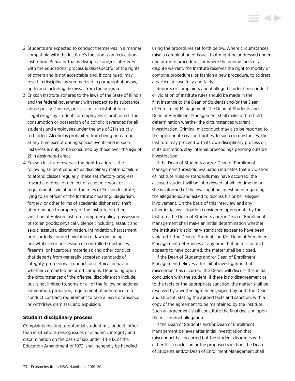- 2. Students are expected to conduct themselves in a manner compatible with the Institute's function as an educational institution. Behavior that is disruptive and/or interferes with the educational process is disrespectful of the rights of others and is not acceptable and, if continued, may result in discipline as summarized in paragraph 4 below, up to and including dismissal from the program.
- 3. Erikson Institute adheres to the laws of the State of Illinois and the federal government with respect to its substance abuse policy. The use, possession, or distribution of illegal drugs by students or employees is prohibited. The consumption or possession of alcoholic beverages for all students and employees under the age of 21 is strictly forbidden. Alcohol is prohibited from being on-campus at any time except during special events and in such instances is only to be consumed by those over the age of 21 in designated areas.
- 4. Erikson Institute reserves the right to address the following student conduct as disciplinary matters: failure to attend classes regularly, make satisfactory progress toward a degree, or neglect of academic work or requirements; violation of the rules of Erikson Institute; lying to an officer of the Institute; cheating, plagiarism, forgery, or other forms of academic dishonesty; theft of or damage to property of the Institute or others; violation of Erikson Institute computer policy; possession of stolen goods; physical violence (including assault and sexual assault), discrimination, intimidation, harassment or disorderly conduct; violation of law (including unlawful use or possession of controlled substances, firearms, or hazardous materials); and other conduct that departs from generally accepted standards of integrity, professional conduct, and ethical behavior, whether committed on or off campus. Depending upon the circumstances of the offense, discipline can include, but is not limited to, some or all of the following actions: admonition, probation, requirement of adherence to a conduct contract, requirement to take a leave of absence or withdraw, dismissal, and expulsion.

#### **Student disciplinary process**

Complaints relating to potential student misconduct, other than in situations raising issues of academic integrity and discrimination on the basis of sex under Title IX of the Education Amendment of 1972, shall generally be handled

using the procedures set forth below. Where circumstances raise a combination of issues that might be addressed under one or more procedures, or where the unique facts of a dispute warrant, the Institute reserves the right to modify or combine procedures, or fashion a new procedure, to address a particular case fully and fairly.

**KID** 

Reports or complaints about alleged student misconduct or violation of Institute rules should be made in the first instance to the Dean of Students and/or the Dean of Enrollment Management. The Dean of Students and Dean of Enrollment Management shall make a threshold determination whether the circumstances warrant investigation. Criminal misconduct may also be reported to the appropriate civil authorities. In such circumstances, the Institute may proceed with its own disciplinary process or, in its discretion, stay internal proceedings pending outside investigation.

If the Dean of Students and/or Dean of Enrollment Management threshold evaluation indicates that a violation of Institute rules or standards may have occurred, the accused student will be interviewed, at which time he or she is informed of the investigation, questioned regarding the allegations, and asked to discuss his or her alleged involvement. On the basis of this interview and any other initial investigation considered appropriate by the Institute, the Dean of Students and/or Dean of Enrollment Management shall make an initial determination whether the Institute's disciplinary standards appear to have been violated. If the Dean of Students and/or Dean of Enrollment Management determines at any time that no misconduct appears to have occurred, the matter shall be closed.

If the Dean of Students and/or Dean of Enrollment Management believes after initial investigation that misconduct has occurred, the Deans will discuss this initial conclusion with the student. If there is no disagreement as to the facts or the appropriate sanction, the matter shall be resolved by a written agreement, signed by both the Deans and student, stating the agreed facts and sanction, with a copy of the agreement to be maintained by the Institute. Such an agreement shall constitute the final decision upon the misconduct allegation.

If the Dean of Students and/or Dean of Enrollment Management believes after initial investigation that misconduct has occurred but the student disagrees with either this conclusion or the proposed sanction, the Dean of Students and/or Dean of Enrollment Management shall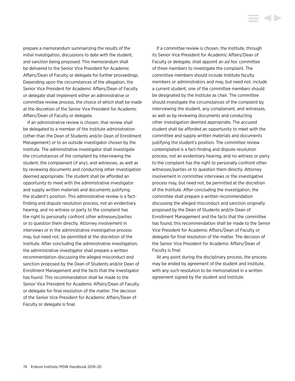prepare a memorandum summarizing the results of the initial investigation, discussions to date with the student, and sanction being proposed. This memorandum shall be delivered to the Senior Vice President for Academic Affairs/Dean of Faculty or delegate for further proceedings. Depending upon the circumstances of the allegation, the Senior Vice President for Academic Affairs/Dean of Faculty or delegate shall implement either an administrative or committee review process, the choice of which shall be made at the discretion of the Senior Vice President for Academic Affairs/Dean of Faculty or delegate.

If an administrative review is chosen, that review shall be delegated to a member of the Institute administration (other than the Dean of Students and/or Dean of Enrollment Management) or to an outside investigator chosen by the Institute. The administrative investigator shall investigate the circumstances of the complaint by interviewing the student, the complainant (if any), and witnesses, as well as by reviewing documents and conducting other investigation deemed appropriate. The student shall be afforded an opportunity to meet with the administrative investigator and supply written materials and documents justifying the student's position. This administrative review is a factfinding and dispute resolution process, not an evidentiary hearing, and no witness or party to the complaint has the right to personally confront other witnesses/parties or to question them directly. Attorney involvement in interviews or in the administrative investigative process may, but need not, be permitted at the discretion of the Institute. After concluding the administrative investigation, the administrative investigator shall prepare a written recommendation discussing the alleged misconduct and sanction proposed by the Dean of Students and/or Dean of Enrollment Management and the facts that the investigator has found. This recommendation shall be made to the Senior Vice President for Academic Affairs/Dean of Faculty or delegate for final resolution of the matter. The decision of the Senior Vice President for Academic Affairs/Dean of Faculty or delegate is final.

If a committee review is chosen, the Institute, through its Senior Vice President for Academic Affairs/Dean of Faculty or delegate, shall appoint an *ad hoc* committee of three members to investigate the complaint. The committee members should include Institute faculty members or administrators and may, but need not, include a current student; one of the committee members should be designated by the Institute as chair. The committee should investigate the circumstances of the complaint by interviewing the student, any complainant, and witnesses, as well as by reviewing documents and conducting other investigation deemed appropriate. The accused student shall be afforded an opportunity to meet with the committee and supply written materials and documents justifying the student's position. The committee review contemplated is a fact-finding and dispute resolution process, not an evidentiary hearing, and no witness or party to the complaint has the right to personally confront other witnesses/parties or to question them directly. Attorney involvement in committee interviews or the investigative process may, but need not, be permitted at the discretion of the Institute. After concluding the investigation, the committee shall prepare a written recommendation discussing the alleged misconduct and sanction originally proposed by the Dean of Students and/or Dean of Enrollment Management and the facts that the committee has found; this recommendation shall be made to the Senior Vice President for Academic Affairs/Dean of Faculty or delegate for final resolution of the matter. The decision of the Senior Vice President for Academic Affairs/Dean of Faculty is final.

At any point during the disciplinary process, the process may be ended by agreement of the student and Institute, with any such resolution to be memorialized in a written agreement signed by the student and Institute.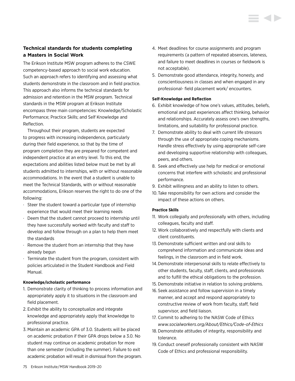# **Technical standards for students completing a Masters in Social Work**

The Erikson Institute MSW program adheres to the CSWE competency-based approach to social work education. Such an approach refers to identifying and assessing what students demonstrate in the classroom and in field practice. This approach also informs the technical standards for admission and retention in the MSW program. Technical standards in the MSW program at Erikson Institute encompass three main competencies: Knowledge/Scholastic Performance; Practice Skills; and Self Knowledge and Reflection.

Throughout their program, students are expected to progress with increasing independence, particularly during their field experience, so that by the time of program completion they are prepared for competent and independent practice at an entry level. To this end, the expectations and abilities listed below must be met by all students admitted to internships, with or without reasonable accommodations. In the event that a student is unable to meet the Technical Standards, with or without reasonable accommodations, Erikson reserves the right to do one of the following:

- $\cdot$  Steer the student toward a particular type of internship experience that would meet their learning needs
- Deem that the student cannot proceed to internship until they have successfully worked with faculty and staff to develop and follow through on a plan to help them meet the standards
- $\cdot$  Remove the student from an internship that they have already begun
- Terminate the student from the program, consistent with policies articulated in the Student Handbook and Field Manual.

#### **Knowledge/scholastic performance**

- 1. Demonstrate clarity of thinking to process information and appropriately apply it to situations in the classroom and field placement.
- 2. Exhibit the ability to conceptualize and integrate knowledge and appropriately apply that knowledge to professional practice.
- 3. Maintain an academic GPA of 3.0. Students will be placed on academic probation if their GPA drops below a 3.0. No student may continue on academic probation for more than one semester (including the summer). Failure to exit academic probation will result in dismissal from the program.
- 4. Meet deadlines for course assignments and program requirements (a pattern of repeated absences, lateness, and failure to meet deadlines in courses or fieldwork is not acceptable).
- 5. Demonstrate good attendance, integrity, honesty, and conscientiousness in classes and when engaged in any professional- field placement work/ encounters.

#### **Self-Knowledge and Reflection**

- 6. Exhibit knowledge of how one's values, attitudes, beliefs, emotional and past experiences affect thinking, behavior and relationships. Accurately assess one's own strengths, limitations, and suitability for professional practice.
- 7. Demonstrate ability to deal with current life stressors through the use of appropriate coping mechanisms. Handle stress effectively by using appropriate self-care and developing supportive relationship with colleagues, peers, and others.
- 8. Seek and effectively use help for medical or emotional concerns that interfere with scholastic and professional performance.
- 9. Exhibit willingness and an ability to listen to others.
- 10.Take responsibility for own actions and consider the impact of these actions on others.

#### **Practice Skills**

- 11. Work collegially and professionally with others, including colleagues, faculty and staff.
- 12. Work collaboratively and respectfully with clients and client constituents.
- 13. Demonstrate sufficient written and oral skills to comprehend information and communicate ideas and feelings, in the classroom and in field work.
- 14.Demonstrate interpersonal skills to relate effectively to other students, faculty, staff, clients, and professionals and to fulfill the ethical obligations to the profession.
- 15. Demonstrate initiative in relation to solving problems.
- 16. Seek assistance and follow supervision in a timely manner, and accept and respond appropriately to constructive review of work from faculty, staff, field supervisor, and field liaison.
- 17. Commit to adhering to the NASW Code of Ethics *[www.socialworkers.org/About/Ethics/Code-of-Ethics](http://www.socialworkers.org/About/Ethics/Code-of-Ethics)*
- 18. Demonstrate attitudes of integrity, responsibility and tolerance.
- 19. Conduct oneself professionally consistent with NASW Code of Ethics and professional responsibility.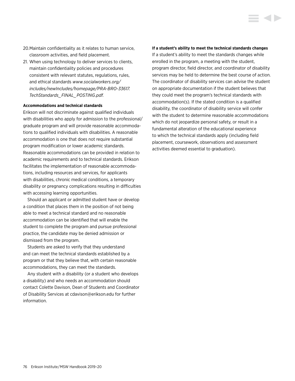- 20.Maintain confidentiality as it relates to human service, classroom activities, and field placement.
- 21. When using technology to deliver services to clients, maintain confidentiality policies and procedures consistent with relevant statutes, regulations, rules, and ethical standards *[www.socialworkers.org/](http://www.socialworkers.org/includes/newIncludes/homepage/PRA-BRO-33617.TechStandards_FINAL_POSTING.pdf) [includes/newIncludes/homepage/PRA-BRO-33617.](http://www.socialworkers.org/includes/newIncludes/homepage/PRA-BRO-33617.TechStandards_FINAL_POSTING.pdf) [TechStandards\\_FINAL\\_POSTING.pdf](http://www.socialworkers.org/includes/newIncludes/homepage/PRA-BRO-33617.TechStandards_FINAL_POSTING.pdf).*

#### **Accommodations and technical standards**

Erikson will not discriminate against qualified individuals with disabilities who apply for admission to the professional/ graduate program and will provide reasonable accommodations to qualified individuals with disabilities. A reasonable accommodation is one that does not require substantial program modification or lower academic standards. Reasonable accommodations can be provided in relation to academic requirements and to technical standards. Erikson facilitates the implementation of reasonable accommodations, including resources and services, for applicants with disabilities, chronic medical conditions, a temporary disability or pregnancy complications resulting in difficulties with accessing learning opportunities.

Should an applicant or admitted student have or develop a condition that places them in the position of not being able to meet a technical standard and no reasonable accommodation can be identified that will enable the student to complete the program and pursue professional practice, the candidate may be denied admission or dismissed from the program.

Students are asked to verify that they understand and can meet the technical standards established by a program or that they believe that, with certain reasonable accommodations, they can meet the standards.

Any student with a disability (or a student who develops a disability) and who needs an accommodation should contact Colette Davison, Dean of Students and Coordinator of Disability Services at [cdavison@erikson.edu](mailto:cdavison%40erikson.edu?subject=) for further information.

#### **If a student's ability to meet the technical standards changes**

If a student's ability to meet the standards changes while enrolled in the program, a meeting with the student, program director, field director, and coordinator of disability services may be held to determine the best course of action. The coordinator of disability services can advise the student on appropriate documentation if the student believes that they could meet the program's technical standards with accommodation(s). If the stated condition is a qualified disability, the coordinator of disability service will confer with the student to determine reasonable accommodations which do not jeopardize personal safety, or result in a fundamental alteration of the educational experience to which the technical standards apply (including field placement, coursework, observations and assessment activities deemed essential to graduation).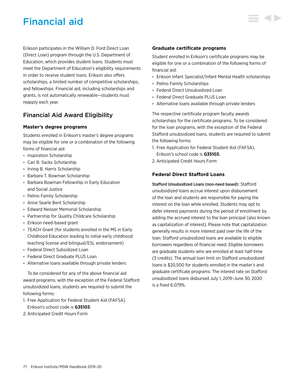# Financial aid

Erikson participates in the William D. Ford Direct Loan (Direct Loan) program through the U.S. Department of Education, which provides student loans. Students must meet the Department of Education's eligibility requirements in order to receive student loans. Erikson also offers scholarships, a limited number of competitive scholarships, and fellowships. Financial aid, including scholarships and grants, is not automatically renewable—students must reapply each year.

# Financial Aid Award Eligibility

# **Master's degree programs**

Students enrolled in Erikson's master's degree programs may be eligible for one or a combination of the following forms of financial aid:

- Inspiration Scholarship
- Cari B. Sacks Scholarship
- Irving B. Harris Scholarship
- Barbara T. Bowman Scholarship
- Barbara Bowman Fellowship in Early Education and Social Justice
- Pelino Family Scholarship
- Anne Searle Bent Scholarship
- Edward Neisser Memorial Scholarship
- Partnership for Quality Childcare Scholarship
- Erikson need-based grant
- TEACH Grant (for students enrolled in the MS in Early Childhood Education leading to initial early childhood teaching license and bilingual/ESL endorsement)
- Federal Direct Subsidized Loan
- Federal Direct Graduate PLUS Loan
- Alternative loans available through private lenders

To be considered for any of the above financial aid award programs, with the exception of the Federal Stafford unsubsidized loans, students are required to submit the following forms:

- 1. Free Application for Federal Student Aid (FAFSA). Erikson's school code is **G35103**.
- 2. Anticipated Credit Hours Form

# **Graduate certificate programs**

Student enrolled in Erikson's certificate programs may be eligible for one or a combination of the following forms of financial aid:

- Erikson Infant Specialist/Infant Mental Health scholarships
- Pelino Family Scholarships
- Federal Direct Unsubsidized Loan
- Federal Direct Graduate PLUS Loan
- Alternative loans available through private lenders

The respective certificate program faculty awards scholarships for the certificate programs. To be considered for the loan programs, with the exception of the Federal Stafford unsubsidized loans, students are required to submit the following forms:

- 1. Free Application for Federal Student Aid (FAFSA). Erikson's school code is **G35103.**
- 2. Anticipated Credit Hours Form

# **Federal Direct Stafford Loans**

Stafford Unsubsidized Loans (non-need based): Stafford unsubsidized loans accrue interest upon disbursement of the loan and students are responsible for paying the interest on the loan while enrolled. Students may opt to defer interest payments during the period of enrollment by adding the accrued interest to the loan principal (also known as capitalization of interest). Please note that capitalization generally results in more interest paid over the life of the loan. Stafford unsubsidized loans are available to eligible borrowers regardless of financial need. Eligible borrowers are graduate students who are enrolled at least half-time (3 credits). The annual loan limit on Stafford unsubsidized loans is \$20,500 for students enrolled in the master's and graduate certificate programs. The interest rate on Stafford unsubsidized loans disbursed July 1, 2019–June 30, 2020 is a fixed 6.079%.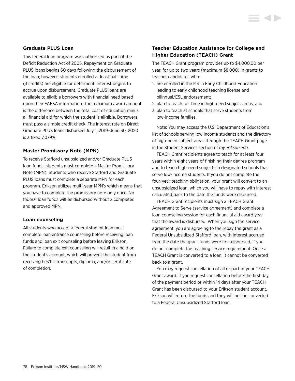## **Graduate PLUS Loan**

This federal loan program was authorized as part of the Deficit Reduction Act of 2005. Repayment on Graduate PLUS loans begins 60 days following the disbursement of the loan; however, students enrolled at least half-time (3 credits) are eligible for deferment. Interest begins to accrue upon disbursement. Graduate PLUS loans are available to eligible borrowers with financial need based upon their FAFSA information. The maximum award amount is the difference between the total cost of education minus all financial aid for which the student is eligible. Borrowers must pass a simple credit check. The interest rate on Direct Graduate PLUS loans disbursed July 1, 2019–June 30, 2020 is a fixed 7.079%.

## **Master Promissory Note (MPN)**

To receive Stafford unsubsidized and/or Graduate PLUS loan funds, students must complete a Master Promissory Note (MPN). Students who receive Stafford and Graduate PLUS loans must complete a separate MPN for each program. Erikson utilizes multi-year MPN's which means that you have to complete the promissory note only once. No federal loan funds will be disbursed without a completed and approved MPN.

#### **Loan counseling**

All students who accept a federal student loan must complete loan entrance counseling before receiving loan funds and loan exit counseling before leaving Erikson. Failure to complete exit counseling will result in a hold on the student's account, which will prevent the student from receiving her/his transcripts, diploma, and/or certificate of completion.

# **Teacher Education Assistance for College and Higher Education (TEACH) Grant**

The TEACH Grant program provides up to \$4,000.00 per year, for up to two years (maximum \$8,000) in grants to teacher candidates who:

- 1. are enrolled in the MS in Early Childhood Education leading to early childhood teaching license and bilingual/ESL endorsement;
- 2. plan to teach full-time in high-need subject areas; and
- 3. plan to teach at schools that serve students from low-income families.

Note: You may access the U.S. Department of Education's list of schools serving low income students and the directory of high-need subject areas through the TEACH Grant page in the Student Services section of *[my.erikson.edu](http://my.erikson.edu)*.

TEACH Grant recipients agree to teach for at least four years within eight years of finishing their degree program and to teach high-need subjects in designated schools that serve low-income students. If you do not complete the four-year teaching obligation, your grant will convert to an unsubsidized loan, which you will have to repay with interest calculated back to the date the funds were disbursed.

TEACH Grant recipients must sign a TEACH Grant Agreement to Serve (service agreement) and complete a loan counseling session for each financial aid award year that the award is disbursed. When you sign the service agreement, you are agreeing to the repay the grant as a Federal Unsubsidized Stafford loan, with interest accrued from the date the grant funds were first disbursed, if you do not complete the teaching service requirement. Once a TEACH Grant is converted to a loan, it cannot be converted back to a grant.

You may request cancellation of all or part of your TEACH Grant award. If you request cancellation before the first day of the payment period or within 14 days after your TEACH Grant has been disbursed to your Erikson student account, Erikson will return the funds and they will not be converted to a Federal Unsubsidized Stafford loan.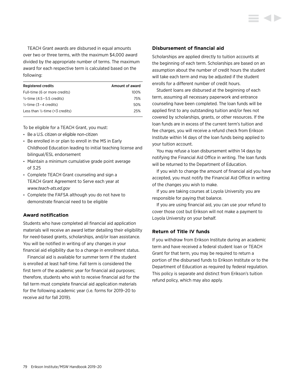TEACH Grant awards are disbursed in equal amounts over two or three terms, with the maximum \$4,000 award divided by the appropriate number of terms. The maximum award for each respective term is calculated based on the following:

| <b>Registered credits</b>                  | Amount of award |
|--------------------------------------------|-----------------|
| Full-time (6 or more credits)              | 100%            |
| $\frac{3}{4}$ -time (4.5 – 5.5 credits)    | 75%             |
| $\frac{1}{2}$ -time (3 – 4 credits)        | 50%             |
| Less than $\frac{1}{2}$ -time (<3 credits) | 25%             |

To be eligible for a TEACH Grant, you must:

- Be a U.S. citizen or eligible non-citizen
- Be enrolled in or plan to enroll in the MS in Early Childhood Education leading to initial teaching license and bilingual/ESL endorsement
- Maintain a minimum cumulative grade point average of 3.25
- Complete TEACH Grant counseling and sign a TEACH Grant Agreement to Serve each year at *[www.teach-ats.ed.gov](http://www.teach-ats.ed.gov)*
- Complete the FAFSA although you do not have to demonstrate financial need to be eligible

# **Award notification**

Students who have completed all financial aid application materials will receive an award letter detailing their eligibility for need-based grants, scholarships, and/or loan assistance. You will be notified in writing of any changes in your financial aid eligibility due to a change in enrollment status.

Financial aid is available for summer term if the student is enrolled at least half-time. Fall term is considered the first term of the academic year for financial aid purposes; therefore, students who wish to receive financial aid for the fall term must complete financial aid application materials for the following academic year (i.e. forms for 2019–20 to receive aid for fall 2019).

# **Disbursement of financial aid**

Scholarships are applied directly to tuition accounts at the beginning of each term. Scholarships are based on an assumption about the number of credit hours the student will take each term and may be adjusted if the student enrolls for a different number of credit hours.

Student loans are disbursed at the beginning of each term, assuming all necessary paperwork and entrance counseling have been completed. The loan funds will be applied first to any outstanding tuition and/or fees not covered by scholarships, grants, or other resources. If the loan funds are in excess of the current term's tuition and fee charges, you will receive a refund check from Erikson Institute within 14 days of the loan funds being applied to your tuition account.

You may refuse a loan disbursement within 14 days by notifying the Financial Aid Office in writing. The loan funds will be returned to the Department of Education.

If you wish to change the amount of financial aid you have accepted, you must notify the Financial Aid Office in writing of the changes you wish to make.

If you are taking courses at Loyola University you are responsible for paying that balance.

If you are using financial aid, you can use your refund to cover those cost but Erikson will not make a payment to Loyola University on your behalf.

# **Return of Title IV funds**

If you withdraw from Erikson Institute during an academic term and have received a federal student loan or TEACH Grant for that term, you may be required to return a portion of the disbursed funds to Erikson Institute or to the Department of Education as required by federal regulation. This policy is separate and distinct from Erikson's tuition refund policy, which may also apply.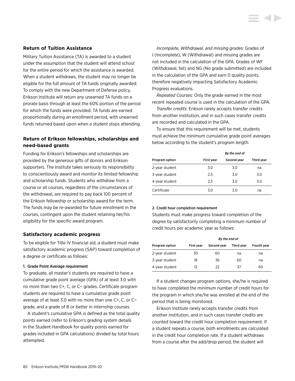# **Return of Tuition Assistance**

Military Tuition Assistance (TA) is awarded to a student under the assumption that the student will attend school for the entire period for which the assistance is awarded. When a student withdraws, the student may no longer be eligible for the full amount of TA funds originally awarded. To comply with the new Department of Defense policy, Erikson Institute will return any unearned TA funds on a prorate basis through at least the 60% portion of the period for which the funds were provided. TA funds are earned proportionally during an enrollment period, with unearned funds returned based upon when a student stops attending.

# **Return of Erikson fellowships, scholarships and need-based grants**

Funding for Erikson's fellowships and scholarships are provided by the generous gifts of donors and Erikson supporters. The Institute takes seriously its responsibility to conscientiously award and monitor its limited fellowship and scholarship funds. Students who withdraw from a course or all courses, regardless of the circumstances of the withdrawal, are required to pay back 100 percent of the Erikson fellowship or scholarship award for the term. The funds may be re-awarded for future enrollment in the courses, contingent upon the student retaining her/his eligibility for the specific award program.

#### **Satisfactory academic progress**

To be eligible for Title IV financial aid, a student must make satisfactory academic progress (SAP) toward completion of a degree or certificate as follows:

#### 1. Grade Point Average requirement

To graduate, all master's students are required to have a cumulative grade point average (GPA) of at least 3.0 with no more than two C+, C, or C− grades. Certificate program students are required to have a cumulative grade point average of at least 3.0 with no more than one C+, C, or C− grade, and a grade of B or better in internship courses.

A student's cumulative GPA is defined as the total quality points earned (refer to Erikson's grading system details in the Student Handbook for quality points earned for grades included in GPA calculations) divided by total hours attempted.

*Incomplete, Withdrawal, and missing grades:* Grades of I (Incomplete), W (Withdrawal) and missing grades are not included in the calculation of the GPA. Grades of WF (Withdrawal, fail) and NG (No grade submitted) are included in the calculation of the GPA and earn 0 quality points, therefore negatively impacting Satisfactory Academic Progress evaluations.

*Repeated Courses:* Only the grade earned in the most recent repeated course is used in the calculation of the GPA.

*Transfer credits:* Erikson rarely accepts transfer credits from another institution, and in such cases transfer credits are recorded and calculated in the GPA.

To ensure that this requirement will be met, students must achieve the minimum cumulative grade point averages below according to the student's program length:

|                       |            | By the end of |            |
|-----------------------|------------|---------------|------------|
| <b>Program option</b> | First year | Second year   | Third year |
| 2-year student        | 3.0        | 3.0           | na         |
| 3-year student        | 2.5        | 3.0           | 3.0        |
| 4-year student        | 2.5        | 3.0           | 3.0        |
| Certificate           | 3.0        | 3.0           | na         |

#### 2. Credit hour completion requirement

Students must make progress toward completion of the degree by satisfactorily completing a minimum number of credit hours per academic year as follows:

|                | By the end of |             |            |                    |
|----------------|---------------|-------------|------------|--------------------|
| Program option | First year    | Second year | Third year | <b>Fourth year</b> |
| 2-year student | 30            | 60          | na         | na                 |
| 3-year student | 18            | 36          | 60         | na                 |
| 4-year student | 12            | 22          | 37         | 60                 |

If a student changes program options, she/he is required to have completed the minimum number of credit hours for the program in which she/he was enrolled at the end of the period that is being monitored.

Erikson Institute rarely accepts transfer credits from another institution, and in such cases transfer credits are counted toward the credit hour completion requirement. If a student repeats a course, both enrollments are calculated in the credit hour completion rate. If a student withdraws from a course after the add/drop period, the student will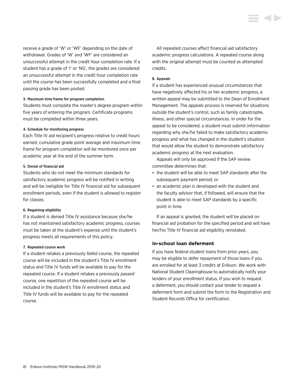receive a grade of 'W' or 'WF' depending on the date of withdrawal. Grades of 'W' and 'WF' are considered an unsuccessful attempt in the credit hour completion rate. If a student has a grade of 'I' or 'NG', the grades are considered an unsuccessful attempt in the credit hour completion rate until the course has been successfully completed and a final passing grade has been posted.

#### 3. Maximum time frame for program completion

Students must complete the master's degree program within five years of entering the program. Certificate programs must be completed within three years.

#### 4. Schedule for monitoring progress

Each Title IV aid recipient's progress relative to credit hours earned, cumulative grade point average and maximum time frame for program completion will be monitored once per academic year at the end of the summer term.

#### 5. Denial of financial aid

Students who do not meet the minimum standards for satisfactory academic progress will be notified in writing and will be ineligible for Title IV financial aid for subsequent enrollment periods, even if the student is allowed to register for classes.

#### 6. Regaining eligibility

If a student is denied Title IV assistance because she/he has not maintained satisfactory academic progress, courses must be taken at the student's expense until the student's progress meets all requirements of this policy.

#### 7. Repeated course work

If a student retakes a previously *failed* course, the repeated course will be included in the student's Title IV enrollment status and Title IV funds will be available to pay for the repeated course. If a student retakes a previously *passed* course, one repetition of the repeated course will be included in the student's Title IV enrollment status and Title IV funds will be available to pay for the repeated course.

All repeated courses affect financial aid satisfactory academic progress calculations. A repeated course along with the original attempt must be counted as attempted credits.

# 8. Appeals

If a student has experienced unusual circumstances that have negatively affected his or her academic progress, a written appeal may be submitted to the Dean of Enrollment Management. The appeals process is reserved for situations outside the student's control, such as family catastrophe, illness, and other special circumstances. In order for the appeal to be considered, a student must submit information regarding why she/he failed to make satisfactory academic progress and what has changed in the student's situation that would allow the student to demonstrate satisfactory academic progress at the next evaluation.

Appeals will only be approved if the SAP review committee determines that:

- the student will be able to meet SAP standards after the subsequent payment period; or
- an academic plan is developed with the student and the faculty advisor that, if followed, will ensure that the student is able to meet SAP standards by a specific point in time.

If an appeal is granted, the student will be placed on financial aid probation for the specified period and will have her/his Title IV financial aid eligibility reinstated.

#### **In-school loan deferment**

If you have federal student loans from prior years, you may be eligible to defer repayment of those loans if you are enrolled for at least 3 credits at Erikson. We work with National Student Clearinghouse to automatically notify your lenders of your enrollment status. If you wish to request a deferment, you should contact your lender to request a deferment form and submit the form to the Registration and Student Records Office for certification.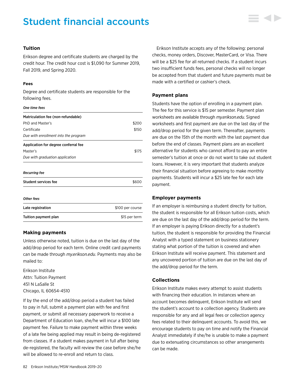# Student financial accounts



# **Tuition**

Erikson degree and certificate students are charged by the credit hour. The credit hour cost is \$1,090 for Summer 2019, Fall 2019, and Spring 2020.

# **Fees**

Degree and certificate students are responsible for the following fees.

# *One time fees*

| Matriculation fee (non-refundable)   |                  |
|--------------------------------------|------------------|
| PhD and Master's                     | \$200            |
| Certificate                          | \$150            |
| Due with enrollment into the program |                  |
| Application for degree conferral fee |                  |
| Master's                             | \$175            |
| Due with graduation application      |                  |
| Recurring fee                        |                  |
| <b>Student services fee</b>          | \$600            |
| <b>Other fees</b>                    |                  |
|                                      |                  |
| Late registration                    | \$100 per course |
|                                      |                  |

# **Making payments**

Unless otherwise noted, tuition is due on the last day of the add/drop period for each term. Online credit card payments can be made through *[my.erikson.edu](http://my.erikson.edu)*. Payments may also be mailed to:

Tuition payment plan by the state of the state of the state of the state of the state of the state of the state of the state of the state of the state of the state of the state of the state of the state of the state of the

Erikson Institute Attn: Tuition Payment 451 N LaSalle St Chicago, IL 60654-4510

If by the end of the add/drop period a student has failed to pay in full, submit a payment plan with fee and first payment, or submit all necessary paperwork to receive a Department of Education loan, she/he will incur a \$100 late payment fee. Failure to make payment within three weeks of a late fee being applied may result in being de-registered from classes. If a student makes payment in full after being de-registered, the faculty will review the case before she/he will be allowed to re-enroll and return to class.

Erikson Institute accepts any of the following: personal checks, money orders, Discover, MasterCard, or Visa. There will be a \$25 fee for all returned checks. If a student incurs two insufficient funds fees, personal checks will no longer be accepted from that student and future payments must be made with a certified or cashier's check.

# **Payment plans**

Students have the option of enrolling in a payment plan. The fee for this service is \$15 per semester. Payment plan worksheets are available through *[my.erikson.edu.](http://my.erikson.edu)* Signed worksheets and first payment are due on the last day of the add/drop period for the given term. Thereafter, payments are due on the 15th of the month with the last payment due before the end of classes. Payment plans are an excellent alternative for students who cannot afford to pay an entire semester's tuition at once or do not want to take out student loans. However, it is very important that students analyze their financial situation before agreeing to make monthly payments. Students will incur a \$25 late fee for each late payment.

# **Employer payments**

If an employer is reimbursing a student directly for tuition, the student is responsible for all Erikson tuition costs, which are due on the last day of the add/drop period for the term. If an employer is paying Erikson directly for a student's tuition, the student is responsible for providing the Financial Analyst with a typed statement on business stationery stating what portion of the tuition is covered and when Erikson Institute will receive payment. This statement and any uncovered portion of tuition are due on the last day of the add/drop period for the term.

# **Collections**

Erikson Institute makes every attempt to assist students with financing their education. In instances where an account becomes delinquent, Erikson Institute will send the student's account to a collection agency. Students are responsible for any and all legal fees or collection agency fees related to their delinquent accounts. To avoid this, we encourage students to pay on time and notify the Financial Analyst immediately if she/he is unable to make a payment due to extenuating circumstances so other arrangements can be made.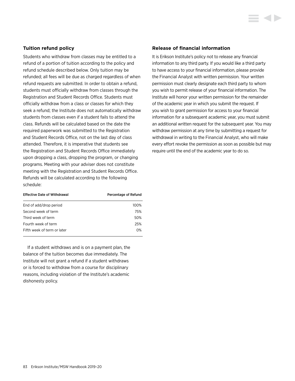# **Tuition refund policy**

Students who withdraw from classes may be entitled to a refund of a portion of tuition according to the policy and refund schedule described below. Only tuition may be refunded; all fees will be due as charged regardless of when refund requests are submitted. In order to obtain a refund, students must officially withdraw from classes through the Registration and Student Records Office. Students must officially withdraw from a class or classes for which they seek a refund; the Institute does not automatically withdraw students from classes even if a student fails to attend the class. Refunds will be calculated based on the date the required paperwork was submitted to the Registration and Student Records Office, not on the last day of class attended. Therefore, it is imperative that students see the Registration and Student Records Office immediately upon dropping a class, dropping the program, or changing programs. Meeting with your adviser does not constitute meeting with the Registration and Student Records Office. Refunds will be calculated according to the following schedule:

| <b>Effective Date of Withdrawal</b> | <b>Percentage of Refund</b> |
|-------------------------------------|-----------------------------|
| End of add/drop period              | 100%                        |
| Second week of term                 | 75%                         |
| Third week of term                  | 50%                         |
| Fourth week of term                 | 25%                         |
| Fifth week of term or later         | 0%                          |

If a student withdraws and is on a payment plan, the balance of the tuition becomes due immediately. The Institute will not grant a refund if a student withdraws or is forced to withdraw from a course for disciplinary reasons, including violation of the Institute's academic dishonesty policy.

#### **Release of financial information**

It is Erikson Institute's policy not to release any financial information to any third party. If you would like a third party to have access to your financial information, please provide the Financial Analyst with written permission. Your written permission must clearly designate each third party to whom you wish to permit release of your financial information. The Institute will honor your written permission for the remainder of the academic year in which you submit the request. If you wish to grant permission for access to your financial information for a subsequent academic year, you must submit an additional written request for the subsequent year. You may withdraw permission at any time by submitting a request for withdrawal in writing to the Financial Analyst, who will make every effort revoke the permission as soon as possible but may require until the end of the academic year to do so.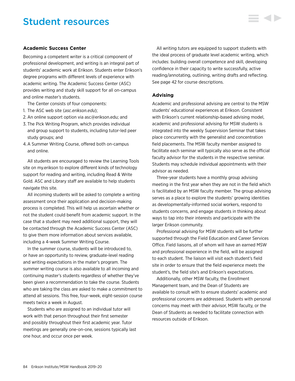# Student resources

# **Academic Success Center**

Becoming a competent writer is a critical component of professional development, and writing is an integral part of students' academic work at Erikson. Students enter Erikson's degree programs with different levels of experience with academic writing. The Academic Success Center (ASC) provides writing and study skill support for all on-campus and online master's students.

The Center consists of four components:

- 1. The ASC web site (*[asc.erikson.edu](http://asc.erikson.edu)*);
- 2. An online support option via [asc@erikson.edu](mailto:asc%40erikson.edu?subject=); and
- 3. The Pick Writing Program, which provides individual and group support to students, including tutor-led peer study groups; and
- 4.A Summer Writing Course, offered both on-campus and online.

All students are encouraged to review the Learning Tools site on my.erikson to explore different kinds of technology support for reading and writing, including Read & Write Gold. ASC and Library staff are available to help students navigate this site.

All incoming students will be asked to complete a writing assessment once their application and decision-making process is completed. This will help us ascertain whether or not the student could benefit from academic support. In the case that a student may need additional support, they will be contacted through the Academic Success Center (ASC) to give them more information about services available, including a 4-week Summer Writing Course.

In the summer course, students will be introduced to, or have an opportunity to review, graduate-level reading and writing expectations in the mater's program. The summer writing course is also available to all incoming and continuing master's students regardless of whether they've been given a recommendation to take the course. Students who are taking the class are asked to make a commitment to attend all sessions. This free, four-week, eight-session course meets twice a week in August.

Students who are assigned to an individual tutor will work with that person throughout their first semester and possibly throughout their first academic year. Tutor meetings are generally one-on-one, sessions typically last one hour, and occur once per week.

All writing tutors are equipped to support students with the ideal process of graduate level academic writing, which includes: building overall competence and skill, developing confidence in their capacity to write successfully, active reading/annotating, outlining, writing drafts and reflecting. [See page 42 for course descriptions.](#page-42-0)

E GID

#### **Advising**

Academic and professional advising are central to the MSW students' educational experiences at Erikson. Consistent with Erikson's current relationship-based advising model, academic and professional advising for MSW students is integrated into the weekly Supervision Seminar that takes place concurrently with the generalist and concentration field placements. The MSW faculty member assigned to facilitate each seminar will typically also serve as the official faculty advisor for the students in the respective seminar. Students may schedule individual appointments with their advisor as needed.

Three-year students have a monthly group advising meeting in the first year when they are not in the field which is facilitated by an MSW faculty member. The group advising serves as a place to explore the students' growing identities as developmentally-informed social workers, respond to students concerns, and engage students in thinking about ways to tap into their interests and participate with the larger Erikson community.

Professional advising for MSW students will be further supported through the Field Education and Career Services Office. Field liaisons, all of whom will have an earned MSW and professional experience in the field, will be assigned to each student. The liaison will visit each student's field site in order to ensure that the field experience meets the student's, the field site's and Erikson's expectations.

Additionally, other MSW faculty, the Enrollment Management team, and the Dean of Students are available to consult with to ensure students' academic and professional concerns are addressed. Students with personal concerns may meet with their advisor, MSW faculty, or the Dean of Students as needed to facilitate connection with resources outside of Erikson.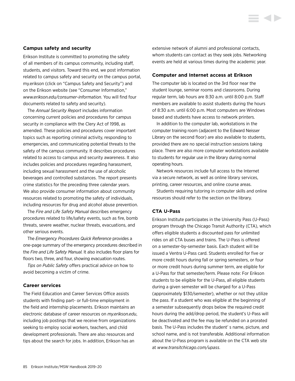#### **Campus safety and security**

Erikson Institute is committed to promoting the safety of all members of its campus community, including staff, students, and visitors. Toward this end, we post information related to campus safety and security on the campus portal, my.erikson (click on "Campus Safety and Security") and on the Erikson website (see "Consumer Information," *[www.erikson.edu/consumer-information](http://www.erikson.edu/consumer-information)*. You will find four documents related to safety and security).

The *Annual Security Report* includes information concerning current policies and procedures for campus security in compliance with the Clery Act of 1998, as amended. These policies and procedures cover important topics such as reporting criminal activity, responding to emergencies, and communicating potential threats to the safety of the campus community. It describes procedures related to access to campus and security awareness. It also includes policies and procedures regarding harassment, including sexual harassment and the use of alcoholic beverages and controlled substances. The report presents crime statistics for the preceding three calendar years. We also provide consumer information about community resources related to promoting the safety of individuals, including resources for drug and alcohol abuse prevention.

The *Fire and Life Safety Manual* describes emergency procedures related to life/safety events, such as fire, bomb threats, severe weather, nuclear threats, evacuations, and other serious events.

The *Emergency Procedures Quick Reference* provides a one-page summary of the emergency procedures described in the *Fire and Life Safety Manual.* It also includes floor plans for floors two, three, and four, showing evacuation routes.

*Tips on Public Safety* offers practical advice on how to avoid becoming a victim of crime.

#### **Career services**

The Field Education and Career Services Office assists students with finding part- or full-time employment in the field and internship placements. Erikson maintains an electronic database of career resources on *my.erikson.edu*, including job postings that we receive from organizations seeking to employ social workers, teachers, and child development professionals. There are also resources and tips about the search for jobs. In addition, Erikson has an

extensive network of alumni and professional contacts, whom students can contact as they seek jobs. Networking events are held at various times during the academic year.

#### **Computer and Internet access at Erikson**

The computer lab is located on the 3rd floor near the student lounge, seminar rooms and classrooms. During regular term, lab hours are 8:30 a.m. until 8:00 p.m. Staff members are available to assist students during the hours of 8:30 a.m. until 6:00 p.m. Most computers are Windows based and students have access to network printers.

In addition to the computer lab, workstations in the computer training room (adjacent to the Edward Neisser Library on the second floor) are also available to students, provided there are no special instruction sessions taking place. There are also more computer workstations available to students for regular use in the library during normal operating hours.

Network resources include full access to the Internet via a secure network, as well as online library services, printing, career resources, and online course areas.

Students requiring tutoring in computer skills and online resources should refer to the section on the library.

## **CTA U-Pass**

Erikson Institute participates in the University Pass (U-Pass) program through the Chicago Transit Authority (CTA), which offers eligible students a discounted pass for unlimited rides on all CTA buses and trains. The U-Pass is offered on a semester-by-semester basis. Each student will be issued a Ventra U-Pass card. Students enrolled for five or more credit hours during fall or spring semesters, or four or more credit hours during summer term, are eligible for a U-Pass for that semester/term. Please note: For Erikson students to be eligible for the U-Pass, all eligible students during a given semester will be charged for a U-Pass (approximately \$130/semester), whether or not they utilize the pass. If a student who was eligible at the beginning of a semester subsequently drops below the required credit hours during the add/drop period, the student's U-Pass will be deactivated and the fee may be refunded on a prorated basis. The U-Pass includes the student' s name, picture, and school name, and is not transferable. Additional information about the U-Pass program is available on the CTA web site at *[www.transitchicago.com/upass](http://www.transitchicago.com/upass)*.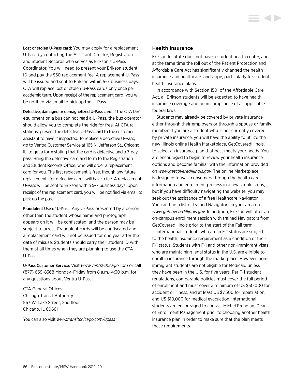Lost or stolen U-Pass card: You may apply for a replacement U-Pass by contacting the Assistant Director, Registraton and Student Records who serves as Erikson's U-Pass Coordinator. You will need to present your Erikson student ID and pay the \$50 replacement fee. A replacement U-Pass will be issued and sent to Erikson within 5–7 business days. CTA will replace lost or stolen U-Pass cards only once per academic term. Upon receipt of the replacement card, you will be notified via email to pick up the U-Pass.

Defective, damaged or demagnetized U-Pass card: If the CTA fare equipment on a bus can not read a U-Pass, the bus operator should allow you to complete the ride for free. At CTA rail stations, present the defective U-Pass card to the customer assistant to have it inspected. To replace a defective U-Pass, go to Ventra Customer Service at 165 N. Jefferson St., Chicago, IL, to get a form stating that the card is defective and a 7-day pass. Bring the defective card and form to the Registration and Student Records Office, who will order a replacement card for you. The first replacement is free, though any future replacements for defective cards will have a fee. A replacement U-Pass will be sent to Erikson within 5–7 business days. Upon receipt of the replacement card, you will be notified via email to pick up the pass.

Fraudulent Use of U-Pass: Any U-Pass presented by a person other than the student whose name and photograph appears on it will be confiscated, and the person may be subject to arrest. Fraudulent cards will be confiscated and a replacement card will not be issued for one year after the date of misuse. Students should carry their student ID with them at all times when they are planning to use the CTA U-Pass.

U-Pass Customer Service: Visit *[www.ventrachicago.com](http://www.ventrachicago.com)* or call (877) 669-8368 Monday–Friday from 8 a.m.–4:30 p.m. for any questions about Ventra U-Pass.

CTA General Offices: Chicago Transit Authority 567 W. Lake Street, 2nd floor Chicago, IL 60661

You can also visit *[www.transitchicago.com/upass](http://www.transitchicago.com/upass)*

# **Health insurance**

Erikson Institute does not have a student health center, and at the same time the roll out of the Patient Protection and Affordable Care Act has significantly changed the health insurance and healthcare landscape, particularly for student health insurance plans.

In accordance with Section 1501 of the Affordable Care Act, all Erikson students will be expected to have health insurance coverage and be in compliance of all applicable federal laws.

Students may already be covered by private insurance either through their employers or through a spouse or family member. If you are a student who is not currently covered by private insurance, you will have the ability to utilize the new Illinois online Health Marketplace, GetCoveredIllinois, to select an insurance plan that best meets your needs. You are encouraged to begin to review your health insurance options and become familiar with the information provided on *[www.getcoveredillinois.gov.](www.getcoveredillinois.gov)* The online Marketplace is designed to walk consumers through the health care information and enrollment process in a few simple steps, but if you have difficulty navigating the website, you may seek out the assistance of a free Healthcare Navigator. You can find a list of trained Navigators in your area on *<www.getcoveredillinois.gov>.* In addition, Erikson will offer an on-campus enrollment session with trained Navigators from GetCoveredIllinois prior to the start of the Fall term.

International students who are in F-1 status are subject to the health insurance requirement as a condition of their F-1 status. Students with F-1 and other non-immigrant visas who are maintaining legal status in the U.S. are eligible to enroll in insurance through the marketplace. However, nonimmigrant students are not eligible for Medicaid unless they have been in the U.S. for five years. Per F-1 student regulations, comparable policies must cover the full period of enrollment and must cover a minimum of US \$50,000 for accident or illness, and at least US \$7,500 for repatriation, and US \$10,000 for medical evacuation. International students are encouraged to contact Michel Frendian, Dean of Enrollment Management prior to choosing another health insurance plan in order to make sure that the plan meets these requirements.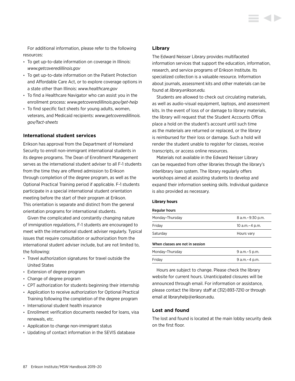For additional information, please refer to the following resources:

- To get up-to-date information on coverage in Illinois: *<www.getcoveredillinois.gov>*
- To get up-to-date information on the Patient Protection and Affordable Care Act, or to explore coverage options in a state other than Illinois: *[www.healthcare.gov](http://www.healthcare.gov)*
- To find a Healthcare Navigator who can assist you in the enrollment process: *[www.getcoveredillinois.gov/get-help](http://www.getcoveredillinois.gov/get-help)*
- To find specific fact sheets for young adults, women, veterans, and Medicaid recipients: *[www.getcoveredillinois.](http://www.getcoveredillinois.gov/fact-sheets) [gov/fact-sheets](http://www.getcoveredillinois.gov/fact-sheets)*

#### **International student services**

Erikson has approval from the Department of Homeland Security to enroll non-immigrant international students in its degree programs. The Dean of Enrollment Management serves as the international student adviser to all F-1 students from the time they are offered admission to Erikson through completion of the degree program, as well as the Optional Practical Training period if applicable. F-1 students participate in a special international student orientation meeting before the start of their program at Erikson. This orientation is separate and distinct from the general orientation programs for international students.

Given the complicated and constantly changing nature of immigration regulations, F-1 students are encouraged to meet with the international student adviser regularly. Typical issues that require consultation or authorization from the international student adviser include, but are not limited to, the following:

- Travel authorization signatures for travel outside the United States
- Extension of degree program
- Change of degree program
- CPT authorization for students beginning their internship
- Application to receive authorization for Optional Practical Training following the completion of the degree program
- International student health insurance
- Enrollment verification documents needed for loans, visa renewals, etc.
- Application to change non-immigrant status
- Updating of contact information in the SEVIS database

#### **Library**

The Edward Neisser Library provides multifaceted information services that support the education, information, research, and service programs of Erikson Institute. Its specialized collection is a valuable resource. Information about journals, assessment kits and other materials can be found at *[library.erikson.edu](http://library.erikson.edu).*

Students are allowed to check out circulating materials, as well as audio-visual equipment, laptops, and assessment kits. In the event of loss of or damage to library materials, the library will request that the Student Accounts Office place a hold on the student's account until such time as the materials are returned or replaced, or the library is reimbursed for their loss or damage. Such a hold will render the student unable to register for classes, receive transcripts, or access online resources.

Materials not available in the Edward Neisser Library can be requested from other libraries through the library's interlibrary loan system. The library regularly offers workshops aimed at assisting students to develop and expand their information seeking skills. Individual guidance is also provided as necessary.

#### **Library hours**

#### Regular hours

| Monday-Thursday                 | 8 a.m. - 9:30 p.m. |
|---------------------------------|--------------------|
| Friday                          | 10 a.m. - 4 p.m.   |
| Saturday                        | Hours vary         |
| When classes are not in session |                    |
| .                               |                    |

| Friday          | 9 a.m. – 4 p.m. |
|-----------------|-----------------|
| Monday-Thursday | 9 a.m. – 5 p.m. |

Hours are subject to change. Please check the library website for current hours. Unanticipated closures will be announced through email. For information or assistance, please contact the library staff at (312) 893-7210 or through email at [libraryhelp@erikson.edu](mailto:libraryhelp%40erikson.edu?subject=).

# **Lost and found**

The lost and found is located at the main lobby security desk on the first floor.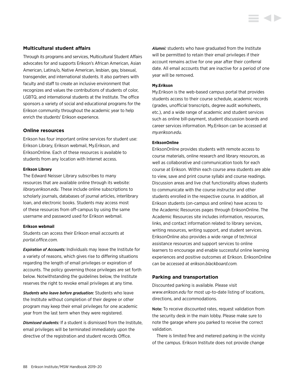## **Multicultural student affairs**

Through its programs and services, Multicultural Student Affairs advocates for and supports Erikson's African American, Asian American, Latina/o, Native American, lesbian, gay, bisexual, transgender, and international students. It also partners with faculty and staff to create an inclusive environment that recognizes and values the contributions of students of color, LGBTQ, and international students at the Institute. The office sponsors a variety of social and educational programs for the Erikson community throughout the academic year to help enrich the students' Erikson experience.

#### **Online resources**

Erikson has four important online services for student use: Erikson Library, Erikson webmail, My.Erikson, and EriksonOnline. Each of these resources is available to students from any location with Internet access.

#### **Erikson Library**

The Edward Neisser Library subscribes to many resources that are available online through its website: *[library.erikson.edu](http://library.erikson.edu)*. These include online subscriptions to scholarly journals, databases of journal articles, interlibrary loan, and electronic books. Students may access most of these resources from off-campus by using the same username and password used for Erikson webmail.

#### **Erikson webmail**

Students can access their Erikson email accounts at *[portal.office.com](http://portal.office.com).*

*Expiration of Accounts:* Individuals may leave the Institute for a variety of reasons, which gives rise to differing situations regarding the length of email privileges or expiration of accounts. The policy governing those privileges are set forth below. Notwithstanding the guidelines below, the Institute reserves the right to revoke email privileges at any time.

*Students who leave before graduation:* Students who leave the Institute without completion of their degree or other program may keep their email privileges for one academic year from the last term when they were registered.

*Dismissed students:* If a student is dismissed from the Institute, email privileges will be terminated immediately upon the directive of the registration and student records Office.

*Alumni:* students who have graduated from the Institute will be permitted to retain their email privileges if their account remains active for one year after their conferral date. All email accounts that are inactive for a period of one year will be removed.

#### **My.Erikson**

My.Erikson is the web-based campus portal that provides students access to their course schedule, academic records (grades, unofficial transcripts, degree audit worksheets, etc.), and a wide range of academic and student services such as online bill-payment, student discussion boards and career services information. My.Erikson can be accessed at *my.erikson.edu.*

# **EriksonOnline**

EriksonOnline provides students with remote access to course materials, online research and library resources, as well as collaborative and communication tools for each course at Erikson. Within each course area students are able to view, save and print course syllabi and course readings. Discussion areas and live chat functionality allows students to communicate with the course instructor and other students enrolled in the respective course. In addition, all Erikson students (on-campus and online) have access to the Academic Resources pages through EriksonOnline. The Academic Resources site includes information, resources, links, and contact information related to library services, writing resources, writing support, and student services. EriksonOnline also provides a wide range of technical assistance resources and support services to online learners to encourage and enable successful online learning experiences and positive outcomes at Erikson. EriksonOnline can be accessed at *[erikson.blackboard.com](http://erikson.blackboard.com).*

# **Parking and transportation**

Discounted parking is available. Please visit *www.erikson.edu* for most up-to-date listing of locations, directions, and accommodations.

Note: To receive discounted rates, request validation from the security desk in the main lobby. Please make sure to note the garage where you parked to receive the correct validation.

There is limited free and metered parking in the vicinity of the campus. Erikson Institute does not provide change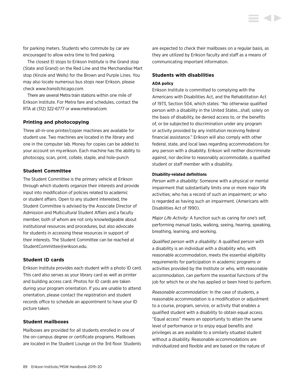for parking meters. Students who commute by car are encouraged to allow extra time to find parking.

The closest El stops to Erikson Institute is the Grand stop (State and Grand) on the Red Line and the Merchandise Mart stop (Kinzie and Wells) for the Brown and Purple Lines. You may also locate numerous bus stops near Erikson, please check *[www.transitchicago.com.](http://www.transitchicago.com)*

There are several Metra train stations within one mile of Erikson Institute. For Metra fare and schedules, contact the RTA at (312) 322-6777 or *[www.metrarail.com](http://www.metrarail.com).*

#### **Printing and photocopying**

Three all-in-one printer/copier machines are available for student use. Two machines are located in the library and one in the computer lab. Money for copies can be added to your account on my.erikson. Each machine has the ability to photocopy, scan, print, collate, staple, and hole-punch

#### **Student Committee**

The Student Committee is the primary vehicle at Erikson through which students organize their interests and provide input into modification of policies related to academic or student affairs. Open to any student interested, the Student Committee is advised by the Associate Director of Admission and Multicultural Student Affairs and a faculty member, both of whom are not only knowledgeable about institutional resources and procedures, but also advocate for students in accessing these resources in support of their interests. The Student Committee can be reached at [StudentCommittee@erikson.edu](mailto:StudentCommittee%40erikson.edu?subject=).

# **Student ID cards**

Erikson Institute provides each student with a photo ID card. This card also serves as your library card as well as printer and building access card. Photos for ID cards are taken during your program orientation. If you are unable to attend orientation, please contact the registration and student records office to schedule an appointment to have your ID picture taken.

#### **Student mailboxes**

Mailboxes are provided for all students enrolled in one of the on-campus degree or certificate programs. Mailboxes are located in the Student Lounge on the 3rd floor. Students are expected to check their mailboxes on a regular basis, as they are utilized by Erikson faculty and staff as a means of communicating important information.

#### **Students with disabilities**

#### **ADA policy**

Erikson Institute is committed to complying with the Americans with Disabilities Act, and the Rehabilitation Act of 1973, Section 504, which states: "No otherwise qualified person with a disability in the United States…shall, solely on the basis of disability, be denied access to, or the benefits of, or be subjected to discrimination under any program or activity provided by any institution receiving federal financial assistance." Erikson will also comply with other federal, state, and local laws regarding accommodations for any person with a disability. Erikson will neither discriminate against, nor decline to reasonably accommodate, a qualified student or staff member with a disability.

#### **Disability-related definitions**

*Person with a disability:* Someone with a physical or mental impairment that substantially limits one or more major life activities; who has a record of such an impairment; or who is regarded as having such an impairment. (Americans with Disabilities Act of 1990).

*Major Life Activity:* A function such as caring for one's self, performing manual tasks, walking, seeing, hearing, speaking, breathing, learning, and working.

*Qualified person with a disability:* A qualified person with a disability is an individual with a disability who, with reasonable accommodation, meets the essential eligibility requirements for participation in academic programs or activities provided by the Institute or who, with reasonable accommodation, can perform the essential functions of the job for which he or she has applied or been hired to perform.

*Reasonable accommodation:* In the case of students, a reasonable accommodation is a modification or adjustment to a course, program, service, or activity that enables a qualified student with a disability to obtain equal access. "Equal access" means an opportunity to attain the same level of performance or to enjoy equal benefits and privileges as are available to a similarly situated student without a disability. Reasonable accommodations are individualized and flexible and are based on the nature of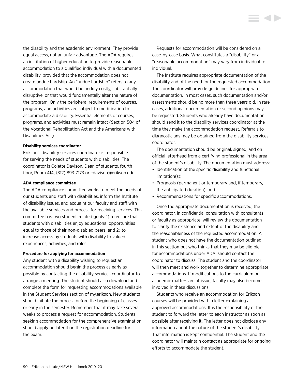the disability and the academic environment. They provide equal access, not an unfair advantage. The ADA requires an institution of higher education to provide reasonable accommodation to a qualified individual with a documented disability, provided that the accommodation does not create undue hardship. An "undue hardship" refers to any accommodation that would be unduly costly, substantially disruptive, or that would fundamentally alter the nature of the program. Only the peripheral requirements of courses, programs, and activities are subject to modification to accommodate a disability. Essential elements of courses, programs, and activities must remain intact (Section 504 of the Vocational Rehabilitation Act and the Americans with Disabilities Act)

#### **Disability services coordinator**

Erikson's disability services coordinator is responsible for serving the needs of students with disabilities. The coordinator is Colette Davison, Dean of students, fourth floor, Room 414, (312) 893-7173 or [cdavison@erikson.edu](mailto:cdavison%40erikson.edu?subject=).

#### **ADA compliance committee**

The ADA compliance committee works to meet the needs of our students and staff with disabilities, inform the Institute of disability issues, and acquaint our faculty and staff with the available services and process for receiving services. This committee has two student-related goals: 1) to ensure that students with disabilities enjoy educational opportunities equal to those of their non-disabled peers; and 2) to increase access by students with disability to valued experiences, activities, and roles.

#### **Procedure for applying for accommodation**

Any student with a disability wishing to request an accommodation should begin the process as early as possible by contacting the disability services coordinator to arrange a meeting. The student should also download and complete the form for requesting accommodations available in the Student Services section of my.erikson. New students should initiate the process before the beginning of classes or early in the semester. Remember that it may take several weeks to process a request for accommodation. Students seeking accommodation for the comprehensive examination should apply no later than the registration deadline for the exam.

Requests for accommodation will be considered on a case-by-case basis. What constitutes a "disability" or a "reasonable accommodation" may vary from individual to individual.

The Institute requires appropriate documentation of the disability and of the need for the requested accommodation. The coordinator will provide guidelines for appropriate documentation. In most cases, such documentation and/or assessments should be no more than three years old. In rare cases, additional documentation or second opinions may be requested. Students who already have documentation should send it to the disability services coordinator at the time they make the accommodation request. Referrals to diagnosticians may be obtained from the disability services coordinator.

The documentation should be original, signed, and on official letterhead from a certifying professional in the area of the student's disability. The documentation must address:

- Identification of the specific disability and functional limitation(s);
- Prognosis (permanent or temporary and, if temporary, the anticipated duration); and
- Recommendations for specific accommodations.

Once the appropriate documentation is received, the coordinator, in confidential consultation with consultants or faculty as appropriate, will review the documentation to clarify the existence and extent of the disability and the reasonableness of the requested accommodation. A student who does not have the documentation outlined in this section but who thinks that they may be eligible for accommodations under ADA, should contact the coordinator to discuss. The student and the coordinator will then meet and work together to determine appropriate accommodations. If modifications to the curriculum or academic matters are at issue, faculty may also become involved in these discussions.

Students who receive an accommodation for Erikson courses will be provided with a letter explaining all approved accommodations. It is the responsibility of the student to forward the letter to each instructor as soon as possible after receiving it. The letter does not disclose any information about the nature of the student's disability. That information is kept confidential. The student and the coordinator will maintain contact as appropriate for ongoing efforts to accommodate the student.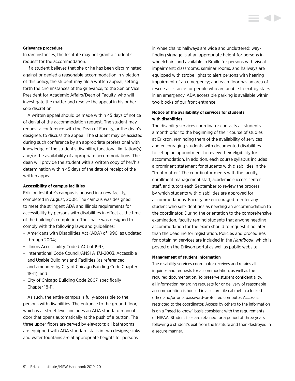#### **Grievance procedure**

In rare instances, the Institute may not grant a student's request for the accommodation.

If a student believes that she or he has been discriminated against or denied a reasonable accommodation in violation of this policy, the student may file a written appeal, setting forth the circumstances of the grievance, to the Senior Vice President for Academic Affairs/Dean of Faculty, who will investigate the matter and resolve the appeal in his or her sole discretion.

A written appeal should be made within 45 days of notice of denial of the accommodation request. The student may request a conference with the Dean of Faculty, or the dean's designee, to discuss the appeal. The student may be assisted during such conference by an appropriate professional with knowledge of the student's disability, functional limitation(s), and/or the availability of appropriate accommodations. The dean will provide the student with a written copy of her/his determination within 45 days of the date of receipt of the written appeal.

#### **Accessibility of campus facilities**

Erikson Institute's campus is housed in a new facility, completed in August, 2008. The campus was designed to meet the stringent ADA and Illinois requirements for accessibility by persons with disabilities in effect at the time of the building's completion. The space was designed to comply with the following laws and guidelines:

- Americans with Disabilities Act (ADA) of 1990, as updated through 2004;
- Illinois Accessibility Code (IAC) of 1997;
- International Code Council/ANSI A117.1-2003, Accessible and Usable Buildings and Facilities (as referenced and amended by City of Chicago Building Code Chapter 18-11); and
- City of Chicago Building Code 2007, specifically Chapter 18-11.

As such, the entire campus is fully-accessible to the persons with disabilities. The entrance to the ground floor, which is at street level, includes an ADA standard manual door that opens automatically at the push of a button. The three upper floors are served by elevators; all bathrooms are equipped with ADA standard stalls in two designs; sinks and water fountains are at appropriate heights for persons

in wheelchairs; hallways are wide and uncluttered; wayfinding signage is at an appropriate height for persons in wheelchairs and available in Braille for persons with visual impairment; classrooms, seminar rooms, and hallways are equipped with strobe lights to alert persons with hearing impairment of an emergency; and each floor has an area of rescue assistance for people who are unable to exit by stairs in an emergency. ADA accessible parking is available within two blocks of our front entrance.

# **Notice of the availability of services for students with disabilities**

The disability services coordinator contacts all students a month prior to the beginning of their course of studies at Erikson, reminding them of the availability of services and encouraging students with documented disabilities to set up an appointment to review their eligibility for accommodation. In addition, each course syllabus includes a prominent statement for students with disabilities in the "front matter." The coordinator meets with the faculty, enrollment management staff, academic success center staff, and tutors each September to review the process by which students with disabilities are approved for accommodations. Faculty are encouraged to refer any student who self-identifies as needing an accommodation to the coordinator. During the orientation to the comprehensive examination, faculty remind students that anyone needing accommodation for the exam should to request it no later than the deadline for registration. Policies and procedures for obtaining services are included in the *Handbook*, which is posted on the Erikson portal as well as public website.

#### **Management of student information**

The disability services coordinator receives and retains all inquiries and requests for accommodation, as well as the required documentation. To preserve student confidentiality, all information regarding requests for or delivery of reasonable accommodation is housed in a secure file cabinet in a locked office and/or on a password-protected computer. Access is restricted to the coordinator. Access by others to the information is on a "need to know" basis consistent with the requirements of HIPAA. Student files are retained for a period of three years following a student's exit from the Institute and then destroyed in a secure manner.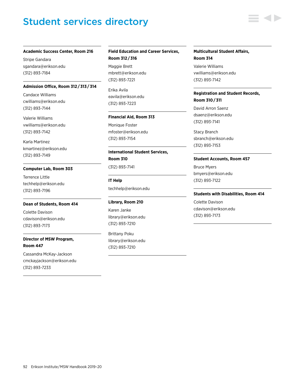# Student services directory

#### **Academic Success Center, Room 216**

Stripe Gandara [sgandara@erikson.edu](mailto:sgandara%40erikson.edu?subject=) (312) 893-7184

#### **Admission Office, Room 312 / 313 / 314**

Candace Williams [cwilliams@erikson.edu](mailto:cwilliams%40erikson.edu?subject=) (312) 893-7144

Valerie Williams [vwilliams@erikson.edu](mailto:vwilliams%40erikson.edu?subject=) (312) 893-7142

Karla Martinez kmartinez@erikson.edu (312) 893-7149

#### **Computer Lab, Room 303**

Terrence Little [techhelp@erikson.edu](mailto:techhelp%40erikson.edu?subject=) (312) 893-7196

#### **Dean of Students, Room 414**

Colette Davison [cdavison@erikson.edu](mailto:cdavison%40erikson.edu?subject=) (312) 893-7173

**Director of MSW Program, Room 447**

Cassandra McKay-Jackson [cmckayjackson@erikson.edu](mailto:cmckayjackson%40erikson.edu?subject=) (312) 893-7233

# **Field Education and Career Services, Room 312 / 316**

Maggie Brett [mbrett@erikson.edu](mailto:mbrett%40erikson.edu?subject=) (312) 893-7221

Erika Avila eavila@erikson.edu (312) 893-7223

#### **Financial Aid, Room 313**

Monique Foster mfoster@erikson.edu (312) 893-7154

# **International Student Services, Room 310**

(312) 893-7141

**IT Help** [techhelp@erikson.edu](mailto:techhelp%40erikson.edu?subject=)

#### **Library, Room 210**

Karen Janke [library@erikson.edu](mailto:library%40erikson.edu?subject=) (312) 893-7210

Brittany Poku [library@erikson.edu](mailto:library%40erikson.edu?subject=) (312) 893-7210

# **Multicultural Student Affairs, Room 314**

Valerie Williams [vwilliams@erikson.edu](mailto:vwilliams%40erikson.edu?subject=) (312) 893-7142

# **Registration and Student Records, Room 310 / 311**

David Arron Saenz [dsaenz@erikson.edu](mailto:dsaenz%40erikson.edu?subject=) (312) 893-7141

Stacy Branch [sbranch@erikson.edu](mailto:sbranch%40erikson.edu?subject=) (312) 893-7153

#### **Student Accounts, Room 457**

Bruce Myers [bmyers@erikson.edu](mailto:bmyers%40erikson.edu?subject=)  (312) 893-7122

#### **Students with Disabilities, Room 414**

Colette Davison [cdavison@erikson.edu](mailto:cdavison%40erikson.edu?subject=) (312) 893-7173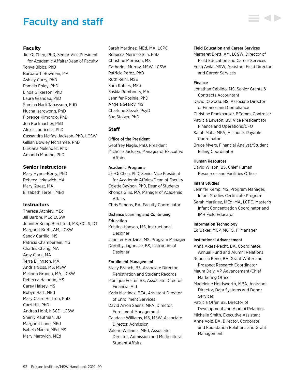# Faculty and staff

## **Faculty**

Jie-Qi Chen, PhD, Senior Vice President for Academic Affairs/Dean of Faculty Tonya Bibbs, PhD Barbara T. Bowman, MA Ashley Curry, PhD Pamela Epley, PhD Linda Gilkerson, PhD Laura Grandau, PhD Samina Hadi-Tabassum, EdD Nucha Isarowong, PhD Florence Kimondo, PhD Jon Korfmacher, PhD Alexis Lauricella, PhD Cassandra McKay-Jackson, PhD, LCSW Gillian Dowley McNamee, PhD Luisiana Melendez, PhD Amanda Moreno, PhD

# **Senior Instructors**

Mary Hynes-Berry, PhD Rebeca Itzkowich, MA Mary Quest, MA Elizabeth Tertell, MEd

# **Instructors**

Theresa Atchley, MEd Jill Barbre, MEd LCSW Jennifer Kemp Berchtold, MS, CCLS, DT Margaret Brett, AM, LCSW Sandy Carrillo, MS Patricia Chamberlain, MS Charles Chang, MA Amy Clark, MA Terra Ellingson, MA Andria Goss, MS, MSW Melinda Gronen, MA, LCSW Rebecca Halperin, MS Carey Halsey, MS Robyn Hart, MEd Mary Claire Heffron, PhD Carri Hill, PhD Andrea Hohf, MSCD, LCSW Sherry Kaufman, JD Margaret Lane, MEd Isabela Marchi, MEd, MS Mary Marovich, MEd

Sarah Martinez, MEd, MA, LCPC Rebecca Mermelstein, PhD Christine Morrison, MS Catherine Murray, MSW, LCSW Patricia Perez, PhD Ruth Reinl, MSE Sara Robles, MEd Saskia Rombouts, MA Jennifer Rosinia, PhD Angela Searcy, MS Charlene Slezak, PsyD Sue Stolzer, PhD

# **Staff**

#### Office of the President

Geoffrey Nagle, PhD, President Michelle Jackson, Manager of Executive Affairs

#### Academic Programs

Jie-Qi Chen, PhD, Senior Vice President for Academic Affairs/Dean of Faculty Colette Davison, PhD, Dean of Students Rhonda Gillis, MA, Manager of Academic Affairs Chris Simons, BA, Faculty Coordinator

## Distance Learning and Continuing Education

Kristina Hansen, MS, Instructional Designer Jennifer Herdzina, MS, Program Manager Dorothy Jagonase, BS, Instructional Designer

#### Enrollment Management

Stacy Branch, BS, Associate Director, Registration and Student Records Monique Foster, BS, Associate Director, Financial Aid Karla Martinez, BFA, Assistant Director of Enrollment Services David Arron Saenz, MPA, Director, Enrollment Management Candace Williams, MS, MSW, Associate Director, Admission Valerie Williams, MEd, Associate Director, Admission and Multicultural Student Affairs

#### Field Education and Career Services

Margaret Brett, AM, LCSW, Director of Field Education and Career Services Erika Avila, MSW, Assistant Field Director and Career Services

#### Finance

Jonathan Cabildo, MS, Senior Grants & Contracts Accountant

- David Dawodu, BS, Associate Director of Finance and Compliance
- Christine Frankhauser, BComm, Controller
- Patricia Lawson, BS, Vice President for Finance and Operations/CFO
- Sarah Matz, MFA, Accounts Payable Coordinator

Bruce Myers, Financial Analyst/Student Billing Coordinator

#### Human Resources

David Wilson, BS, Chief Human Resources and Facilities Officer

#### Infant Studies

Jennifer Kemp, MS, Program Manager, Infant Studies Certificate Program

Sarah Martinez, MEd, MA, LCPC, Master's Infant Concentration Coordinator and IMH Field Educator

#### Information Technology

Ed Baker, MCP, MCTS, IT Manager

#### Institutional Advancement

Anna Akers-Pecht, BA, Coordinator, Annual Fund and Alumni Relations Rebecca Beno, BA, Grant Writer and Prospect Research Coordinator Maura Daly, VP Advancement/Chief

Marketing Officer

Madeleine Holdsworth, MBA, Assistant Director, Data Systems and Donor Services

Patricia Offer, BS, Director of Development and Alumni Relations

Michelle Smith, Executive Assistant

Anne Volz, BA, Director, Corporate and Foundation Relations and Grant Management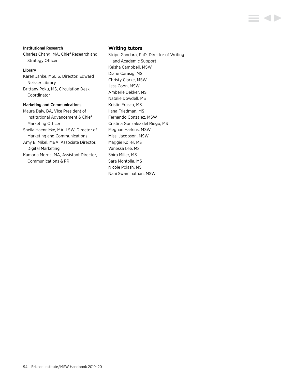#### Institutional Research

Charles Chang, MA, Chief Research and Strategy Officer

# Library

Karen Janke, MSLIS, Director, Edward Neisser Library Brittany Poku, MS, Circulation Desk Coordinator

#### Marketing and Communications

Maura Daly, BA, Vice President of Institutional Advancement & Chief Marketing Officer Sheila Haennicke, MA, LSW, Director of Marketing and Communications Amy E. Mikel, MBA, Associate Director, Digital Marketing Kamaria Morris, MA, Assistant Director, Communications & PR

#### **Writing tutors**

Stripe Gandara, PhD, Director of Writing and Academic Support Keisha Campbell, MSW Diane Carasig, MS Christy Clarke, MSW Jess Coon, MSW Amberle Dekker, MS Natalie Dowdell, MS Kristin Frasca, MS Ilana Friedman, MS Fernando Gonzalez, MSW Cristina Gonzalez del Riego, MS Meghan Harkins, MSW Missi Jacobson, MSW Maggie Koller, MS Vanessa Lee, MS Shira Miller, MS Sara Montolla, MS Nicole Polash, MS Nani Swaminathan, MSW